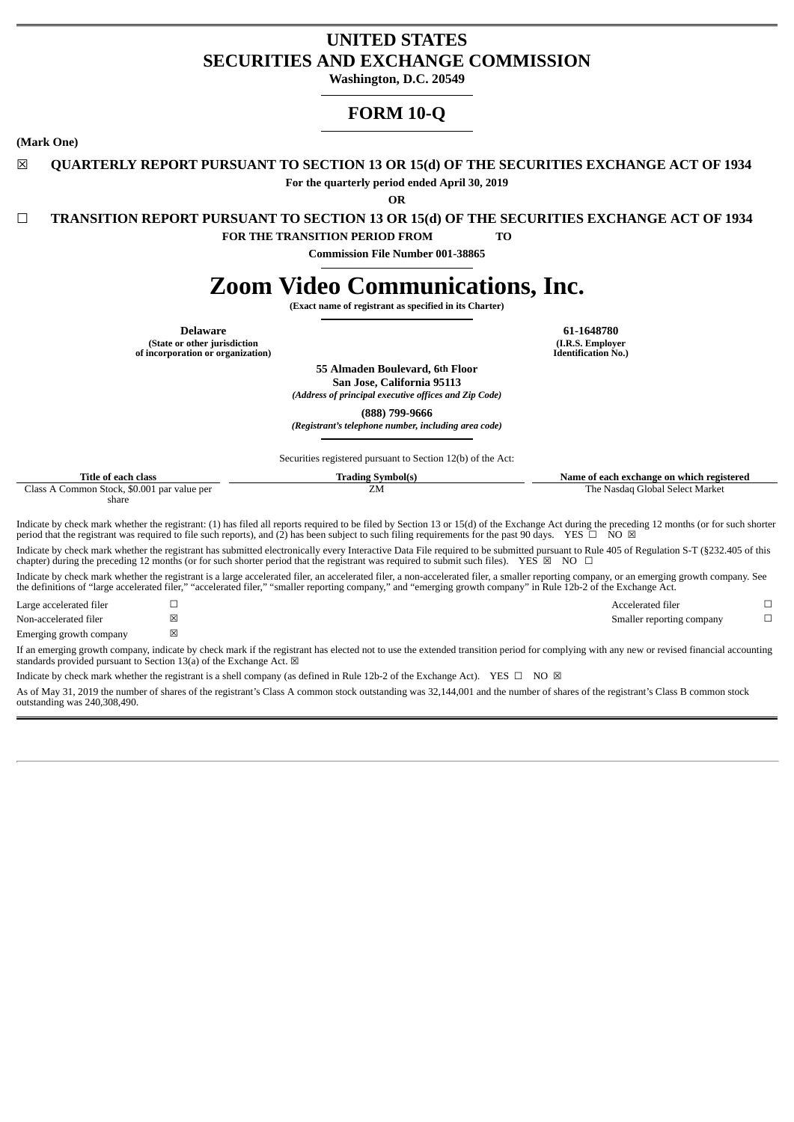# **UNITED STATES SECURITIES AND EXCHANGE COMMISSION**

**Washington, D.C. 20549**

# **FORM 10-Q**

**(Mark One)**

# ☒ **QUARTERLY REPORT PURSUANT TO SECTION 13 OR 15(d) OF THE SECURITIES EXCHANGE ACT OF 1934**

**For the quarterly period ended April 30, 2019**

**OR**

☐ **TRANSITION REPORT PURSUANT TO SECTION 13 OR 15(d) OF THE SECURITIES EXCHANGE ACT OF 1934**

**FOR THE TRANSITION PERIOD FROM TO**

**Commission File Number 001-38865**

# **Zoom Video Communications, Inc.**

**(Exact name of registrant as specified in its Charter)**

**(State or other jurisdiction of incorporation or organization)**

**Delaware 61-1648780 (I.R.S. Employer Identification No.)**

**55 Almaden Boulevard, 6th Floor San Jose, California 95113** *(Address of principal executive offices and Zip Code)*

**(888) 799-9666** *(Registrant's telephone number, including area code)*

Securities registered pursuant to Section 12(b) of the Act:

| Title of each class                         | Trading Symbol(s) | Name of each exchange on which registered |
|---------------------------------------------|-------------------|-------------------------------------------|
| Class A Common Stock, \$0.001 par value per | ZΜ                | The Nasdag Global Select Market           |
| share                                       |                   |                                           |

Indicate by check mark whether the registrant: (1) has filed all reports required to be filed by Section 13 or 15(d) of the Exchange Act during the preceding 12 months (or for such shorter period that the registrant was required to file such reports), and (2) has been subject to such filing requirements for the past 90 days. YES  $\Box$  NO  $\boxtimes$ 

Indicate by check mark whether the registrant has submitted electronically every Interactive Data File required to be submitted pursuant to Rule 405 of Regulation S-T (§232.405 of this chapter) during the preceding 12 months (or for such shorter period that the registrant was required to submit such files). YES  $\boxtimes$  NO  $\Box$ 

Indicate by check mark whether the registrant is a large accelerated filer, an accelerated filer, a non-accelerated filer, a smaller reporting company, or an emerging growth company. See the definitions of "large accelerated filer," "accelerated filer," "smaller reporting company," and "emerging growth company" in Rule 12b-2 of the Exchange Act.

| Large accelerated filer |   | Accelerated filer         |  |
|-------------------------|---|---------------------------|--|
| Non-accelerated filer   | ⊠ | Smaller reporting company |  |
| Emerging growth company | ⊠ |                           |  |

If an emerging growth company, indicate by check mark if the registrant has elected not to use the extended transition period for complying with any new or revised financial accounting standards provided pursuant to Section 13(a) of the Exchange Act.  $\boxtimes$ 

Indicate by check mark whether the registrant is a shell company (as defined in Rule 12b-2 of the Exchange Act). YES  $\Box$  NO  $\boxtimes$ 

As of May 31, 2019 the number of shares of the registrant's Class A common stock outstanding was 32,144,001 and the number of shares of the registrant's Class B common stock outstanding was 240,308,490.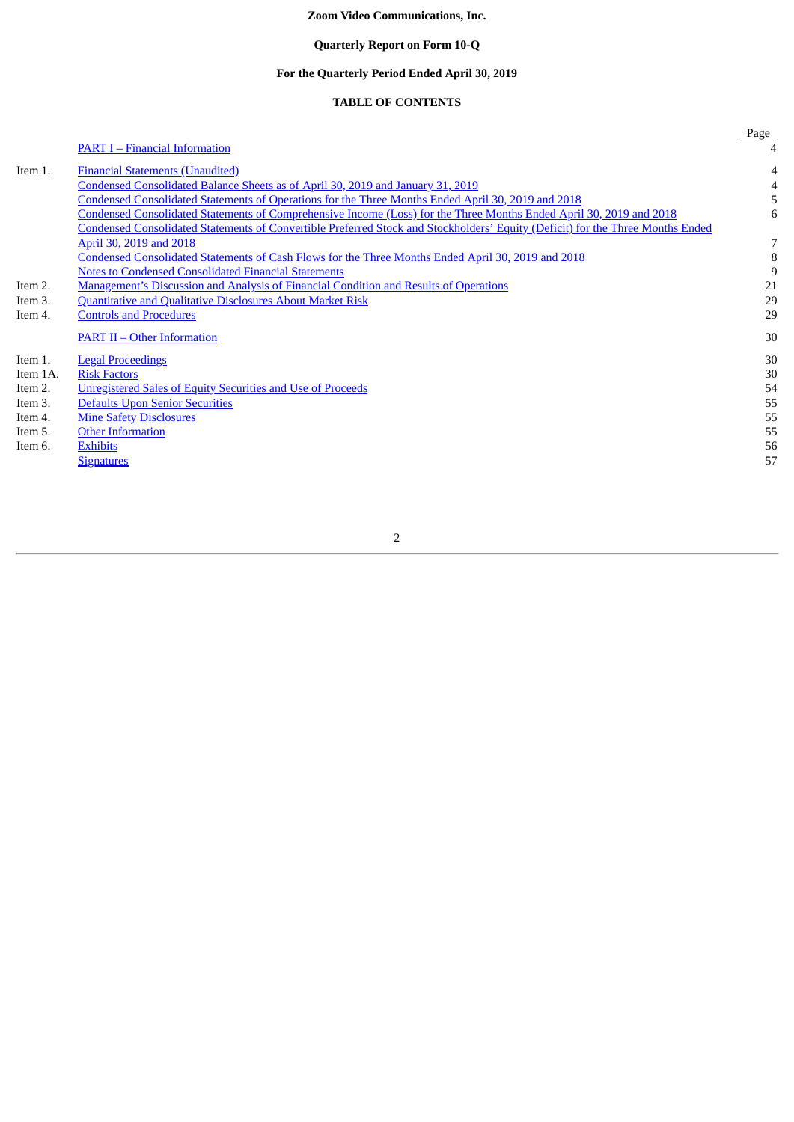# **Zoom Video Communications, Inc.**

# **Quarterly Report on Form 10-Q**

# **For the Quarterly Period Ended April 30, 2019**

# **TABLE OF CONTENTS**

|          |                                                                                                                                | Page           |
|----------|--------------------------------------------------------------------------------------------------------------------------------|----------------|
|          | <b>PART I – Financial Information</b>                                                                                          |                |
| Item 1.  | <b>Financial Statements (Unaudited)</b>                                                                                        | $\overline{4}$ |
|          | Condensed Consolidated Balance Sheets as of April 30, 2019 and January 31, 2019                                                | 4              |
|          | Condensed Consolidated Statements of Operations for the Three Months Ended April 30, 2019 and 2018                             | 5              |
|          | Condensed Consolidated Statements of Comprehensive Income (Loss) for the Three Months Ended April 30, 2019 and 2018            | 6              |
|          | Condensed Consolidated Statements of Convertible Preferred Stock and Stockholders' Equity (Deficit) for the Three Months Ended |                |
|          | April 30, 2019 and 2018                                                                                                        |                |
|          | Condensed Consolidated Statements of Cash Flows for the Three Months Ended April 30, 2019 and 2018                             | 8              |
|          | <b>Notes to Condensed Consolidated Financial Statements</b>                                                                    | 9              |
| Item 2.  | <b>Management's Discussion and Analysis of Financial Condition and Results of Operations</b>                                   | 21             |
| Item 3.  | <b>Quantitative and Qualitative Disclosures About Market Risk</b>                                                              | 29             |
| Item 4.  | <b>Controls and Procedures</b>                                                                                                 | 29             |
|          | <b>PART II – Other Information</b>                                                                                             | 30             |
| Item 1.  | <b>Legal Proceedings</b>                                                                                                       | 30             |
| Item 1A. | <b>Risk Factors</b>                                                                                                            | 30             |
| Item 2.  | <b>Unregistered Sales of Equity Securities and Use of Proceeds</b>                                                             | 54             |
| Item 3.  | <b>Defaults Upon Senior Securities</b>                                                                                         | 55             |
| Item 4.  | <b>Mine Safety Disclosures</b>                                                                                                 | 55             |
| Item 5.  | <b>Other Information</b>                                                                                                       | 55             |
| Item 6.  | <b>Exhibits</b>                                                                                                                | 56             |
|          | <b>Signatures</b>                                                                                                              | 57             |
|          |                                                                                                                                |                |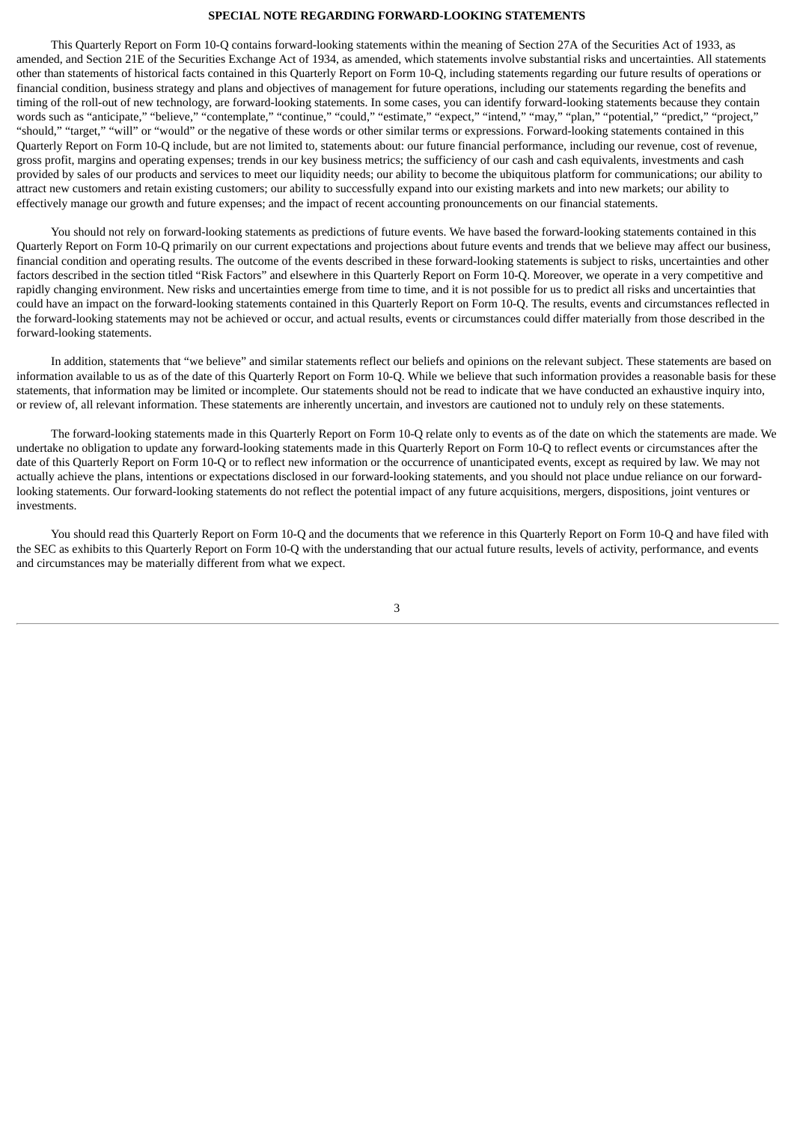#### **SPECIAL NOTE REGARDING FORWARD-LOOKING STATEMENTS**

This Quarterly Report on Form 10-Q contains forward-looking statements within the meaning of Section 27A of the Securities Act of 1933, as amended, and Section 21E of the Securities Exchange Act of 1934, as amended, which statements involve substantial risks and uncertainties. All statements other than statements of historical facts contained in this Quarterly Report on Form 10-Q, including statements regarding our future results of operations or financial condition, business strategy and plans and objectives of management for future operations, including our statements regarding the benefits and timing of the roll-out of new technology, are forward-looking statements. In some cases, you can identify forward-looking statements because they contain words such as "anticipate," "believe," "contemplate," "continue," "could," "estimate," "expect," "intend," "may," "plan," "potential," "predict," "project," "should," "target," "will" or "would" or the negative of these words or other similar terms or expressions. Forward-looking statements contained in this Quarterly Report on Form 10-Q include, but are not limited to, statements about: our future financial performance, including our revenue, cost of revenue, gross profit, margins and operating expenses; trends in our key business metrics; the sufficiency of our cash and cash equivalents, investments and cash provided by sales of our products and services to meet our liquidity needs; our ability to become the ubiquitous platform for communications; our ability to attract new customers and retain existing customers; our ability to successfully expand into our existing markets and into new markets; our ability to effectively manage our growth and future expenses; and the impact of recent accounting pronouncements on our financial statements.

You should not rely on forward-looking statements as predictions of future events. We have based the forward-looking statements contained in this Quarterly Report on Form 10-Q primarily on our current expectations and projections about future events and trends that we believe may affect our business, financial condition and operating results. The outcome of the events described in these forward-looking statements is subject to risks, uncertainties and other factors described in the section titled "Risk Factors" and elsewhere in this Quarterly Report on Form 10-Q. Moreover, we operate in a very competitive and rapidly changing environment. New risks and uncertainties emerge from time to time, and it is not possible for us to predict all risks and uncertainties that could have an impact on the forward-looking statements contained in this Quarterly Report on Form 10-Q. The results, events and circumstances reflected in the forward-looking statements may not be achieved or occur, and actual results, events or circumstances could differ materially from those described in the forward-looking statements.

In addition, statements that "we believe" and similar statements reflect our beliefs and opinions on the relevant subject. These statements are based on information available to us as of the date of this Quarterly Report on Form 10-Q. While we believe that such information provides a reasonable basis for these statements, that information may be limited or incomplete. Our statements should not be read to indicate that we have conducted an exhaustive inquiry into, or review of, all relevant information. These statements are inherently uncertain, and investors are cautioned not to unduly rely on these statements.

The forward-looking statements made in this Quarterly Report on Form 10-Q relate only to events as of the date on which the statements are made. We undertake no obligation to update any forward-looking statements made in this Quarterly Report on Form 10-Q to reflect events or circumstances after the date of this Quarterly Report on Form 10-Q or to reflect new information or the occurrence of unanticipated events, except as required by law. We may not actually achieve the plans, intentions or expectations disclosed in our forward-looking statements, and you should not place undue reliance on our forwardlooking statements. Our forward-looking statements do not reflect the potential impact of any future acquisitions, mergers, dispositions, joint ventures or investments.

You should read this Quarterly Report on Form 10-Q and the documents that we reference in this Quarterly Report on Form 10-Q and have filed with the SEC as exhibits to this Quarterly Report on Form 10-Q with the understanding that our actual future results, levels of activity, performance, and events and circumstances may be materially different from what we expect.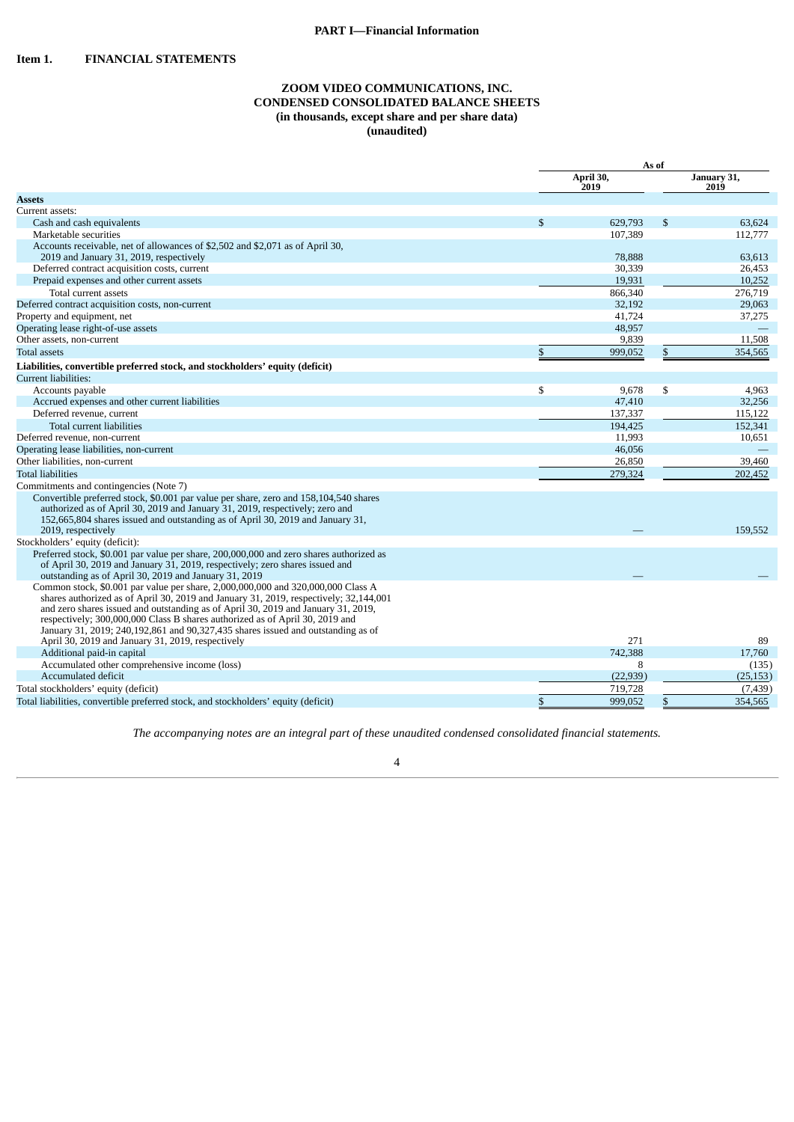# **ZOOM VIDEO COMMUNICATIONS, INC. CONDENSED CONSOLIDATED BALANCE SHEETS (in thousands, except share and per share data) (unaudited)**

<span id="page-3-2"></span><span id="page-3-1"></span><span id="page-3-0"></span>

|                                                                                                                                                                                                                                                                                                                                                                                                                                        |              | As of             |    |                     |  |  |
|----------------------------------------------------------------------------------------------------------------------------------------------------------------------------------------------------------------------------------------------------------------------------------------------------------------------------------------------------------------------------------------------------------------------------------------|--------------|-------------------|----|---------------------|--|--|
|                                                                                                                                                                                                                                                                                                                                                                                                                                        |              | April 30,<br>2019 |    | January 31,<br>2019 |  |  |
| <b>Assets</b>                                                                                                                                                                                                                                                                                                                                                                                                                          |              |                   |    |                     |  |  |
| Current assets:                                                                                                                                                                                                                                                                                                                                                                                                                        |              |                   |    |                     |  |  |
| Cash and cash equivalents                                                                                                                                                                                                                                                                                                                                                                                                              | $\mathbb{S}$ | 629,793           | \$ | 63,624              |  |  |
| Marketable securities                                                                                                                                                                                                                                                                                                                                                                                                                  |              | 107,389           |    | 112,777             |  |  |
| Accounts receivable, net of allowances of \$2,502 and \$2,071 as of April 30,                                                                                                                                                                                                                                                                                                                                                          |              |                   |    |                     |  |  |
| 2019 and January 31, 2019, respectively                                                                                                                                                                                                                                                                                                                                                                                                |              | 78,888            |    | 63,613              |  |  |
| Deferred contract acquisition costs, current                                                                                                                                                                                                                                                                                                                                                                                           |              | 30,339            |    | 26,453              |  |  |
| Prepaid expenses and other current assets                                                                                                                                                                                                                                                                                                                                                                                              |              | 19,931            |    | 10,252              |  |  |
| Total current assets                                                                                                                                                                                                                                                                                                                                                                                                                   |              | 866,340           |    | 276,719             |  |  |
| Deferred contract acquisition costs, non-current                                                                                                                                                                                                                                                                                                                                                                                       |              | 32,192            |    | 29,063              |  |  |
| Property and equipment, net                                                                                                                                                                                                                                                                                                                                                                                                            |              | 41,724            |    | 37,275              |  |  |
| Operating lease right-of-use assets                                                                                                                                                                                                                                                                                                                                                                                                    |              | 48,957            |    |                     |  |  |
| Other assets, non-current                                                                                                                                                                                                                                                                                                                                                                                                              |              | 9,839             |    | 11,508              |  |  |
| Total assets                                                                                                                                                                                                                                                                                                                                                                                                                           | \$           | 999,052           | \$ | 354,565             |  |  |
| Liabilities, convertible preferred stock, and stockholders' equity (deficit)                                                                                                                                                                                                                                                                                                                                                           |              |                   |    |                     |  |  |
| Current liabilities:                                                                                                                                                                                                                                                                                                                                                                                                                   |              |                   |    |                     |  |  |
| Accounts payable                                                                                                                                                                                                                                                                                                                                                                                                                       | \$           | 9,678             | \$ | 4,963               |  |  |
| Accrued expenses and other current liabilities                                                                                                                                                                                                                                                                                                                                                                                         |              | 47,410            |    | 32,256              |  |  |
| Deferred revenue, current                                                                                                                                                                                                                                                                                                                                                                                                              |              | 137,337           |    | 115,122             |  |  |
| Total current liabilities                                                                                                                                                                                                                                                                                                                                                                                                              |              | 194,425           |    | 152,341             |  |  |
| Deferred revenue, non-current                                                                                                                                                                                                                                                                                                                                                                                                          |              | 11,993            |    | 10,651              |  |  |
| Operating lease liabilities, non-current                                                                                                                                                                                                                                                                                                                                                                                               |              | 46,056            |    |                     |  |  |
| Other liabilities, non-current                                                                                                                                                                                                                                                                                                                                                                                                         |              | 26,850            |    | 39,460              |  |  |
| <b>Total liabilities</b>                                                                                                                                                                                                                                                                                                                                                                                                               |              | 279,324           |    | 202,452             |  |  |
| Commitments and contingencies (Note 7)                                                                                                                                                                                                                                                                                                                                                                                                 |              |                   |    |                     |  |  |
| Convertible preferred stock, \$0.001 par value per share, zero and 158,104,540 shares<br>authorized as of April 30, 2019 and January 31, 2019, respectively; zero and<br>152,665,804 shares issued and outstanding as of April 30, 2019 and January 31,                                                                                                                                                                                |              |                   |    |                     |  |  |
| 2019, respectively<br>Stockholders' equity (deficit):                                                                                                                                                                                                                                                                                                                                                                                  |              |                   |    | 159,552             |  |  |
| Preferred stock, \$0.001 par value per share, 200,000,000 and zero shares authorized as<br>of April 30, 2019 and January 31, 2019, respectively; zero shares issued and<br>outstanding as of April 30, 2019 and January 31, 2019                                                                                                                                                                                                       |              |                   |    |                     |  |  |
| Common stock, \$0.001 par value per share, 2,000,000,000 and 320,000,000 Class A<br>shares authorized as of April 30, 2019 and January 31, 2019, respectively; 32,144,001<br>and zero shares issued and outstanding as of April 30, 2019 and January 31, 2019,<br>respectively; 300,000,000 Class B shares authorized as of April 30, 2019 and<br>January 31, 2019; 240, 192, 861 and 90, 327, 435 shares issued and outstanding as of |              |                   |    |                     |  |  |
| April 30, 2019 and January 31, 2019, respectively                                                                                                                                                                                                                                                                                                                                                                                      |              | 271               |    | 89                  |  |  |
| Additional paid-in capital                                                                                                                                                                                                                                                                                                                                                                                                             |              | 742,388           |    | 17,760              |  |  |
| Accumulated other comprehensive income (loss)                                                                                                                                                                                                                                                                                                                                                                                          |              | 8                 |    | (135)               |  |  |
| Accumulated deficit                                                                                                                                                                                                                                                                                                                                                                                                                    |              | (22, 939)         |    | (25, 153)           |  |  |
| Total stockholders' equity (deficit)                                                                                                                                                                                                                                                                                                                                                                                                   |              | 719,728           |    | (7,439)             |  |  |
| Total liabilities, convertible preferred stock, and stockholders' equity (deficit)                                                                                                                                                                                                                                                                                                                                                     | $\mathbb{S}$ | 999,052           | \$ | 354,565             |  |  |

*The accompanying notes are an integral part of these unaudited condensed consolidated financial statements.*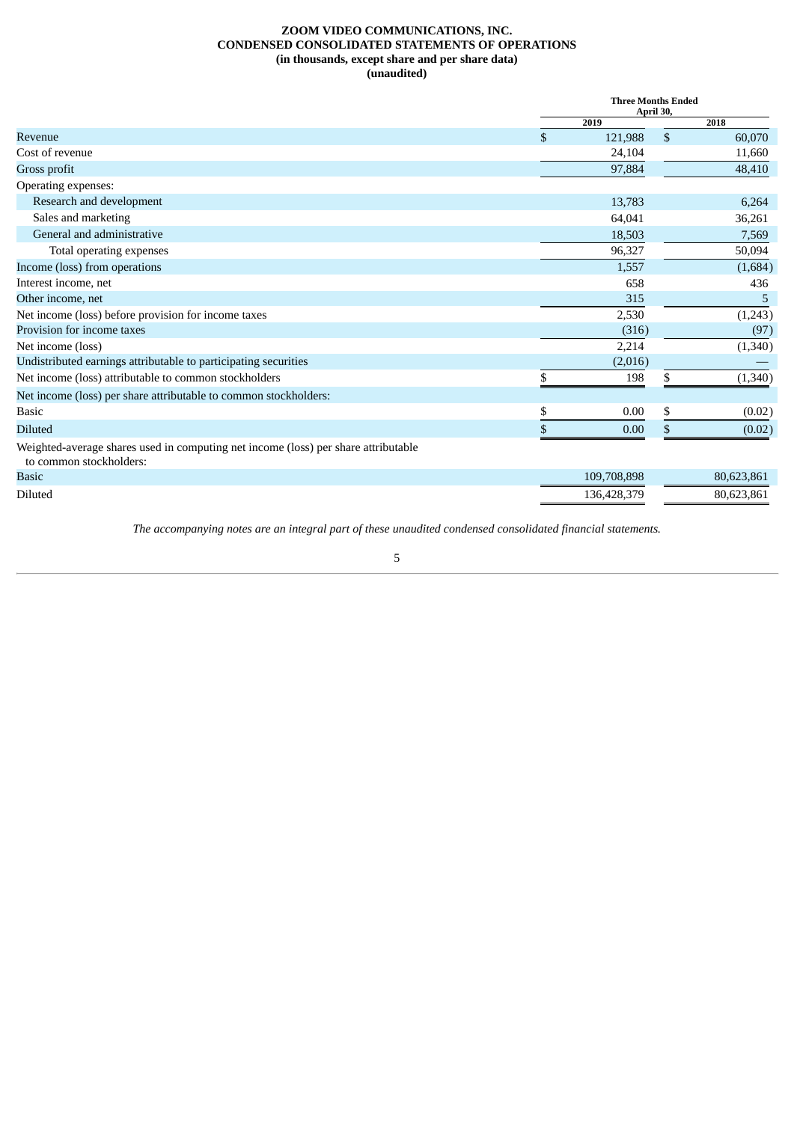# **ZOOM VIDEO COMMUNICATIONS, INC. CONDENSED CONSOLIDATED STATEMENTS OF OPERATIONS (in thousands, except share and per share data) (unaudited)**

<span id="page-4-0"></span>

|                                                                                                               | <b>Three Months Ended</b><br>April 30, |             |    |            |  |
|---------------------------------------------------------------------------------------------------------------|----------------------------------------|-------------|----|------------|--|
|                                                                                                               |                                        | 2019        |    | 2018       |  |
| Revenue                                                                                                       | \$                                     | 121,988     | \$ | 60,070     |  |
| Cost of revenue                                                                                               |                                        | 24,104      |    | 11,660     |  |
| Gross profit                                                                                                  |                                        | 97,884      |    | 48,410     |  |
| Operating expenses:                                                                                           |                                        |             |    |            |  |
| Research and development                                                                                      |                                        | 13,783      |    | 6,264      |  |
| Sales and marketing                                                                                           |                                        | 64,041      |    | 36,261     |  |
| General and administrative                                                                                    |                                        | 18,503      |    | 7,569      |  |
| Total operating expenses                                                                                      |                                        | 96,327      |    | 50,094     |  |
| Income (loss) from operations                                                                                 |                                        | 1,557       |    | (1,684)    |  |
| Interest income, net                                                                                          |                                        | 658         |    | 436        |  |
| Other income, net                                                                                             |                                        | 315         |    | 5.         |  |
| Net income (loss) before provision for income taxes                                                           |                                        | 2,530       |    | (1,243)    |  |
| Provision for income taxes                                                                                    |                                        | (316)       |    | (97)       |  |
| Net income (loss)                                                                                             |                                        | 2,214       |    | (1,340)    |  |
| Undistributed earnings attributable to participating securities                                               |                                        | (2,016)     |    |            |  |
| Net income (loss) attributable to common stockholders                                                         | \$                                     | 198         | \$ | (1, 340)   |  |
| Net income (loss) per share attributable to common stockholders:                                              |                                        |             |    |            |  |
| <b>Basic</b>                                                                                                  | \$                                     | 0.00        |    | (0.02)     |  |
| <b>Diluted</b>                                                                                                | \$                                     | 0.00        | Я  | (0.02)     |  |
| Weighted-average shares used in computing net income (loss) per share attributable<br>to common stockholders: |                                        |             |    |            |  |
| Basic                                                                                                         |                                        | 109,708,898 |    | 80,623,861 |  |
| Diluted                                                                                                       |                                        | 136,428,379 |    | 80,623,861 |  |

*The accompanying notes are an integral part of these unaudited condensed consolidated financial statements.*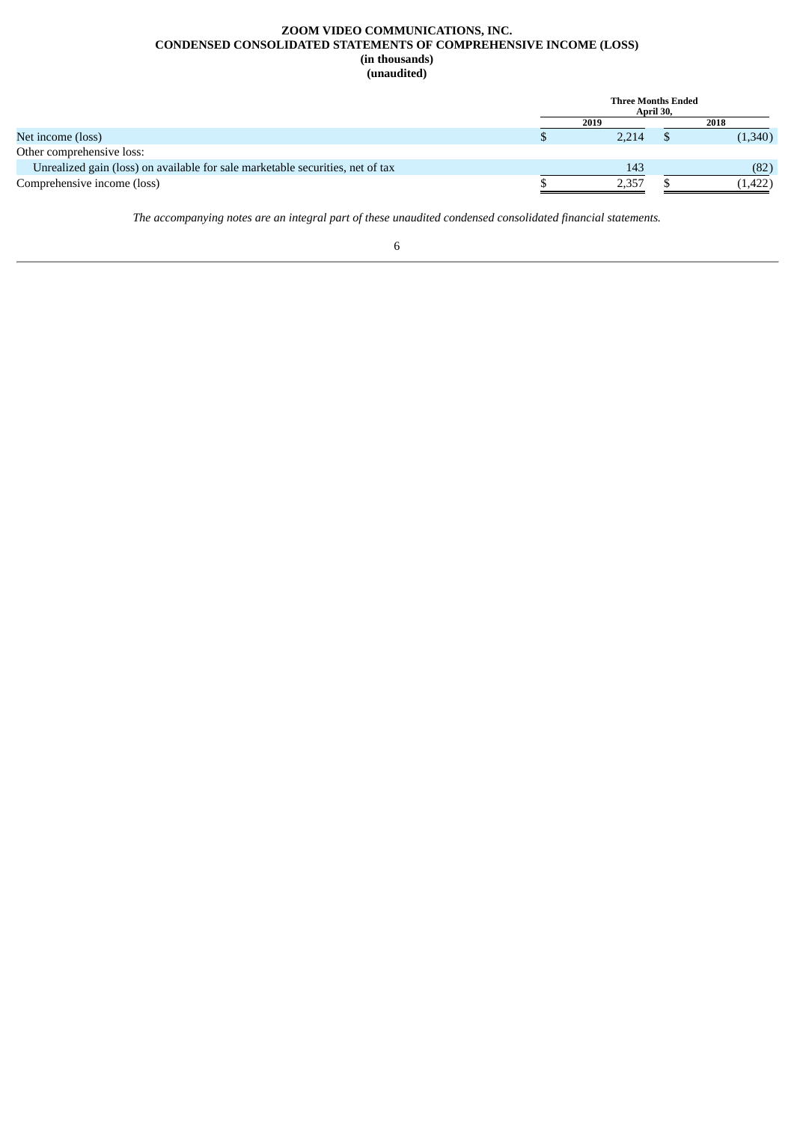# **ZOOM VIDEO COMMUNICATIONS, INC. CONDENSED CONSOLIDATED STATEMENTS OF COMPREHENSIVE INCOME (LOSS) (in thousands) (unaudited)**

<span id="page-5-0"></span>

|                                                                                | <b>Three Months Ended</b><br>April 30, |  |          |  |  |  |
|--------------------------------------------------------------------------------|----------------------------------------|--|----------|--|--|--|
|                                                                                | 2019                                   |  | 2018     |  |  |  |
| Net income (loss)                                                              | 2.214                                  |  | (1,340)  |  |  |  |
| Other comprehensive loss:                                                      |                                        |  |          |  |  |  |
| Unrealized gain (loss) on available for sale marketable securities, net of tax | 143                                    |  | (82)     |  |  |  |
| Comprehensive income (loss)                                                    | 2,357                                  |  | (1, 422) |  |  |  |

*The accompanying notes are an integral part of these unaudited condensed consolidated financial statements.*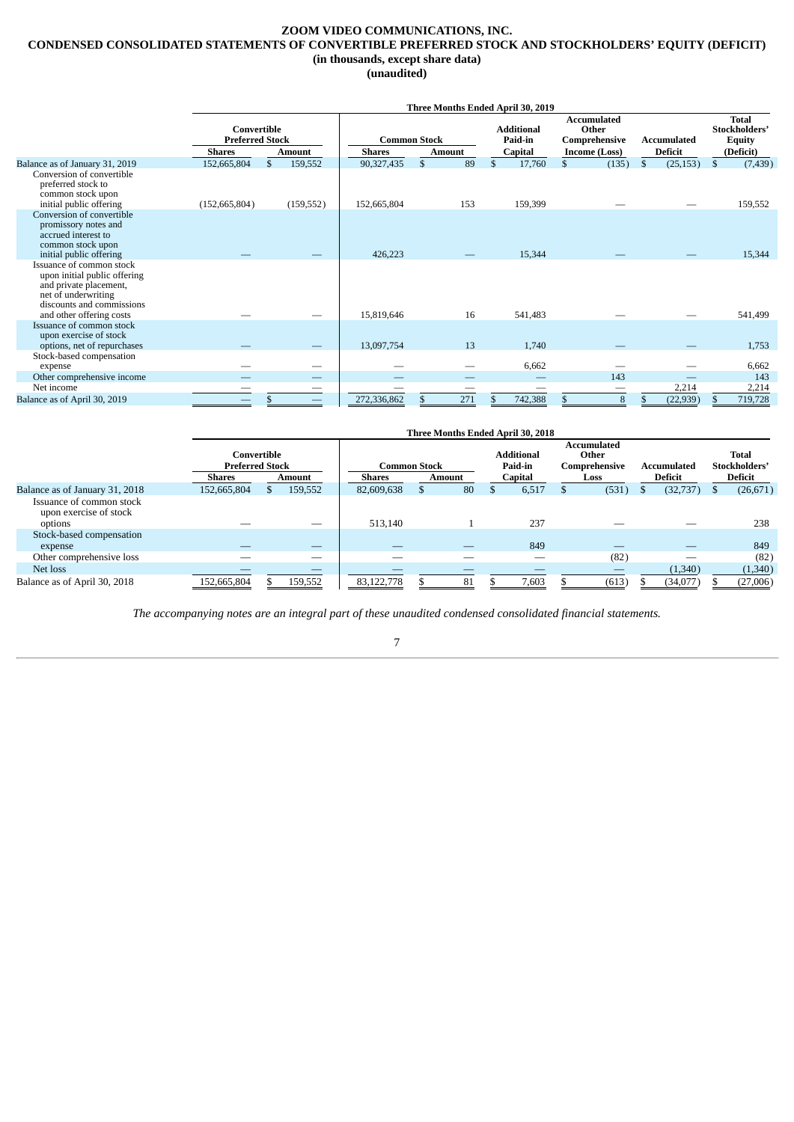# <span id="page-6-0"></span>**ZOOM VIDEO COMMUNICATIONS, INC. CONDENSED CONSOLIDATED STATEMENTS OF CONVERTIBLE PREFERRED STOCK AND STOCKHOLDERS' EQUITY (DEFICIT) (in thousands, except share data)**

**(unaudited)**

|                                                                                                                                                                    | Three Months Ended April 30, 2019     |               |               |                     |              |     |                              |  |                                              |                           |              |                                                |
|--------------------------------------------------------------------------------------------------------------------------------------------------------------------|---------------------------------------|---------------|---------------|---------------------|--------------|-----|------------------------------|--|----------------------------------------------|---------------------------|--------------|------------------------------------------------|
|                                                                                                                                                                    | Convertible<br><b>Preferred Stock</b> |               |               | <b>Common Stock</b> |              |     | <b>Additional</b><br>Paid-in |  | <b>Accumulated</b><br>Other<br>Comprehensive | <b>Accumulated</b>        |              | <b>Total</b><br>Stockholders'<br><b>Equity</b> |
|                                                                                                                                                                    | <b>Shares</b>                         |               | <b>Amount</b> | <b>Shares</b>       | Amount       |     | Capital                      |  | Income (Loss)                                | <b>Deficit</b>            | (Deficit)    |                                                |
| Balance as of January 31, 2019                                                                                                                                     | 152,665,804                           | $\mathcal{S}$ | 159,552       | 90,327,435          | $\mathbb{S}$ | 89  | $\mathcal{S}$<br>17,760      |  | \$<br>(135)                                  | $\mathbb{S}$<br>(25, 153) | $\mathbb{S}$ | (7, 439)                                       |
| Conversion of convertible<br>preferred stock to<br>common stock upon<br>initial public offering                                                                    | (152, 665, 804)                       |               | (159, 552)    | 152,665,804         |              | 153 | 159,399                      |  |                                              |                           |              | 159,552                                        |
| Conversion of convertible<br>promissory notes and<br>accrued interest to<br>common stock upon<br>initial public offering                                           |                                       |               |               | 426,223             |              |     | 15,344                       |  |                                              |                           |              | 15,344                                         |
| Issuance of common stock<br>upon initial public offering<br>and private placement,<br>net of underwriting<br>discounts and commissions<br>and other offering costs |                                       |               |               | 15,819,646          |              | 16  | 541,483                      |  |                                              |                           |              | 541,499                                        |
| Issuance of common stock<br>upon exercise of stock<br>options, net of repurchases                                                                                  |                                       |               |               | 13,097,754          |              | 13  | 1,740                        |  |                                              |                           |              | 1,753                                          |
| Stock-based compensation<br>expense                                                                                                                                |                                       |               |               |                     |              |     | 6,662                        |  |                                              |                           |              | 6,662                                          |
| Other comprehensive income                                                                                                                                         |                                       |               |               |                     |              |     |                              |  | 143                                          |                           |              | 143                                            |
| Net income                                                                                                                                                         | —                                     |               | --            |                     |              | –   |                              |  |                                              | 2,214                     |              | 2,214                                          |
| Balance as of April 30, 2019                                                                                                                                       |                                       |               |               | 272,336,862         |              | 271 | 742,388                      |  | 8                                            | (22, 939)                 |              | 719,728                                        |

|                                                               | Three Months Ended April 30, 2018     |  |                     |               |  |               |                              |         |                                       |       |             |                |                        |                |
|---------------------------------------------------------------|---------------------------------------|--|---------------------|---------------|--|---------------|------------------------------|---------|---------------------------------------|-------|-------------|----------------|------------------------|----------------|
|                                                               | Convertible<br><b>Preferred Stock</b> |  | <b>Common Stock</b> |               |  |               | <b>Additional</b><br>Paid-in |         | Accumulated<br>Other<br>Comprehensive |       | Accumulated |                | Total<br>Stockholders' |                |
|                                                               | <b>Shares</b>                         |  | Amount              | <b>Shares</b> |  | <b>Amount</b> |                              | Capital |                                       | Loss  |             | <b>Deficit</b> |                        | <b>Deficit</b> |
| Balance as of January 31, 2018                                | 152,665,804                           |  | 159,552             | 82,609,638    |  | 80            |                              | 6,517   |                                       | (531) |             | (32, 737)      | $\mathcal{F}$          | (26, 671)      |
| Issuance of common stock<br>upon exercise of stock<br>options |                                       |  |                     | 513,140       |  |               |                              | 237     |                                       |       |             |                |                        | 238            |
| Stock-based compensation                                      |                                       |  |                     |               |  |               |                              |         |                                       |       |             |                |                        |                |
| expense                                                       |                                       |  |                     |               |  |               |                              | 849     |                                       |       |             |                |                        | 849            |
| Other comprehensive loss                                      |                                       |  |                     |               |  |               |                              |         |                                       | (82)  |             |                |                        | (82)           |
| Net loss                                                      |                                       |  |                     |               |  |               |                              |         |                                       |       |             | (1,340)        |                        | (1,340)        |
| Balance as of April 30, 2018                                  | 152,665,804                           |  | 159,552             | 83,122,778    |  | 81            |                              | 7,603   |                                       | (613) |             | (34,077)       |                        | (27,006)       |

*The accompanying notes are an integral part of these unaudited condensed consolidated financial statements.*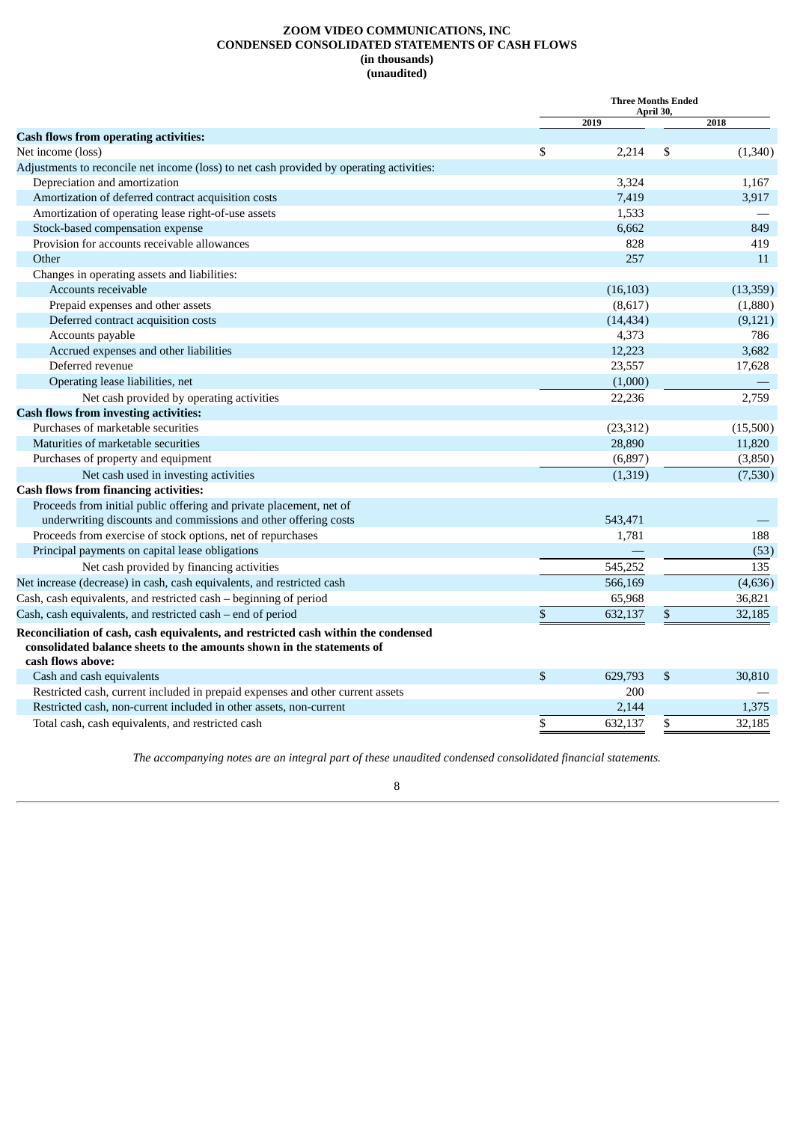# **ZOOM VIDEO COMMUNICATIONS, INC CONDENSED CONSOLIDATED STATEMENTS OF CASH FLOWS (in thousands) (unaudited)**

<span id="page-7-0"></span>

|                                                                                                                                                             | <b>Three Months Ended</b><br>April 30, |           |      |           |  |
|-------------------------------------------------------------------------------------------------------------------------------------------------------------|----------------------------------------|-----------|------|-----------|--|
|                                                                                                                                                             |                                        | 2019      | 2018 |           |  |
| <b>Cash flows from operating activities:</b>                                                                                                                |                                        |           |      |           |  |
| Net income (loss)                                                                                                                                           | \$                                     | 2,214     | \$   | (1,340)   |  |
| Adjustments to reconcile net income (loss) to net cash provided by operating activities:                                                                    |                                        |           |      |           |  |
| Depreciation and amortization                                                                                                                               |                                        | 3,324     |      | 1,167     |  |
| Amortization of deferred contract acquisition costs                                                                                                         |                                        | 7,419     |      | 3,917     |  |
| Amortization of operating lease right-of-use assets                                                                                                         |                                        | 1,533     |      |           |  |
| Stock-based compensation expense                                                                                                                            |                                        | 6,662     |      | 849       |  |
| Provision for accounts receivable allowances                                                                                                                |                                        | 828       |      | 419       |  |
| Other                                                                                                                                                       |                                        | 257       |      | 11        |  |
| Changes in operating assets and liabilities:                                                                                                                |                                        |           |      |           |  |
| Accounts receivable                                                                                                                                         |                                        | (16, 103) |      | (13, 359) |  |
| Prepaid expenses and other assets                                                                                                                           |                                        | (8,617)   |      | (1,880)   |  |
| Deferred contract acquisition costs                                                                                                                         |                                        | (14, 434) |      | (9, 121)  |  |
| Accounts payable                                                                                                                                            |                                        | 4,373     |      | 786       |  |
| Accrued expenses and other liabilities                                                                                                                      |                                        | 12,223    |      | 3,682     |  |
| Deferred revenue                                                                                                                                            |                                        | 23,557    |      | 17,628    |  |
| Operating lease liabilities, net                                                                                                                            |                                        | (1,000)   |      |           |  |
| Net cash provided by operating activities                                                                                                                   |                                        | 22,236    |      | 2,759     |  |
| <b>Cash flows from investing activities:</b>                                                                                                                |                                        |           |      |           |  |
| Purchases of marketable securities                                                                                                                          |                                        | (23, 312) |      | (15,500)  |  |
| Maturities of marketable securities                                                                                                                         |                                        | 28,890    |      | 11,820    |  |
| Purchases of property and equipment                                                                                                                         |                                        | (6, 897)  |      | (3,850)   |  |
| Net cash used in investing activities                                                                                                                       |                                        | (1, 319)  |      | (7,530)   |  |
| <b>Cash flows from financing activities:</b>                                                                                                                |                                        |           |      |           |  |
| Proceeds from initial public offering and private placement, net of                                                                                         |                                        |           |      |           |  |
| underwriting discounts and commissions and other offering costs                                                                                             |                                        | 543,471   |      |           |  |
| Proceeds from exercise of stock options, net of repurchases                                                                                                 |                                        | 1,781     |      | 188       |  |
| Principal payments on capital lease obligations                                                                                                             |                                        |           |      | (53)      |  |
| Net cash provided by financing activities                                                                                                                   |                                        | 545,252   |      | 135       |  |
| Net increase (decrease) in cash, cash equivalents, and restricted cash                                                                                      |                                        | 566,169   |      | (4,636)   |  |
| Cash, cash equivalents, and restricted cash - beginning of period                                                                                           |                                        | 65,968    |      | 36,821    |  |
| Cash, cash equivalents, and restricted cash - end of period                                                                                                 | \$                                     | 632,137   | \$   | 32,185    |  |
|                                                                                                                                                             |                                        |           |      |           |  |
| Reconciliation of cash, cash equivalents, and restricted cash within the condensed<br>consolidated balance sheets to the amounts shown in the statements of |                                        |           |      |           |  |
| cash flows above:                                                                                                                                           |                                        |           |      |           |  |
| Cash and cash equivalents                                                                                                                                   | \$                                     | 629,793   | \$   | 30,810    |  |
| Restricted cash, current included in prepaid expenses and other current assets                                                                              |                                        | 200       |      |           |  |
| Restricted cash, non-current included in other assets, non-current                                                                                          |                                        | 2,144     |      | 1,375     |  |
|                                                                                                                                                             | \$                                     | 632,137   | \$   | 32,185    |  |
| Total cash, cash equivalents, and restricted cash                                                                                                           |                                        |           |      |           |  |

*The accompanying notes are an integral part of these unaudited condensed consolidated financial statements.*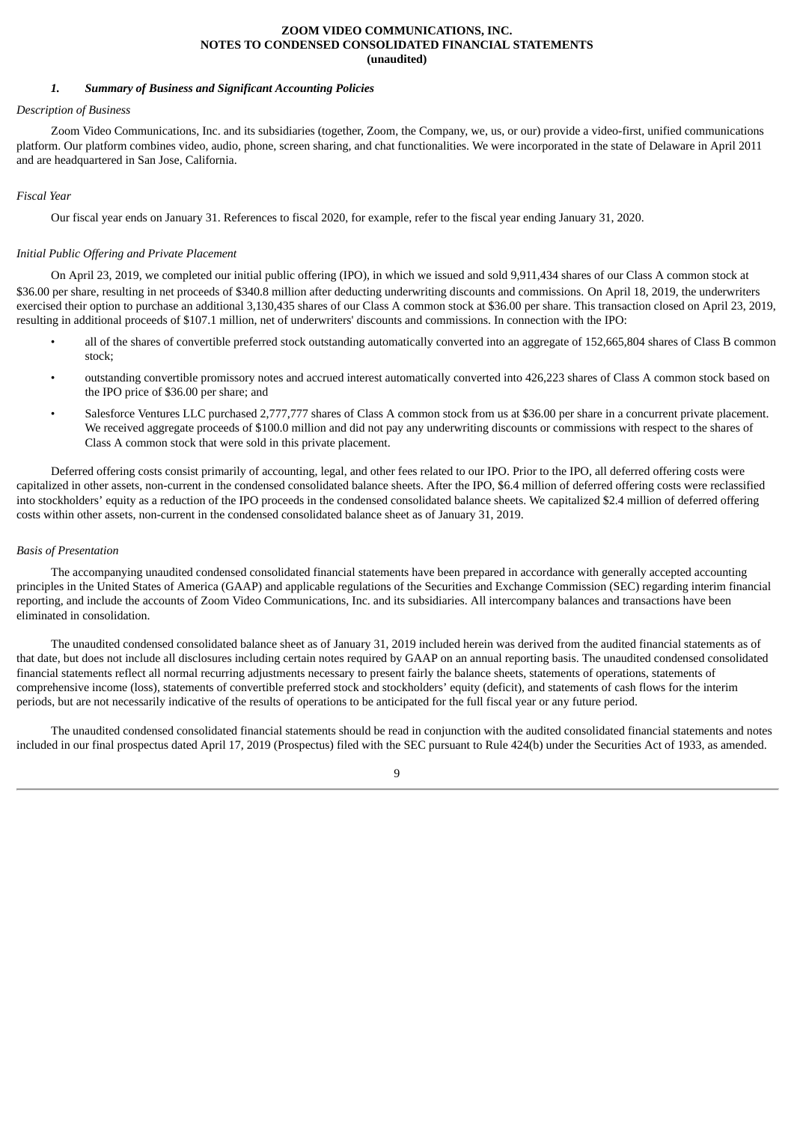# **ZOOM VIDEO COMMUNICATIONS, INC. NOTES TO CONDENSED CONSOLIDATED FINANCIAL STATEMENTS (unaudited)**

# <span id="page-8-0"></span>*1. Summary of Business and Significant Accounting Policies*

# *Description of Business*

Zoom Video Communications, Inc. and its subsidiaries (together, Zoom, the Company, we, us, or our) provide a video-first, unified communications platform. Our platform combines video, audio, phone, screen sharing, and chat functionalities. We were incorporated in the state of Delaware in April 2011 and are headquartered in San Jose, California.

# *Fiscal Year*

Our fiscal year ends on January 31. References to fiscal 2020, for example, refer to the fiscal year ending January 31, 2020.

# *Initial Public Offering and Private Placement*

On April 23, 2019, we completed our initial public offering (IPO), in which we issued and sold 9,911,434 shares of our Class A common stock at \$36.00 per share, resulting in net proceeds of \$340.8 million after deducting underwriting discounts and commissions. On April 18, 2019, the underwriters exercised their option to purchase an additional 3,130,435 shares of our Class A common stock at \$36.00 per share. This transaction closed on April 23, 2019, resulting in additional proceeds of \$107.1 million, net of underwriters' discounts and commissions. In connection with the IPO:

- all of the shares of convertible preferred stock outstanding automatically converted into an aggregate of 152,665,804 shares of Class B common stock;
- outstanding convertible promissory notes and accrued interest automatically converted into 426,223 shares of Class A common stock based on the IPO price of \$36.00 per share; and
- Salesforce Ventures LLC purchased 2,777,777 shares of Class A common stock from us at \$36.00 per share in a concurrent private placement. We received aggregate proceeds of \$100.0 million and did not pay any underwriting discounts or commissions with respect to the shares of Class A common stock that were sold in this private placement.

Deferred offering costs consist primarily of accounting, legal, and other fees related to our IPO. Prior to the IPO, all deferred offering costs were capitalized in other assets, non-current in the condensed consolidated balance sheets. After the IPO, \$6.4 million of deferred offering costs were reclassified into stockholders' equity as a reduction of the IPO proceeds in the condensed consolidated balance sheets. We capitalized \$2.4 million of deferred offering costs within other assets, non-current in the condensed consolidated balance sheet as of January 31, 2019.

# *Basis of Presentation*

The accompanying unaudited condensed consolidated financial statements have been prepared in accordance with generally accepted accounting principles in the United States of America (GAAP) and applicable regulations of the Securities and Exchange Commission (SEC) regarding interim financial reporting, and include the accounts of Zoom Video Communications, Inc. and its subsidiaries. All intercompany balances and transactions have been eliminated in consolidation.

The unaudited condensed consolidated balance sheet as of January 31, 2019 included herein was derived from the audited financial statements as of that date, but does not include all disclosures including certain notes required by GAAP on an annual reporting basis. The unaudited condensed consolidated financial statements reflect all normal recurring adjustments necessary to present fairly the balance sheets, statements of operations, statements of comprehensive income (loss), statements of convertible preferred stock and stockholders' equity (deficit), and statements of cash flows for the interim periods, but are not necessarily indicative of the results of operations to be anticipated for the full fiscal year or any future period.

The unaudited condensed consolidated financial statements should be read in conjunction with the audited consolidated financial statements and notes included in our final prospectus dated April 17, 2019 (Prospectus) filed with the SEC pursuant to Rule 424(b) under the Securities Act of 1933, as amended.

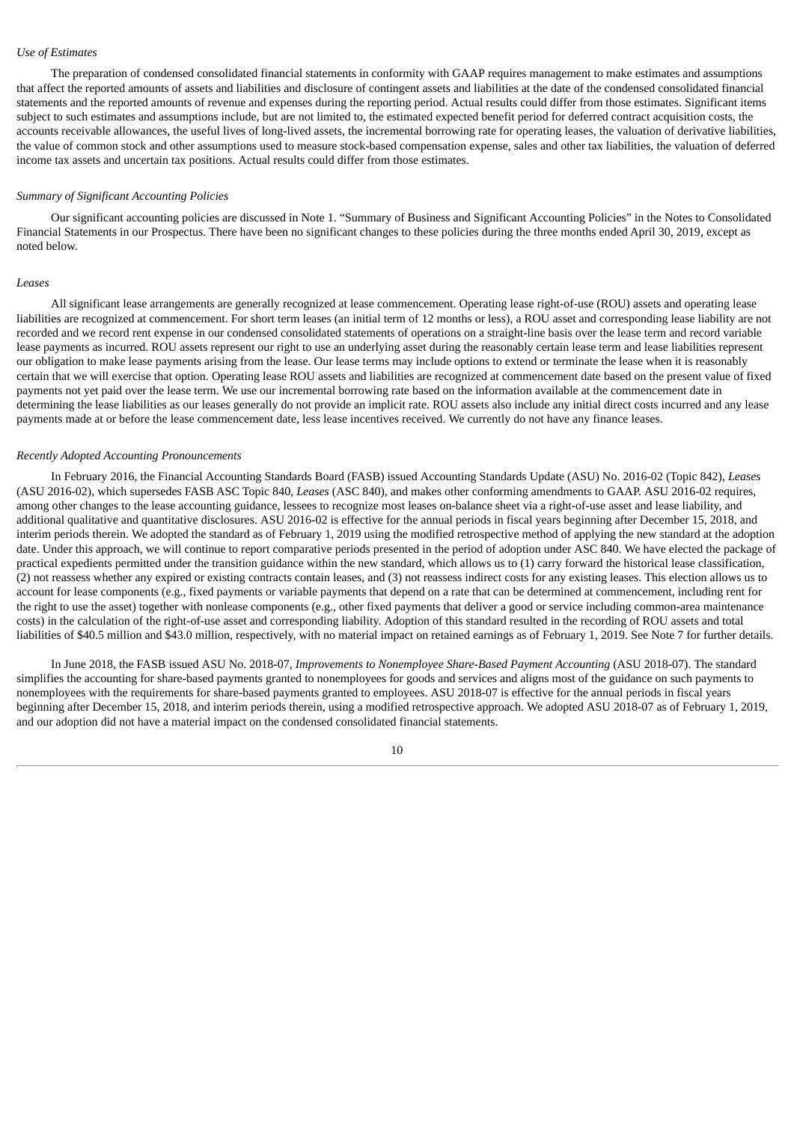# *Use of Estimates*

The preparation of condensed consolidated financial statements in conformity with GAAP requires management to make estimates and assumptions that affect the reported amounts of assets and liabilities and disclosure of contingent assets and liabilities at the date of the condensed consolidated financial statements and the reported amounts of revenue and expenses during the reporting period. Actual results could differ from those estimates. Significant items subject to such estimates and assumptions include, but are not limited to, the estimated expected benefit period for deferred contract acquisition costs, the accounts receivable allowances, the useful lives of long-lived assets, the incremental borrowing rate for operating leases, the valuation of derivative liabilities, the value of common stock and other assumptions used to measure stock-based compensation expense, sales and other tax liabilities, the valuation of deferred income tax assets and uncertain tax positions. Actual results could differ from those estimates.

#### *Summary of Significant Accounting Policies*

Our significant accounting policies are discussed in Note 1. "Summary of Business and Significant Accounting Policies" in the Notes to Consolidated Financial Statements in our Prospectus. There have been no significant changes to these policies during the three months ended April 30, 2019, except as noted below.

#### *Leases*

All significant lease arrangements are generally recognized at lease commencement. Operating lease right-of-use (ROU) assets and operating lease liabilities are recognized at commencement. For short term leases (an initial term of 12 months or less), a ROU asset and corresponding lease liability are not recorded and we record rent expense in our condensed consolidated statements of operations on a straight-line basis over the lease term and record variable lease payments as incurred. ROU assets represent our right to use an underlying asset during the reasonably certain lease term and lease liabilities represent our obligation to make lease payments arising from the lease. Our lease terms may include options to extend or terminate the lease when it is reasonably certain that we will exercise that option. Operating lease ROU assets and liabilities are recognized at commencement date based on the present value of fixed payments not yet paid over the lease term. We use our incremental borrowing rate based on the information available at the commencement date in determining the lease liabilities as our leases generally do not provide an implicit rate. ROU assets also include any initial direct costs incurred and any lease payments made at or before the lease commencement date, less lease incentives received. We currently do not have any finance leases.

#### *Recently Adopted Accounting Pronouncements*

In February 2016, the Financial Accounting Standards Board (FASB) issued Accounting Standards Update (ASU) No. 2016-02 (Topic 842), *Leases* (ASU 2016-02), which supersedes FASB ASC Topic 840, *Leases* (ASC 840), and makes other conforming amendments to GAAP. ASU 2016-02 requires, among other changes to the lease accounting guidance, lessees to recognize most leases on-balance sheet via a right-of-use asset and lease liability, and additional qualitative and quantitative disclosures. ASU 2016-02 is effective for the annual periods in fiscal years beginning after December 15, 2018, and interim periods therein. We adopted the standard as of February 1, 2019 using the modified retrospective method of applying the new standard at the adoption date. Under this approach, we will continue to report comparative periods presented in the period of adoption under ASC 840. We have elected the package of practical expedients permitted under the transition guidance within the new standard, which allows us to (1) carry forward the historical lease classification, (2) not reassess whether any expired or existing contracts contain leases, and (3) not reassess indirect costs for any existing leases. This election allows us to account for lease components (e.g., fixed payments or variable payments that depend on a rate that can be determined at commencement, including rent for the right to use the asset) together with nonlease components (e.g., other fixed payments that deliver a good or service including common-area maintenance costs) in the calculation of the right-of-use asset and corresponding liability. Adoption of this standard resulted in the recording of ROU assets and total liabilities of \$40.5 million and \$43.0 million, respectively, with no material impact on retained earnings as of February 1, 2019. See Note 7 for further details.

In June 2018, the FASB issued ASU No. 2018-07, *Improvements to Nonemployee Share-Based Payment Accounting* (ASU 2018-07). The standard simplifies the accounting for share-based payments granted to nonemployees for goods and services and aligns most of the guidance on such payments to nonemployees with the requirements for share-based payments granted to employees. ASU 2018-07 is effective for the annual periods in fiscal years beginning after December 15, 2018, and interim periods therein, using a modified retrospective approach. We adopted ASU 2018-07 as of February 1, 2019, and our adoption did not have a material impact on the condensed consolidated financial statements.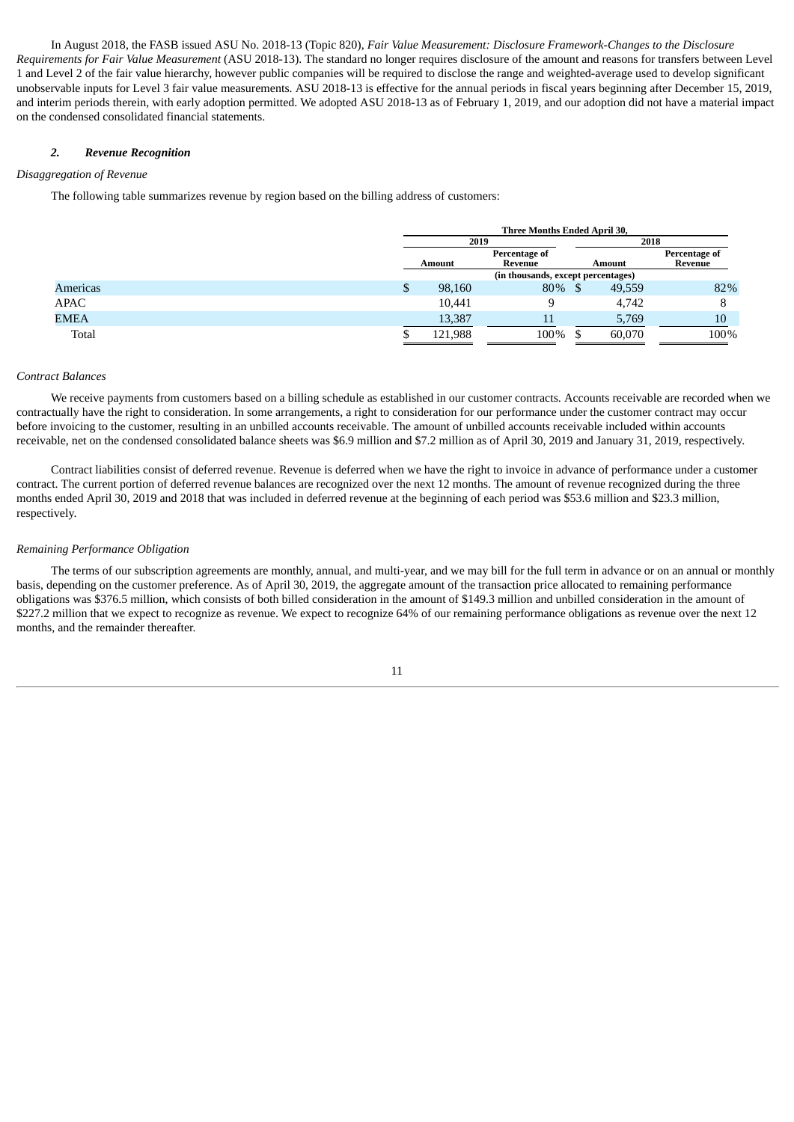In August 2018, the FASB issued ASU No. 2018-13 (Topic 820), *Fair Value Measurement: Disclosure Framework-Changes to the Disclosure Requirements for Fair Value Measurement* (ASU 2018-13). The standard no longer requires disclosure of the amount and reasons for transfers between Level 1 and Level 2 of the fair value hierarchy, however public companies will be required to disclose the range and weighted-average used to develop significant unobservable inputs for Level 3 fair value measurements. ASU 2018-13 is effective for the annual periods in fiscal years beginning after December 15, 2019, and interim periods therein, with early adoption permitted. We adopted ASU 2018-13 as of February 1, 2019, and our adoption did not have a material impact on the condensed consolidated financial statements.

# *2. Revenue Recognition*

#### *Disaggregation of Revenue*

The following table summarizes revenue by region based on the billing address of customers:

|                 |   | Three Months Ended April 30, |                                    |      |        |                          |  |  |  |  |  |
|-----------------|---|------------------------------|------------------------------------|------|--------|--------------------------|--|--|--|--|--|
|                 |   |                              | 2019                               |      | 2018   |                          |  |  |  |  |  |
|                 |   | Amount                       | Percentage of<br>Revenue           |      | Amount | Percentage of<br>Revenue |  |  |  |  |  |
|                 |   |                              | (in thousands, except percentages) |      |        |                          |  |  |  |  |  |
| <b>Americas</b> | Φ | 98,160                       | 80%                                | - \$ | 49,559 | 82%                      |  |  |  |  |  |
| APAC            |   | 10,441                       |                                    |      | 4,742  |                          |  |  |  |  |  |
| EMEA            |   | 13,387                       | 11                                 |      | 5,769  | 10                       |  |  |  |  |  |
| Total           |   | 121,988                      | 100%                               |      | 60,070 | 100%                     |  |  |  |  |  |

# *Contract Balances*

We receive payments from customers based on a billing schedule as established in our customer contracts. Accounts receivable are recorded when we contractually have the right to consideration. In some arrangements, a right to consideration for our performance under the customer contract may occur before invoicing to the customer, resulting in an unbilled accounts receivable. The amount of unbilled accounts receivable included within accounts receivable, net on the condensed consolidated balance sheets was \$6.9 million and \$7.2 million as of April 30, 2019 and January 31, 2019, respectively.

Contract liabilities consist of deferred revenue. Revenue is deferred when we have the right to invoice in advance of performance under a customer contract. The current portion of deferred revenue balances are recognized over the next 12 months. The amount of revenue recognized during the three months ended April 30, 2019 and 2018 that was included in deferred revenue at the beginning of each period was \$53.6 million and \$23.3 million, respectively.

#### *Remaining Performance Obligation*

The terms of our subscription agreements are monthly, annual, and multi-year, and we may bill for the full term in advance or on an annual or monthly basis, depending on the customer preference. As of April 30, 2019, the aggregate amount of the transaction price allocated to remaining performance obligations was \$376.5 million, which consists of both billed consideration in the amount of \$149.3 million and unbilled consideration in the amount of \$227.2 million that we expect to recognize as revenue. We expect to recognize 64% of our remaining performance obligations as revenue over the next 12 months, and the remainder thereafter.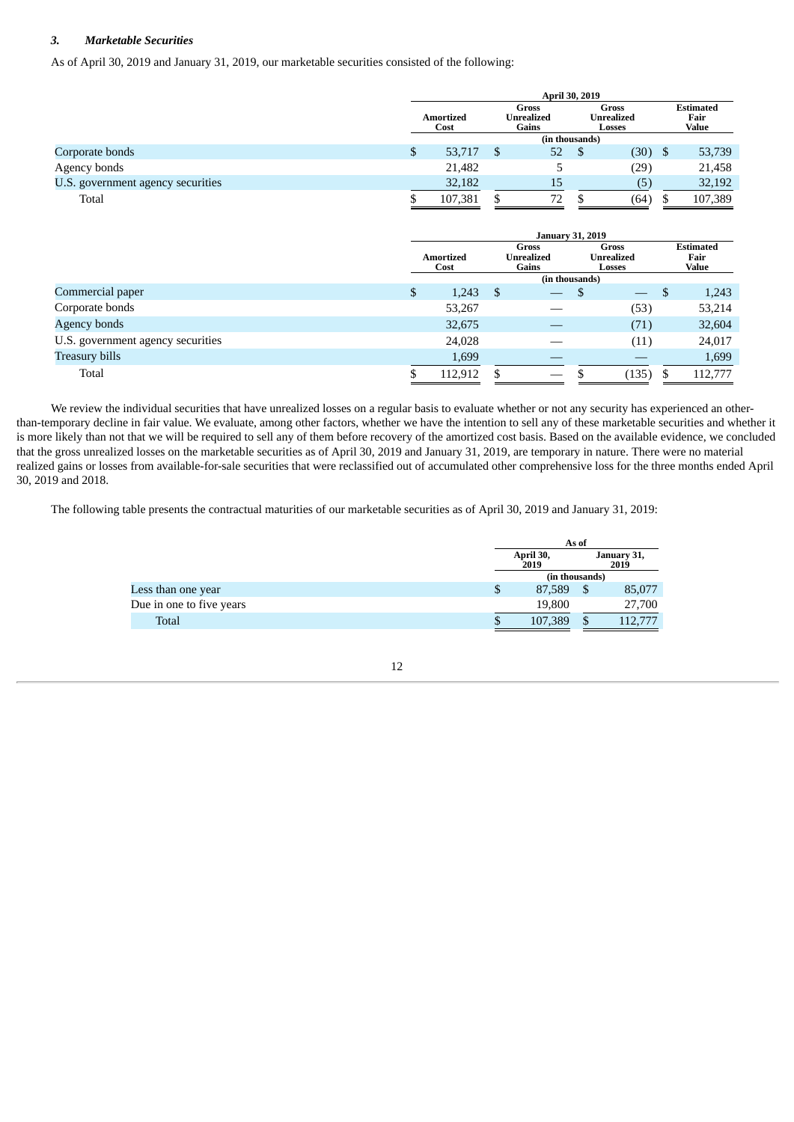# *3. Marketable Securities*

As of April 30, 2019 and January 31, 2019, our marketable securities consisted of the following:

|                                   |   | April 30, 2019           |         |                              |                |                               |      |  |                                   |  |  |
|-----------------------------------|---|--------------------------|---------|------------------------------|----------------|-------------------------------|------|--|-----------------------------------|--|--|
|                                   |   | <b>Amortized</b><br>Cost |         | Gross<br>Unrealized<br>Gains |                | Gross<br>Unrealized<br>Losses |      |  | <b>Estimated</b><br>Fair<br>Value |  |  |
|                                   |   |                          |         |                              | (in thousands) |                               |      |  |                                   |  |  |
| Corporate bonds                   | D |                          | 53,717  |                              | 52             | -\$                           | (30) |  | 53,739                            |  |  |
| Agency bonds                      |   |                          | 21,482  |                              |                |                               | (29) |  | 21,458                            |  |  |
| U.S. government agency securities |   |                          | 32,182  |                              | 15             |                               | (5)  |  | 32,192                            |  |  |
| Total                             |   |                          | 107,381 |                              | 72             |                               | (64) |  | 107,389                           |  |  |

|                                   |                          | <b>January 31, 2019</b> |                                     |                          |    |                                             |  |                                   |  |  |  |  |
|-----------------------------------|--------------------------|-------------------------|-------------------------------------|--------------------------|----|---------------------------------------------|--|-----------------------------------|--|--|--|--|
|                                   | <b>Amortized</b><br>Cost |                         | Gross<br><b>Unrealized</b><br>Gains |                          |    | <b>Gross</b><br><b>Unrealized</b><br>Losses |  | <b>Estimated</b><br>Fair<br>Value |  |  |  |  |
|                                   |                          |                         |                                     | (in thousands)           |    |                                             |  |                                   |  |  |  |  |
| Commercial paper                  | \$                       | 1,243                   | - S                                 |                          | \$ | $\overline{\phantom{0}}$                    |  | 1,243                             |  |  |  |  |
| Corporate bonds                   |                          | 53,267                  |                                     |                          |    | (53)                                        |  | 53,214                            |  |  |  |  |
| <b>Agency bonds</b>               |                          | 32,675                  |                                     |                          |    | (71)                                        |  | 32,604                            |  |  |  |  |
| U.S. government agency securities |                          | 24,028                  |                                     |                          |    | (11)                                        |  | 24,017                            |  |  |  |  |
| <b>Treasury bills</b>             |                          | 1,699                   |                                     |                          |    |                                             |  | 1,699                             |  |  |  |  |
| Total                             | .TI                      | 112,912                 |                                     | $\overline{\phantom{a}}$ |    | (135)                                       |  | 112,777                           |  |  |  |  |

We review the individual securities that have unrealized losses on a regular basis to evaluate whether or not any security has experienced an otherthan-temporary decline in fair value. We evaluate, among other factors, whether we have the intention to sell any of these marketable securities and whether it is more likely than not that we will be required to sell any of them before recovery of the amortized cost basis. Based on the available evidence, we concluded that the gross unrealized losses on the marketable securities as of April 30, 2019 and January 31, 2019, are temporary in nature. There were no material realized gains or losses from available-for-sale securities that were reclassified out of accumulated other comprehensive loss for the three months ended April 30, 2019 and 2018.

The following table presents the contractual maturities of our marketable securities as of April 30, 2019 and January 31, 2019:

|                          |    | As of             |    |                     |  |
|--------------------------|----|-------------------|----|---------------------|--|
|                          |    | April 30,<br>2019 |    | January 31,<br>2019 |  |
|                          |    | (in thousands)    |    |                     |  |
| Less than one year       | \$ | 87,589            | S  | 85,077              |  |
| Due in one to five years |    | 19,800            |    | 27,700              |  |
| Total                    | S  | 107,389           | \$ | 112,777             |  |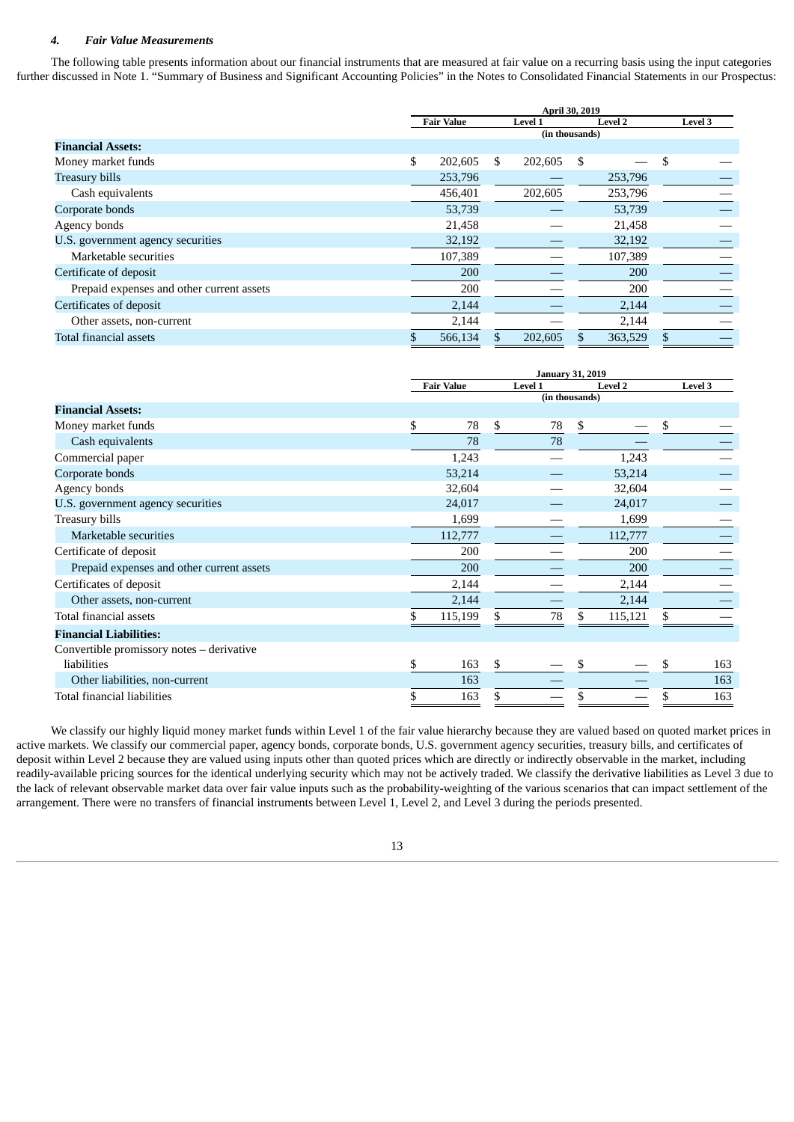#### *4. Fair Value Measurements*

The following table presents information about our financial instruments that are measured at fair value on a recurring basis using the input categories further discussed in Note 1. "Summary of Business and Significant Accounting Policies" in the Notes to Consolidated Financial Statements in our Prospectus:

|                                           | April 30, 2019    |    |         |         |         |    |         |
|-------------------------------------------|-------------------|----|---------|---------|---------|----|---------|
|                                           | <b>Fair Value</b> |    | Level 1 | Level 2 |         |    | Level 3 |
|                                           | (in thousands)    |    |         |         |         |    |         |
| <b>Financial Assets:</b>                  |                   |    |         |         |         |    |         |
| Money market funds                        | \$<br>202,605     | S. | 202,605 | - \$    |         | \$ |         |
| <b>Treasury bills</b>                     | 253,796           |    |         |         | 253,796 |    |         |
| Cash equivalents                          | 456,401           |    | 202,605 |         | 253,796 |    |         |
| Corporate bonds                           | 53,739            |    |         |         | 53,739  |    |         |
| Agency bonds                              | 21,458            |    |         |         | 21,458  |    |         |
| U.S. government agency securities         | 32,192            |    |         |         | 32,192  |    |         |
| Marketable securities                     | 107,389           |    |         |         | 107,389 |    |         |
| Certificate of deposit                    | 200               |    |         |         | 200     |    |         |
| Prepaid expenses and other current assets | 200               |    |         |         | 200     |    |         |
| Certificates of deposit                   | 2,144             |    |         |         | 2,144   |    |         |
| Other assets, non-current                 | 2,144             |    |         |         | 2,144   |    |         |
| Total financial assets                    | \$<br>566,134     |    | 202,605 | \$      | 363,529 |    |         |

|                                           | <b>January 31, 2019</b> |          |                |         |    |         |
|-------------------------------------------|-------------------------|----------|----------------|---------|----|---------|
|                                           | <b>Fair Value</b>       | Level 1  |                | Level 2 |    | Level 3 |
|                                           |                         |          | (in thousands) |         |    |         |
| <b>Financial Assets:</b>                  |                         |          |                |         |    |         |
| Money market funds                        | \$<br>78                | \$<br>78 | \$             |         | \$ |         |
| Cash equivalents                          | 78                      | 78       |                |         |    |         |
| Commercial paper                          | 1,243                   |          |                | 1,243   |    |         |
| Corporate bonds                           | 53,214                  |          |                | 53,214  |    |         |
| Agency bonds                              | 32,604                  |          |                | 32,604  |    |         |
| U.S. government agency securities         | 24,017                  |          |                | 24,017  |    |         |
| Treasury bills                            | 1,699                   |          |                | 1,699   |    |         |
| Marketable securities                     | 112,777                 |          |                | 112,777 |    |         |
| Certificate of deposit                    | 200                     |          |                | 200     |    |         |
| Prepaid expenses and other current assets | 200                     |          |                | 200     |    |         |
| Certificates of deposit                   | 2,144                   |          |                | 2,144   |    |         |
| Other assets, non-current                 | 2,144                   |          |                | 2,144   |    |         |
| Total financial assets                    | 115,199                 | 78       |                | 115,121 |    |         |
| <b>Financial Liabilities:</b>             |                         |          |                |         |    |         |
| Convertible promissory notes - derivative |                         |          |                |         |    |         |
| liabilities                               | \$<br>163               | \$       |                |         | \$ | 163     |
| Other liabilities, non-current            | 163                     |          |                |         |    | 163     |
| Total financial liabilities               | 163                     |          |                |         |    | 163     |

We classify our highly liquid money market funds within Level 1 of the fair value hierarchy because they are valued based on quoted market prices in active markets. We classify our commercial paper, agency bonds, corporate bonds, U.S. government agency securities, treasury bills, and certificates of deposit within Level 2 because they are valued using inputs other than quoted prices which are directly or indirectly observable in the market, including readily-available pricing sources for the identical underlying security which may not be actively traded. We classify the derivative liabilities as Level 3 due to the lack of relevant observable market data over fair value inputs such as the probability-weighting of the various scenarios that can impact settlement of the arrangement. There were no transfers of financial instruments between Level 1, Level 2, and Level 3 during the periods presented.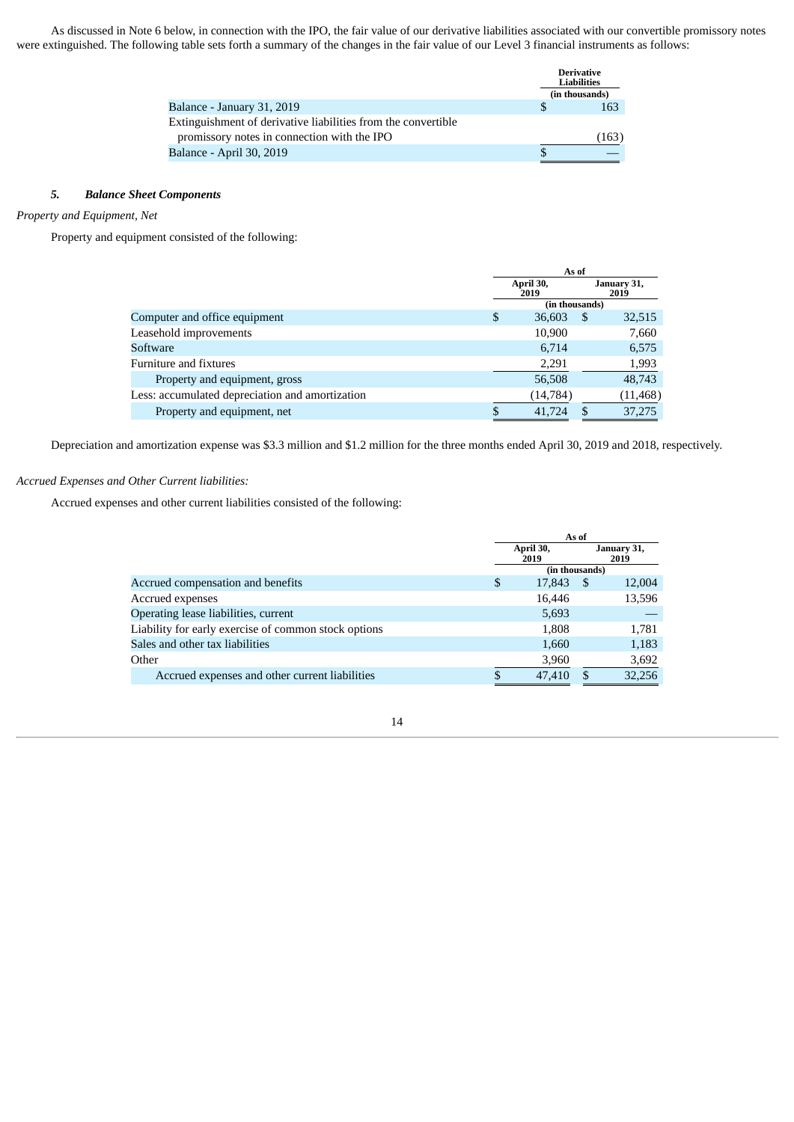As discussed in Note 6 below, in connection with the IPO, the fair value of our derivative liabilities associated with our convertible promissory notes were extinguished. The following table sets forth a summary of the changes in the fair value of our Level 3 financial instruments as follows:

| <b>Derivative</b><br><b>Liabilities</b><br>(in thousands) |
|-----------------------------------------------------------|
| 163                                                       |
|                                                           |
| (163)                                                     |
|                                                           |
|                                                           |

# *5. Balance Sheet Components*

# *Property and Equipment, Net*

Property and equipment consisted of the following:

|                                                 | As of |                   |     |                     |
|-------------------------------------------------|-------|-------------------|-----|---------------------|
|                                                 |       | April 30,<br>2019 |     | January 31,<br>2019 |
|                                                 |       | (in thousands)    |     |                     |
| Computer and office equipment                   | \$    | 36,603            | -S  | 32,515              |
| Leasehold improvements                          |       | 10,900            |     | 7,660               |
| Software                                        |       | 6.714             |     | 6,575               |
| Furniture and fixtures                          |       | 2,291             |     | 1,993               |
| Property and equipment, gross                   |       | 56,508            |     | 48,743              |
| Less: accumulated depreciation and amortization |       | (14, 784)         |     | (11, 468)           |
| Property and equipment, net                     |       | 41,724            | \$. | 37,275              |
|                                                 |       |                   |     |                     |

Depreciation and amortization expense was \$3.3 million and \$1.2 million for the three months ended April 30, 2019 and 2018, respectively.

# *Accrued Expenses and Other Current liabilities:*

Accrued expenses and other current liabilities consisted of the following:

|                                                      | As of             |                |               |                     |
|------------------------------------------------------|-------------------|----------------|---------------|---------------------|
|                                                      | April 30,<br>2019 |                |               | January 31,<br>2019 |
|                                                      |                   | (in thousands) |               |                     |
| Accrued compensation and benefits                    | \$                | 17,843         | <sup>\$</sup> | 12,004              |
| Accrued expenses                                     |                   | 16,446         |               | 13,596              |
| Operating lease liabilities, current                 |                   | 5,693          |               |                     |
| Liability for early exercise of common stock options |                   | 1,808          |               | 1,781               |
| Sales and other tax liabilities                      |                   | 1,660          |               | 1,183               |
| Other                                                |                   | 3,960          |               | 3,692               |
| Accrued expenses and other current liabilities       | \$                | 47,410         | \$            | 32,256              |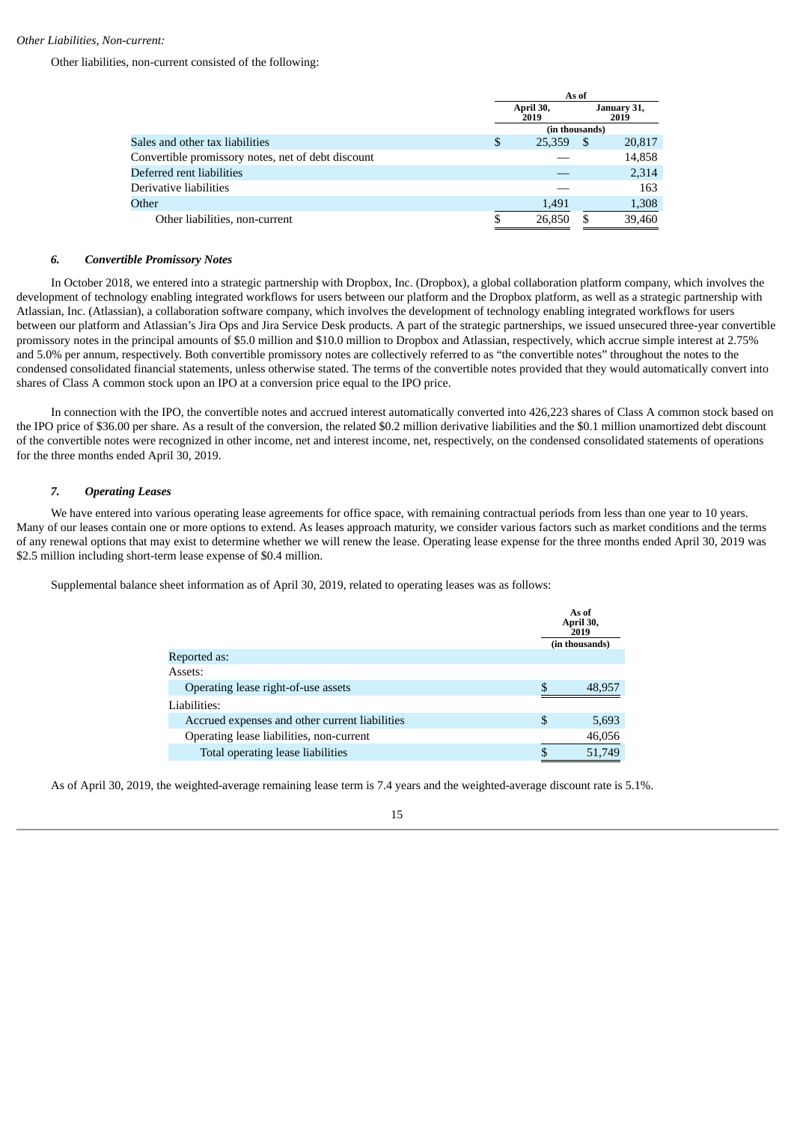#### *Other Liabilities, Non-current:*

Other liabilities, non-current consisted of the following:

|                                                    | As of             |                |      |                     |
|----------------------------------------------------|-------------------|----------------|------|---------------------|
|                                                    | April 30,<br>2019 |                |      | January 31,<br>2019 |
|                                                    |                   | (in thousands) |      |                     |
| Sales and other tax liabilities                    | \$                | 25,359         | - \$ | 20,817              |
| Convertible promissory notes, net of debt discount |                   |                |      | 14,858              |
| Deferred rent liabilities                          |                   |                |      | 2,314               |
| Derivative liabilities                             |                   |                |      | 163                 |
| Other                                              |                   | 1,491          |      | 1,308               |
| Other liabilities, non-current                     | S                 | 26,850         | S    | 39.460              |

#### *6. Convertible Promissory Notes*

In October 2018, we entered into a strategic partnership with Dropbox, Inc. (Dropbox), a global collaboration platform company, which involves the development of technology enabling integrated workflows for users between our platform and the Dropbox platform, as well as a strategic partnership with Atlassian, Inc. (Atlassian), a collaboration software company, which involves the development of technology enabling integrated workflows for users between our platform and Atlassian's Jira Ops and Jira Service Desk products. A part of the strategic partnerships, we issued unsecured three-year convertible promissory notes in the principal amounts of \$5.0 million and \$10.0 million to Dropbox and Atlassian, respectively, which accrue simple interest at 2.75% and 5.0% per annum, respectively. Both convertible promissory notes are collectively referred to as "the convertible notes" throughout the notes to the condensed consolidated financial statements, unless otherwise stated. The terms of the convertible notes provided that they would automatically convert into shares of Class A common stock upon an IPO at a conversion price equal to the IPO price.

In connection with the IPO, the convertible notes and accrued interest automatically converted into 426,223 shares of Class A common stock based on the IPO price of \$36.00 per share. As a result of the conversion, the related \$0.2 million derivative liabilities and the \$0.1 million unamortized debt discount of the convertible notes were recognized in other income, net and interest income, net, respectively, on the condensed consolidated statements of operations for the three months ended April 30, 2019.

# *7. Operating Leases*

We have entered into various operating lease agreements for office space, with remaining contractual periods from less than one year to 10 years. Many of our leases contain one or more options to extend. As leases approach maturity, we consider various factors such as market conditions and the terms of any renewal options that may exist to determine whether we will renew the lease. Operating lease expense for the three months ended April 30, 2019 was \$2.5 million including short-term lease expense of \$0.4 million.

Supplemental balance sheet information as of April 30, 2019, related to operating leases was as follows:

|                                                | As of<br>April 30,<br>2019<br>(in thousands) |
|------------------------------------------------|----------------------------------------------|
| Reported as:                                   |                                              |
| Assets:                                        |                                              |
| Operating lease right-of-use assets            | 48,957                                       |
| Liabilities:                                   |                                              |
| Accrued expenses and other current liabilities | \$<br>5,693                                  |
| Operating lease liabilities, non-current       | 46,056                                       |
| Total operating lease liabilities              | 51,749                                       |

As of April 30, 2019, the weighted-average remaining lease term is 7.4 years and the weighted-average discount rate is 5.1%.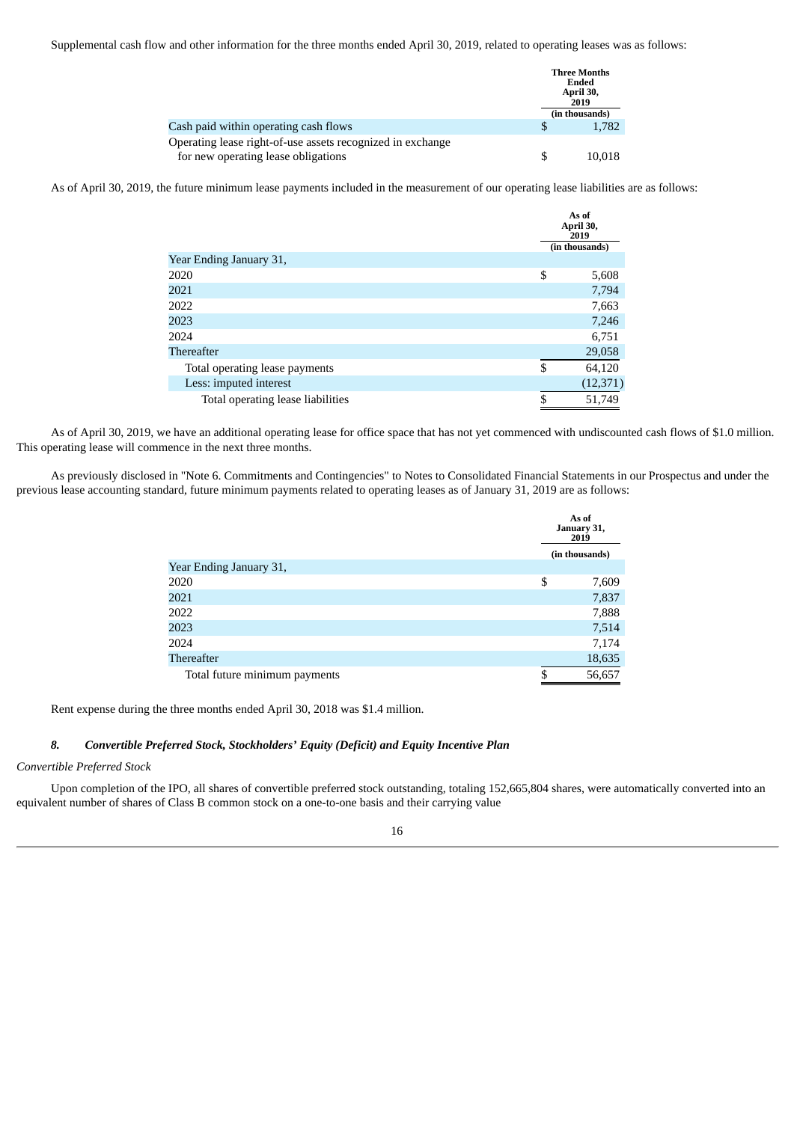Supplemental cash flow and other information for the three months ended April 30, 2019, related to operating leases was as follows:

|                                                                                                   | <b>Three Months</b><br>Ended<br>April 30,<br>2019<br>(in thousands) |
|---------------------------------------------------------------------------------------------------|---------------------------------------------------------------------|
| Cash paid within operating cash flows                                                             | 1.782                                                               |
| Operating lease right-of-use assets recognized in exchange<br>for new operating lease obligations | 10,018                                                              |

As of April 30, 2019, the future minimum lease payments included in the measurement of our operating lease liabilities are as follows:

|                                   | As of<br>April 30,<br>2019<br>(in thousands) |
|-----------------------------------|----------------------------------------------|
| Year Ending January 31,           |                                              |
| 2020                              | \$<br>5,608                                  |
| 2021                              | 7,794                                        |
| 2022                              | 7,663                                        |
| 2023                              | 7,246                                        |
| 2024                              | 6,751                                        |
| <b>Thereafter</b>                 | 29,058                                       |
| Total operating lease payments    | \$<br>64,120                                 |
| Less: imputed interest            | (12, 371)                                    |
| Total operating lease liabilities | \$<br>51,749                                 |

As of April 30, 2019, we have an additional operating lease for office space that has not yet commenced with undiscounted cash flows of \$1.0 million. This operating lease will commence in the next three months.

As previously disclosed in "Note 6. Commitments and Contingencies" to Notes to Consolidated Financial Statements in our Prospectus and under the previous lease accounting standard, future minimum payments related to operating leases as of January 31, 2019 are as follows:

|                               | As of<br>January 31,<br>2019 |
|-------------------------------|------------------------------|
|                               | (in thousands)               |
| Year Ending January 31,       |                              |
| 2020                          | \$<br>7,609                  |
| 2021                          | 7,837                        |
| 2022                          | 7,888                        |
| 2023                          | 7,514                        |
| 2024                          | 7,174                        |
| Thereafter                    | 18,635                       |
| Total future minimum payments | \$<br>56,657                 |

Rent expense during the three months ended April 30, 2018 was \$1.4 million.

# *8. Convertible Preferred Stock, Stockholders' Equity (Deficit) and Equity Incentive Plan*

# *Convertible Preferred Stock*

Upon completion of the IPO, all shares of convertible preferred stock outstanding, totaling 152,665,804 shares, were automatically converted into an equivalent number of shares of Class B common stock on a one-to-one basis and their carrying value

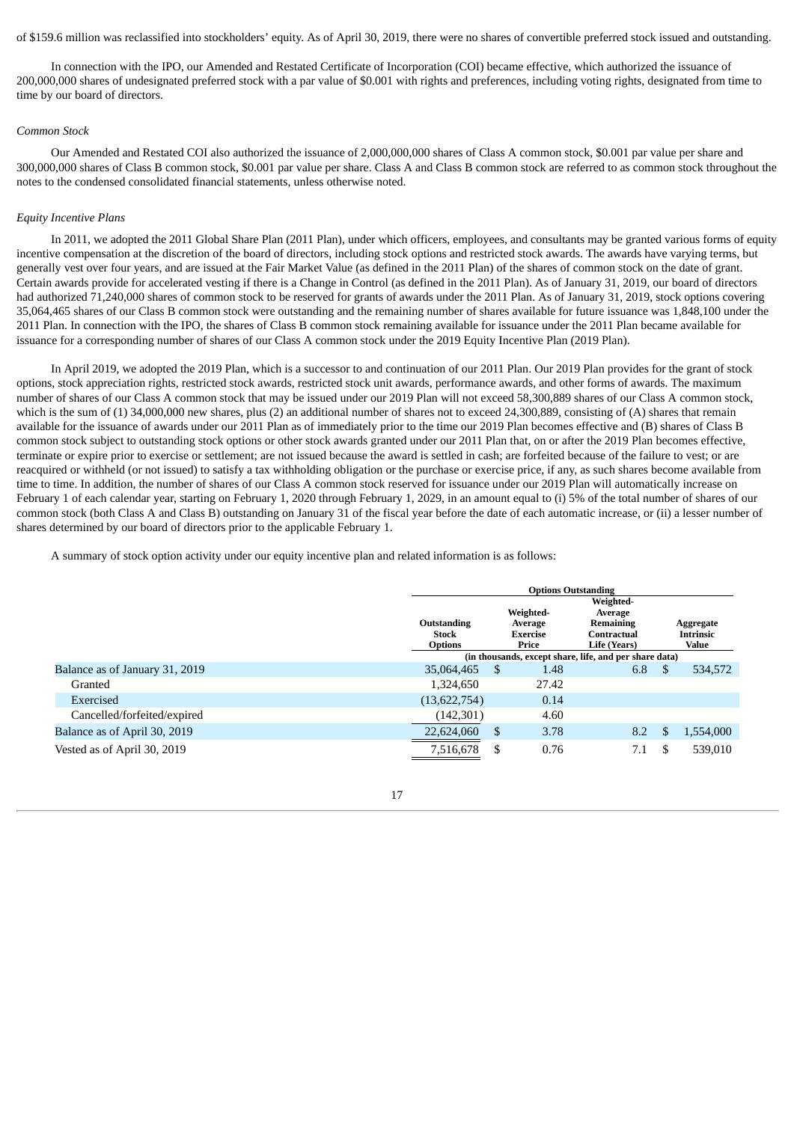of \$159.6 million was reclassified into stockholders' equity. As of April 30, 2019, there were no shares of convertible preferred stock issued and outstanding.

In connection with the IPO, our Amended and Restated Certificate of Incorporation (COI) became effective, which authorized the issuance of 200,000,000 shares of undesignated preferred stock with a par value of \$0.001 with rights and preferences, including voting rights, designated from time to time by our board of directors.

# *Common Stock*

Our Amended and Restated COI also authorized the issuance of 2,000,000,000 shares of Class A common stock, \$0.001 par value per share and 300,000,000 shares of Class B common stock, \$0.001 par value per share. Class A and Class B common stock are referred to as common stock throughout the notes to the condensed consolidated financial statements, unless otherwise noted.

# *Equity Incentive Plans*

In 2011, we adopted the 2011 Global Share Plan (2011 Plan), under which officers, employees, and consultants may be granted various forms of equity incentive compensation at the discretion of the board of directors, including stock options and restricted stock awards. The awards have varying terms, but generally vest over four years, and are issued at the Fair Market Value (as defined in the 2011 Plan) of the shares of common stock on the date of grant. Certain awards provide for accelerated vesting if there is a Change in Control (as defined in the 2011 Plan). As of January 31, 2019, our board of directors had authorized 71,240,000 shares of common stock to be reserved for grants of awards under the 2011 Plan. As of January 31, 2019, stock options covering 35,064,465 shares of our Class B common stock were outstanding and the remaining number of shares available for future issuance was 1,848,100 under the 2011 Plan. In connection with the IPO, the shares of Class B common stock remaining available for issuance under the 2011 Plan became available for issuance for a corresponding number of shares of our Class A common stock under the 2019 Equity Incentive Plan (2019 Plan).

In April 2019, we adopted the 2019 Plan, which is a successor to and continuation of our 2011 Plan. Our 2019 Plan provides for the grant of stock options, stock appreciation rights, restricted stock awards, restricted stock unit awards, performance awards, and other forms of awards. The maximum number of shares of our Class A common stock that may be issued under our 2019 Plan will not exceed 58,300,889 shares of our Class A common stock, which is the sum of (1) 34,000,000 new shares, plus (2) an additional number of shares not to exceed 24,300,889, consisting of (A) shares that remain available for the issuance of awards under our 2011 Plan as of immediately prior to the time our 2019 Plan becomes effective and (B) shares of Class B common stock subject to outstanding stock options or other stock awards granted under our 2011 Plan that, on or after the 2019 Plan becomes effective, terminate or expire prior to exercise or settlement; are not issued because the award is settled in cash; are forfeited because of the failure to vest; or are reacquired or withheld (or not issued) to satisfy a tax withholding obligation or the purchase or exercise price, if any, as such shares become available from time to time. In addition, the number of shares of our Class A common stock reserved for issuance under our 2019 Plan will automatically increase on February 1 of each calendar year, starting on February 1, 2020 through February 1, 2029, in an amount equal to (i) 5% of the total number of shares of our common stock (both Class A and Class B) outstanding on January 31 of the fiscal year before the date of each automatic increase, or (ii) a lesser number of shares determined by our board of directors prior to the applicable February 1.

A summary of stock option activity under our equity incentive plan and related information is as follows:

|                                | <b>Options Outstanding</b> |               |             |                                                        |    |           |                                 |       |  |                  |
|--------------------------------|----------------------------|---------------|-------------|--------------------------------------------------------|----|-----------|---------------------------------|-------|--|------------------|
|                                | Weighted-                  |               |             |                                                        |    |           |                                 |       |  |                  |
|                                |                            |               | Weighted-   | Average                                                |    |           |                                 |       |  |                  |
|                                | Outstanding                |               | Average     | Remaining                                              |    | Aggregate |                                 |       |  |                  |
|                                |                            |               | Contractual |                                                        |    |           | <b>Stock</b><br><b>Exercise</b> |       |  | <b>Intrinsic</b> |
|                                | <b>Options</b>             | Price         |             | Life (Years)                                           |    |           |                                 | Value |  |                  |
|                                |                            |               |             | (in thousands, except share, life, and per share data) |    |           |                                 |       |  |                  |
| Balance as of January 31, 2019 | 35,064,465                 | <b>S</b>      | 1.48        | 6.8                                                    | £. | 534,572   |                                 |       |  |                  |
| Granted                        | 1,324,650                  |               | 27.42       |                                                        |    |           |                                 |       |  |                  |
| Exercised                      | (13,622,754)               |               | 0.14        |                                                        |    |           |                                 |       |  |                  |
| Cancelled/forfeited/expired    | (142, 301)                 |               | 4.60        |                                                        |    |           |                                 |       |  |                  |
| Balance as of April 30, 2019   | 22,624,060                 | <sup>\$</sup> | 3.78        | 8.2                                                    | £. | 1,554,000 |                                 |       |  |                  |
| Vested as of April 30, 2019    | 7,516,678                  | S             | 0.76        | 7.1                                                    |    | 539,010   |                                 |       |  |                  |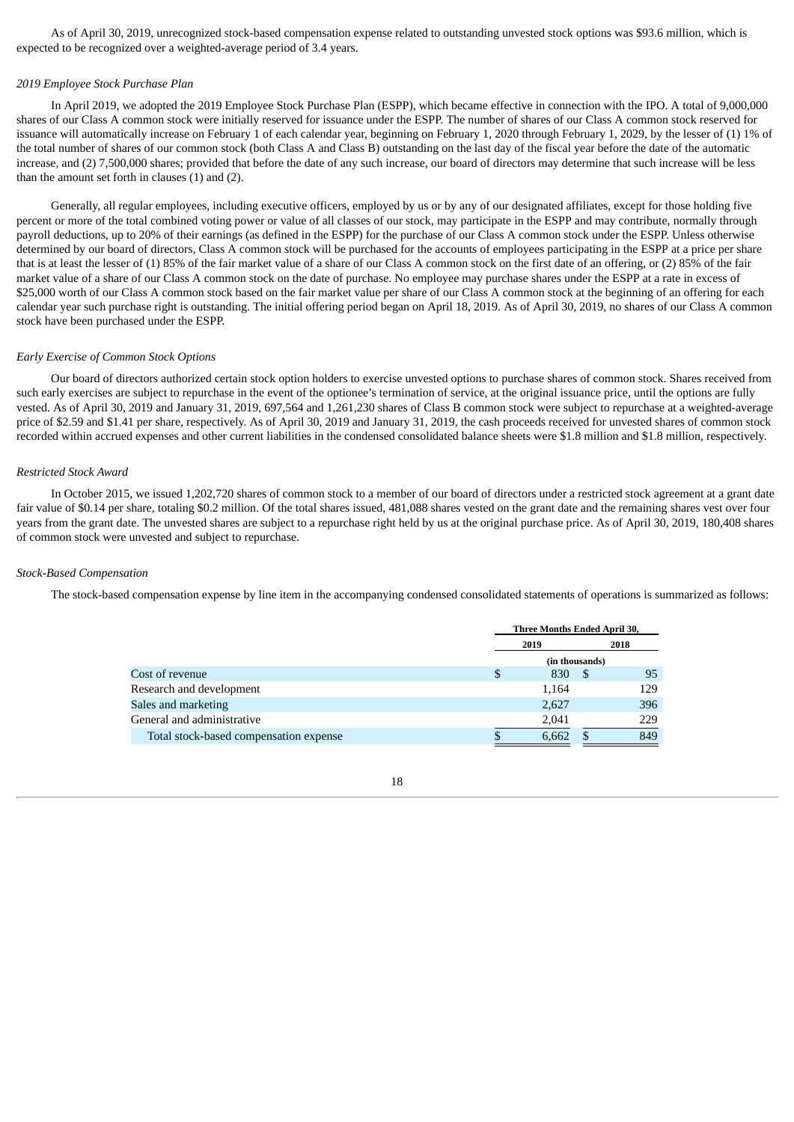As of April 30, 2019, unrecognized stock-based compensation expense related to outstanding unvested stock options was \$93.6 million, which is expected to be recognized over a weighted-average period of 3.4 years.

#### *2019 Employee Stock Purchase Plan*

In April 2019, we adopted the 2019 Employee Stock Purchase Plan (ESPP), which became effective in connection with the IPO. A total of 9,000,000 shares of our Class A common stock were initially reserved for issuance under the ESPP. The number of shares of our Class A common stock reserved for issuance will automatically increase on February 1 of each calendar year, beginning on February 1, 2020 through February 1, 2029, by the lesser of (1) 1% of the total number of shares of our common stock (both Class A and Class B) outstanding on the last day of the fiscal year before the date of the automatic increase, and (2) 7,500,000 shares; provided that before the date of any such increase, our board of directors may determine that such increase will be less than the amount set forth in clauses (1) and (2).

Generally, all regular employees, including executive officers, employed by us or by any of our designated affiliates, except for those holding five percent or more of the total combined voting power or value of all classes of our stock, may participate in the ESPP and may contribute, normally through payroll deductions, up to 20% of their earnings (as defined in the ESPP) for the purchase of our Class A common stock under the ESPP. Unless otherwise determined by our board of directors, Class A common stock will be purchased for the accounts of employees participating in the ESPP at a price per share that is at least the lesser of (1) 85% of the fair market value of a share of our Class A common stock on the first date of an offering, or (2) 85% of the fair market value of a share of our Class A common stock on the date of purchase. No employee may purchase shares under the ESPP at a rate in excess of \$25,000 worth of our Class A common stock based on the fair market value per share of our Class A common stock at the beginning of an offering for each calendar year such purchase right is outstanding. The initial offering period began on April 18, 2019. As of April 30, 2019, no shares of our Class A common stock have been purchased under the ESPP.

#### *Early Exercise of Common Stock Options*

Our board of directors authorized certain stock option holders to exercise unvested options to purchase shares of common stock. Shares received from such early exercises are subject to repurchase in the event of the optionee's termination of service, at the original issuance price, until the options are fully vested. As of April 30, 2019 and January 31, 2019, 697,564 and 1,261,230 shares of Class B common stock were subject to repurchase at a weighted-average price of \$2.59 and \$1.41 per share, respectively. As of April 30, 2019 and January 31, 2019, the cash proceeds received for unvested shares of common stock recorded within accrued expenses and other current liabilities in the condensed consolidated balance sheets were \$1.8 million and \$1.8 million, respectively.

# *Restricted Stock Award*

In October 2015, we issued 1,202,720 shares of common stock to a member of our board of directors under a restricted stock agreement at a grant date fair value of \$0.14 per share, totaling \$0.2 million. Of the total shares issued, 481,088 shares vested on the grant date and the remaining shares vest over four years from the grant date. The unvested shares are subject to a repurchase right held by us at the original purchase price. As of April 30, 2019, 180,408 shares of common stock were unvested and subject to repurchase.

#### *Stock-Based Compensation*

The stock-based compensation expense by line item in the accompanying condensed consolidated statements of operations is summarized as follows:

|                                        | Three Months Ended April 30, |                |      |  |  |
|----------------------------------------|------------------------------|----------------|------|--|--|
|                                        | 2019                         |                | 2018 |  |  |
|                                        |                              | (in thousands) |      |  |  |
| Cost of revenue                        | \$<br>830                    | .S             | 95   |  |  |
| Research and development               | 1,164                        |                | 129  |  |  |
| Sales and marketing                    | 2,627                        |                | 396  |  |  |
| General and administrative             | 2,041                        |                | 229  |  |  |
| Total stock-based compensation expense | 6.662                        |                | 849  |  |  |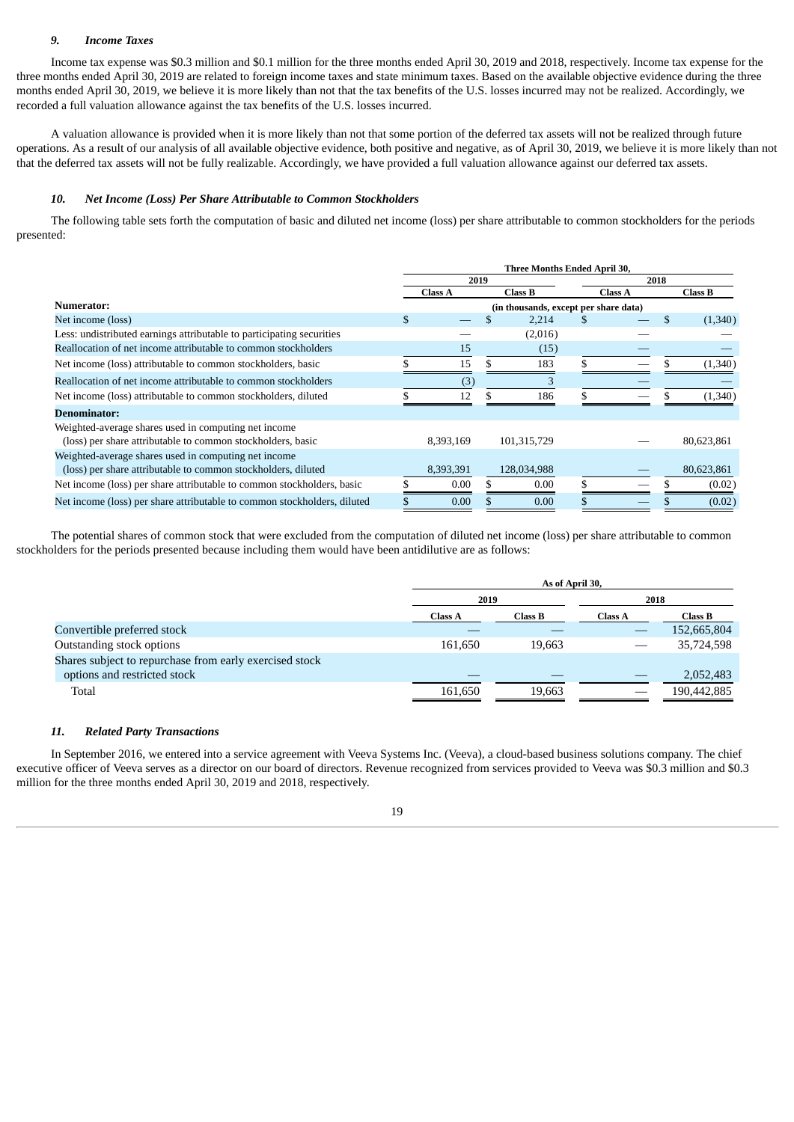#### *9. Income Taxes*

Income tax expense was \$0.3 million and \$0.1 million for the three months ended April 30, 2019 and 2018, respectively. Income tax expense for the three months ended April 30, 2019 are related to foreign income taxes and state minimum taxes. Based on the available objective evidence during the three months ended April 30, 2019, we believe it is more likely than not that the tax benefits of the U.S. losses incurred may not be realized. Accordingly, we recorded a full valuation allowance against the tax benefits of the U.S. losses incurred.

A valuation allowance is provided when it is more likely than not that some portion of the deferred tax assets will not be realized through future operations. As a result of our analysis of all available objective evidence, both positive and negative, as of April 30, 2019, we believe it is more likely than not that the deferred tax assets will not be fully realizable. Accordingly, we have provided a full valuation allowance against our deferred tax assets.

#### *10. Net Income (Loss) Per Share Attributable to Common Stockholders*

The following table sets forth the computation of basic and diluted net income (loss) per share attributable to common stockholders for the periods presented:

|                                                                          | Three Months Ended April 30, |                |  |                                       |   |                |      |                |
|--------------------------------------------------------------------------|------------------------------|----------------|--|---------------------------------------|---|----------------|------|----------------|
|                                                                          | 2019                         |                |  |                                       |   |                | 2018 |                |
|                                                                          |                              | <b>Class A</b> |  | <b>Class B</b>                        |   | <b>Class A</b> |      | <b>Class B</b> |
| Numerator:                                                               |                              |                |  | (in thousands, except per share data) |   |                |      |                |
| Net income (loss)                                                        | \$                           |                |  | 2,214                                 | S |                | \$   | (1,340)        |
| Less: undistributed earnings attributable to participating securities    |                              |                |  | (2,016)                               |   |                |      |                |
| Reallocation of net income attributable to common stockholders           |                              | 15             |  | (15)                                  |   |                |      |                |
| Net income (loss) attributable to common stockholders, basic             |                              | 15             |  | 183                                   |   |                |      | (1,340)        |
| Reallocation of net income attributable to common stockholders           |                              | (3)            |  |                                       |   |                |      |                |
| Net income (loss) attributable to common stockholders, diluted           |                              | 12             |  | 186                                   |   |                |      | (1,340)        |
| <b>Denominator:</b>                                                      |                              |                |  |                                       |   |                |      |                |
| Weighted-average shares used in computing net income                     |                              |                |  |                                       |   |                |      |                |
| (loss) per share attributable to common stockholders, basic              |                              | 8,393,169      |  | 101,315,729                           |   |                |      | 80,623,861     |
| Weighted-average shares used in computing net income                     |                              |                |  |                                       |   |                |      |                |
| (loss) per share attributable to common stockholders, diluted            |                              | 8,393,391      |  | 128,034,988                           |   |                |      | 80,623,861     |
| Net income (loss) per share attributable to common stockholders, basic   |                              | 0.00           |  | 0.00                                  |   |                |      | (0.02)         |
| Net income (loss) per share attributable to common stockholders, diluted |                              | 0.00           |  | 0.00                                  |   |                |      | (0.02)         |

The potential shares of common stock that were excluded from the computation of diluted net income (loss) per share attributable to common stockholders for the periods presented because including them would have been antidilutive are as follows:

|                                                         | As of April 30, |         |         |                |  |  |  |
|---------------------------------------------------------|-----------------|---------|---------|----------------|--|--|--|
|                                                         | 2019            |         | 2018    |                |  |  |  |
|                                                         | <b>Class A</b>  | Class B | Class A | <b>Class B</b> |  |  |  |
| Convertible preferred stock                             |                 |         |         | 152,665,804    |  |  |  |
| Outstanding stock options                               | 161,650         | 19,663  |         | 35,724,598     |  |  |  |
| Shares subject to repurchase from early exercised stock |                 |         |         |                |  |  |  |
| options and restricted stock                            |                 |         |         | 2,052,483      |  |  |  |
| Total                                                   | 161,650         | 19,663  |         | 190,442,885    |  |  |  |

#### *11. Related Party Transactions*

In September 2016, we entered into a service agreement with Veeva Systems Inc. (Veeva), a cloud-based business solutions company. The chief executive officer of Veeva serves as a director on our board of directors. Revenue recognized from services provided to Veeva was \$0.3 million and \$0.3 million for the three months ended April 30, 2019 and 2018, respectively.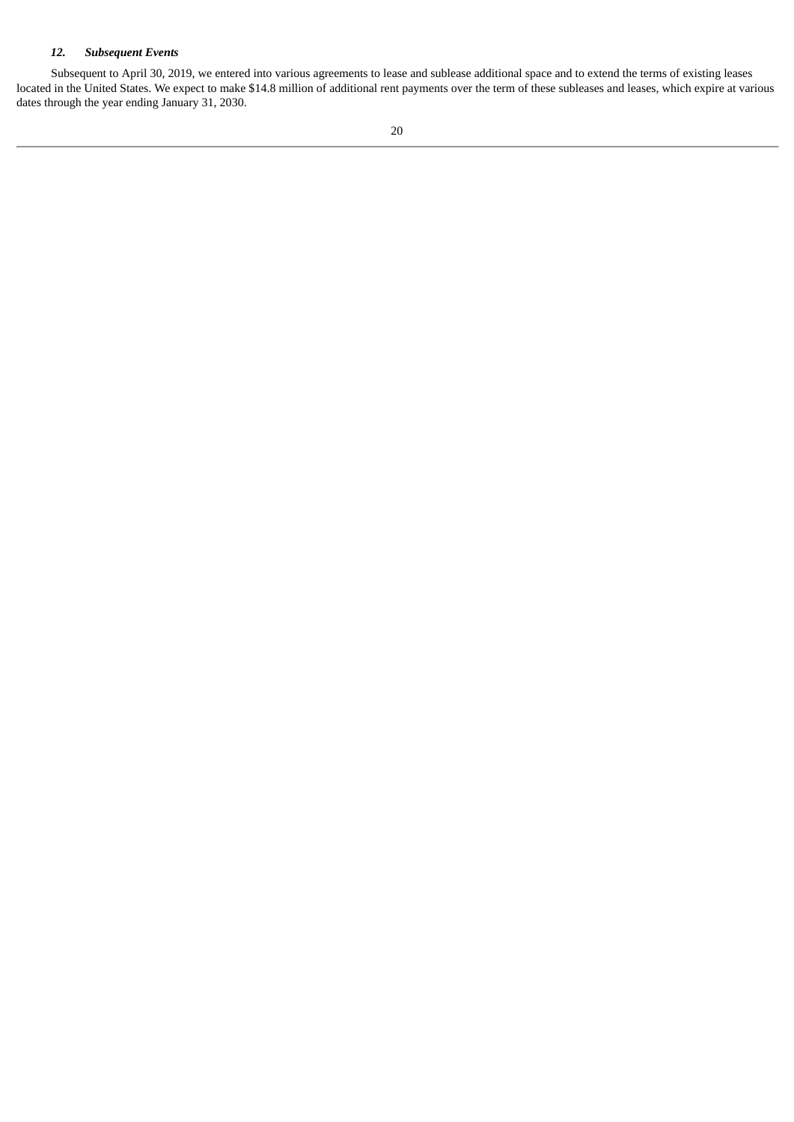# *12. Subsequent Events*

Subsequent to April 30, 2019, we entered into various agreements to lease and sublease additional space and to extend the terms of existing leases located in the United States. We expect to make \$14.8 million of additional rent payments over the term of these subleases and leases, which expire at various dates through the year ending January 31, 2030.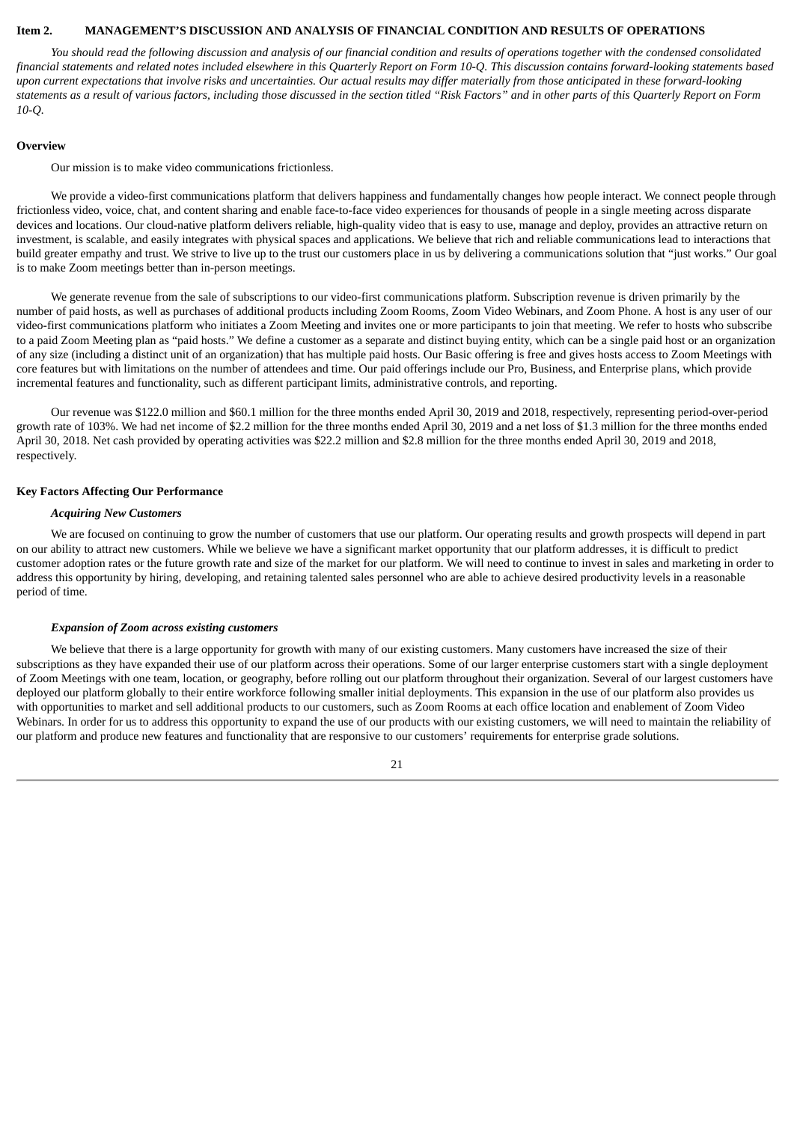### <span id="page-20-0"></span>**Item 2. MANAGEMENT'S DISCUSSION AND ANALYSIS OF FINANCIAL CONDITION AND RESULTS OF OPERATIONS**

You should read the following discussion and analysis of our financial condition and results of operations together with the condensed consolidated financial statements and related notes included elsewhere in this Quarterly Report on Form 10-Q. This discussion contains forward-looking statements based upon current expectations that involve risks and uncertainties. Our actual results may differ materially from those anticipated in these forward-looking statements as a result of various factors, including those discussed in the section titled "Risk Factors" and in other parts of this Quarterly Report on Form *10-Q.*

### **Overview**

Our mission is to make video communications frictionless.

We provide a video-first communications platform that delivers happiness and fundamentally changes how people interact. We connect people through frictionless video, voice, chat, and content sharing and enable face-to-face video experiences for thousands of people in a single meeting across disparate devices and locations. Our cloud-native platform delivers reliable, high-quality video that is easy to use, manage and deploy, provides an attractive return on investment, is scalable, and easily integrates with physical spaces and applications. We believe that rich and reliable communications lead to interactions that build greater empathy and trust. We strive to live up to the trust our customers place in us by delivering a communications solution that "just works." Our goal is to make Zoom meetings better than in-person meetings.

We generate revenue from the sale of subscriptions to our video-first communications platform. Subscription revenue is driven primarily by the number of paid hosts, as well as purchases of additional products including Zoom Rooms, Zoom Video Webinars, and Zoom Phone. A host is any user of our video-first communications platform who initiates a Zoom Meeting and invites one or more participants to join that meeting. We refer to hosts who subscribe to a paid Zoom Meeting plan as "paid hosts." We define a customer as a separate and distinct buying entity, which can be a single paid host or an organization of any size (including a distinct unit of an organization) that has multiple paid hosts. Our Basic offering is free and gives hosts access to Zoom Meetings with core features but with limitations on the number of attendees and time. Our paid offerings include our Pro, Business, and Enterprise plans, which provide incremental features and functionality, such as different participant limits, administrative controls, and reporting.

Our revenue was \$122.0 million and \$60.1 million for the three months ended April 30, 2019 and 2018, respectively, representing period-over-period growth rate of 103%. We had net income of \$2.2 million for the three months ended April 30, 2019 and a net loss of \$1.3 million for the three months ended April 30, 2018. Net cash provided by operating activities was \$22.2 million and \$2.8 million for the three months ended April 30, 2019 and 2018, respectively.

# **Key Factors Affecting Our Performance**

# *Acquiring New Customers*

We are focused on continuing to grow the number of customers that use our platform. Our operating results and growth prospects will depend in part on our ability to attract new customers. While we believe we have a significant market opportunity that our platform addresses, it is difficult to predict customer adoption rates or the future growth rate and size of the market for our platform. We will need to continue to invest in sales and marketing in order to address this opportunity by hiring, developing, and retaining talented sales personnel who are able to achieve desired productivity levels in a reasonable period of time.

# *Expansion of Zoom across existing customers*

We believe that there is a large opportunity for growth with many of our existing customers. Many customers have increased the size of their subscriptions as they have expanded their use of our platform across their operations. Some of our larger enterprise customers start with a single deployment of Zoom Meetings with one team, location, or geography, before rolling out our platform throughout their organization. Several of our largest customers have deployed our platform globally to their entire workforce following smaller initial deployments. This expansion in the use of our platform also provides us with opportunities to market and sell additional products to our customers, such as Zoom Rooms at each office location and enablement of Zoom Video Webinars. In order for us to address this opportunity to expand the use of our products with our existing customers, we will need to maintain the reliability of our platform and produce new features and functionality that are responsive to our customers' requirements for enterprise grade solutions.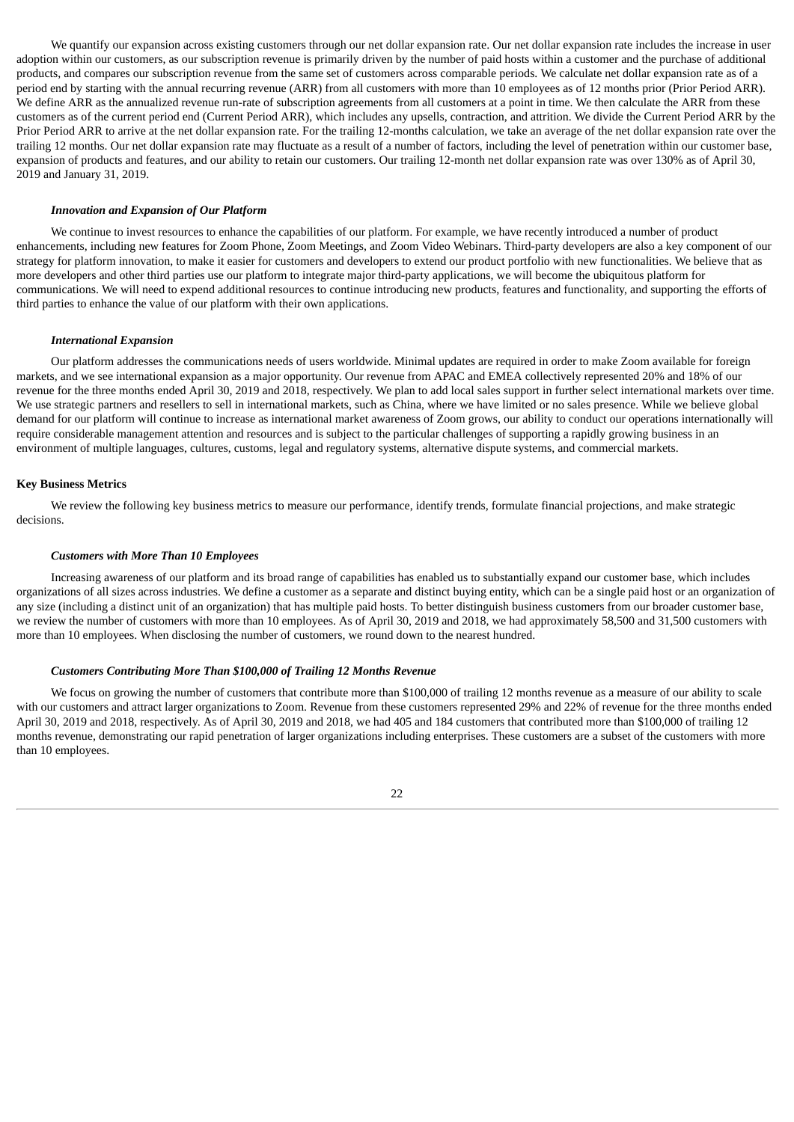We quantify our expansion across existing customers through our net dollar expansion rate. Our net dollar expansion rate includes the increase in user adoption within our customers, as our subscription revenue is primarily driven by the number of paid hosts within a customer and the purchase of additional products, and compares our subscription revenue from the same set of customers across comparable periods. We calculate net dollar expansion rate as of a period end by starting with the annual recurring revenue (ARR) from all customers with more than 10 employees as of 12 months prior (Prior Period ARR). We define ARR as the annualized revenue run-rate of subscription agreements from all customers at a point in time. We then calculate the ARR from these customers as of the current period end (Current Period ARR), which includes any upsells, contraction, and attrition. We divide the Current Period ARR by the Prior Period ARR to arrive at the net dollar expansion rate. For the trailing 12-months calculation, we take an average of the net dollar expansion rate over the trailing 12 months. Our net dollar expansion rate may fluctuate as a result of a number of factors, including the level of penetration within our customer base, expansion of products and features, and our ability to retain our customers. Our trailing 12-month net dollar expansion rate was over 130% as of April 30, 2019 and January 31, 2019.

### *Innovation and Expansion of Our Platform*

We continue to invest resources to enhance the capabilities of our platform. For example, we have recently introduced a number of product enhancements, including new features for Zoom Phone, Zoom Meetings, and Zoom Video Webinars. Third-party developers are also a key component of our strategy for platform innovation, to make it easier for customers and developers to extend our product portfolio with new functionalities. We believe that as more developers and other third parties use our platform to integrate major third-party applications, we will become the ubiquitous platform for communications. We will need to expend additional resources to continue introducing new products, features and functionality, and supporting the efforts of third parties to enhance the value of our platform with their own applications.

#### *International Expansion*

Our platform addresses the communications needs of users worldwide. Minimal updates are required in order to make Zoom available for foreign markets, and we see international expansion as a major opportunity. Our revenue from APAC and EMEA collectively represented 20% and 18% of our revenue for the three months ended April 30, 2019 and 2018, respectively. We plan to add local sales support in further select international markets over time. We use strategic partners and resellers to sell in international markets, such as China, where we have limited or no sales presence. While we believe global demand for our platform will continue to increase as international market awareness of Zoom grows, our ability to conduct our operations internationally will require considerable management attention and resources and is subject to the particular challenges of supporting a rapidly growing business in an environment of multiple languages, cultures, customs, legal and regulatory systems, alternative dispute systems, and commercial markets.

#### **Key Business Metrics**

We review the following key business metrics to measure our performance, identify trends, formulate financial projections, and make strategic decisions.

#### *Customers with More Than 10 Employees*

Increasing awareness of our platform and its broad range of capabilities has enabled us to substantially expand our customer base, which includes organizations of all sizes across industries. We define a customer as a separate and distinct buying entity, which can be a single paid host or an organization of any size (including a distinct unit of an organization) that has multiple paid hosts. To better distinguish business customers from our broader customer base, we review the number of customers with more than 10 employees. As of April 30, 2019 and 2018, we had approximately 58,500 and 31,500 customers with more than 10 employees. When disclosing the number of customers, we round down to the nearest hundred.

#### *Customers Contributing More Than \$100,000 of Trailing 12 Months Revenue*

We focus on growing the number of customers that contribute more than \$100,000 of trailing 12 months revenue as a measure of our ability to scale with our customers and attract larger organizations to Zoom. Revenue from these customers represented 29% and 22% of revenue for the three months ended April 30, 2019 and 2018, respectively. As of April 30, 2019 and 2018, we had 405 and 184 customers that contributed more than \$100,000 of trailing 12 months revenue, demonstrating our rapid penetration of larger organizations including enterprises. These customers are a subset of the customers with more than 10 employees.

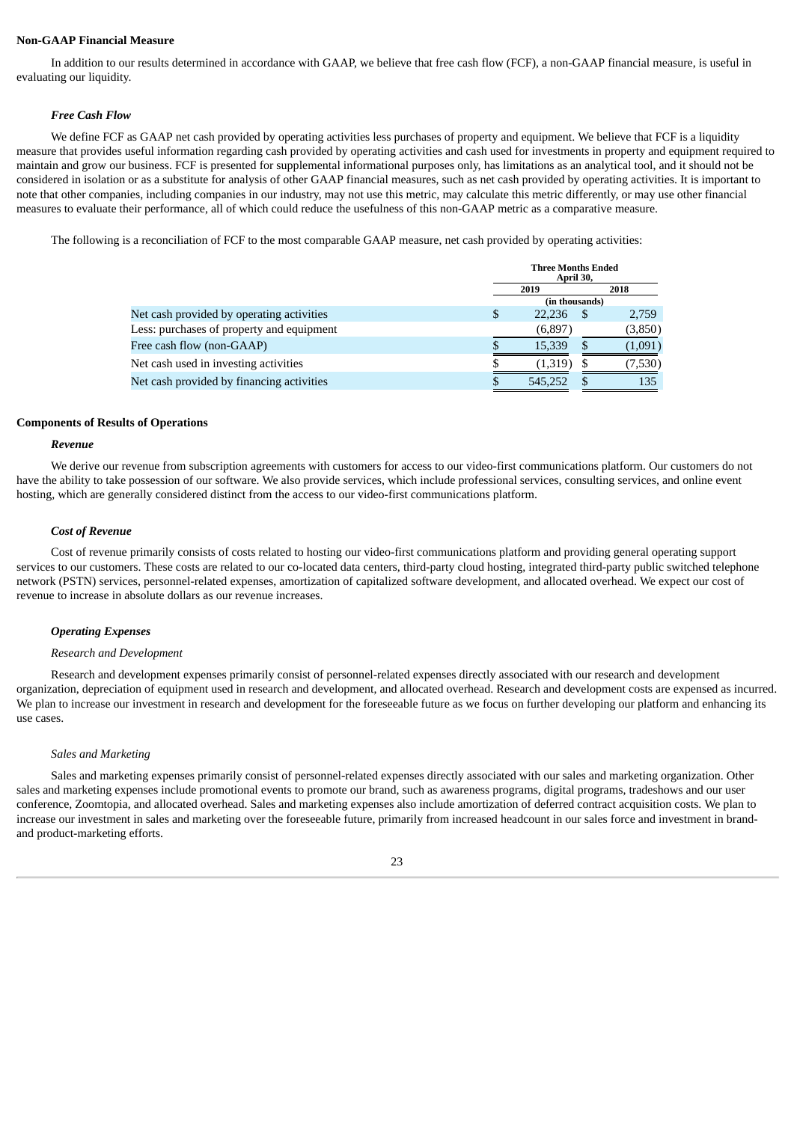#### **Non-GAAP Financial Measure**

In addition to our results determined in accordance with GAAP, we believe that free cash flow (FCF), a non-GAAP financial measure, is useful in evaluating our liquidity.

#### *Free Cash Flow*

We define FCF as GAAP net cash provided by operating activities less purchases of property and equipment. We believe that FCF is a liquidity measure that provides useful information regarding cash provided by operating activities and cash used for investments in property and equipment required to maintain and grow our business. FCF is presented for supplemental informational purposes only, has limitations as an analytical tool, and it should not be considered in isolation or as a substitute for analysis of other GAAP financial measures, such as net cash provided by operating activities. It is important to note that other companies, including companies in our industry, may not use this metric, may calculate this metric differently, or may use other financial measures to evaluate their performance, all of which could reduce the usefulness of this non-GAAP metric as a comparative measure.

The following is a reconciliation of FCF to the most comparable GAAP measure, net cash provided by operating activities:

|                                           |   | <b>Three Months Ended</b><br>April 30, |    |         |
|-------------------------------------------|---|----------------------------------------|----|---------|
|                                           |   | 2019<br>2018                           |    |         |
|                                           |   | (in thousands)                         |    |         |
| Net cash provided by operating activities | S | 22,236                                 | -S | 2,759   |
| Less: purchases of property and equipment |   | (6,897)                                |    | (3,850) |
| Free cash flow (non-GAAP)                 |   | 15,339                                 | S  | (1,091) |
| Net cash used in investing activities     |   | (1,319)                                |    | (7,530) |
| Net cash provided by financing activities |   | 545.252                                | \$ | 135     |

#### **Components of Results of Operations**

#### *Revenue*

We derive our revenue from subscription agreements with customers for access to our video-first communications platform. Our customers do not have the ability to take possession of our software. We also provide services, which include professional services, consulting services, and online event hosting, which are generally considered distinct from the access to our video-first communications platform.

#### *Cost of Revenue*

Cost of revenue primarily consists of costs related to hosting our video-first communications platform and providing general operating support services to our customers. These costs are related to our co-located data centers, third-party cloud hosting, integrated third-party public switched telephone network (PSTN) services, personnel-related expenses, amortization of capitalized software development, and allocated overhead. We expect our cost of revenue to increase in absolute dollars as our revenue increases.

#### *Operating Expenses*

#### *Research and Development*

Research and development expenses primarily consist of personnel-related expenses directly associated with our research and development organization, depreciation of equipment used in research and development, and allocated overhead. Research and development costs are expensed as incurred. We plan to increase our investment in research and development for the foreseeable future as we focus on further developing our platform and enhancing its use cases.

#### *Sales and Marketing*

Sales and marketing expenses primarily consist of personnel-related expenses directly associated with our sales and marketing organization. Other sales and marketing expenses include promotional events to promote our brand, such as awareness programs, digital programs, tradeshows and our user conference, Zoomtopia, and allocated overhead. Sales and marketing expenses also include amortization of deferred contract acquisition costs. We plan to increase our investment in sales and marketing over the foreseeable future, primarily from increased headcount in our sales force and investment in brandand product-marketing efforts.

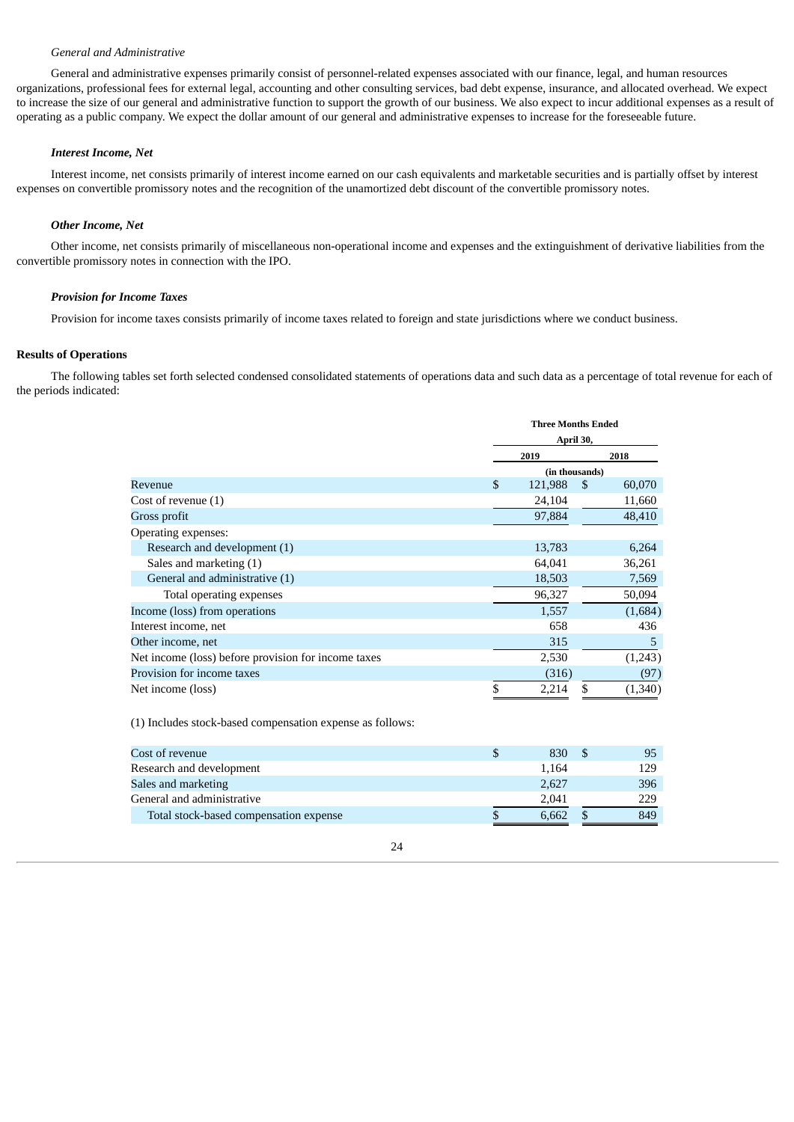# *General and Administrative*

General and administrative expenses primarily consist of personnel-related expenses associated with our finance, legal, and human resources organizations, professional fees for external legal, accounting and other consulting services, bad debt expense, insurance, and allocated overhead. We expect to increase the size of our general and administrative function to support the growth of our business. We also expect to incur additional expenses as a result of operating as a public company. We expect the dollar amount of our general and administrative expenses to increase for the foreseeable future.

#### *Interest Income, Net*

Interest income, net consists primarily of interest income earned on our cash equivalents and marketable securities and is partially offset by interest expenses on convertible promissory notes and the recognition of the unamortized debt discount of the convertible promissory notes.

# *Other Income, Net*

Other income, net consists primarily of miscellaneous non-operational income and expenses and the extinguishment of derivative liabilities from the convertible promissory notes in connection with the IPO.

#### *Provision for Income Taxes*

Provision for income taxes consists primarily of income taxes related to foreign and state jurisdictions where we conduct business.

#### **Results of Operations**

The following tables set forth selected condensed consolidated statements of operations data and such data as a percentage of total revenue for each of the periods indicated:

|                                                     |    | <b>Three Months Ended</b><br>April 30, |    |         |  |  |
|-----------------------------------------------------|----|----------------------------------------|----|---------|--|--|
|                                                     |    |                                        |    |         |  |  |
|                                                     |    | 2019                                   |    | 2018    |  |  |
|                                                     |    | (in thousands)                         |    |         |  |  |
| Revenue                                             | \$ | 121,988                                | \$ | 60,070  |  |  |
| Cost of revenue $(1)$                               |    | 24,104                                 |    | 11,660  |  |  |
| Gross profit                                        |    | 97,884                                 |    | 48,410  |  |  |
| Operating expenses:                                 |    |                                        |    |         |  |  |
| Research and development (1)                        |    | 13,783                                 |    | 6,264   |  |  |
| Sales and marketing (1)                             |    | 64,041                                 |    | 36,261  |  |  |
| General and administrative (1)                      |    | 18,503                                 |    | 7,569   |  |  |
| Total operating expenses                            |    | 96,327                                 |    | 50,094  |  |  |
| Income (loss) from operations                       |    | 1,557                                  |    | (1,684) |  |  |
| Interest income, net                                |    | 658                                    |    | 436     |  |  |
| Other income, net                                   |    | 315                                    |    | 5       |  |  |
| Net income (loss) before provision for income taxes |    | 2,530                                  |    | (1,243) |  |  |
| Provision for income taxes                          |    | (316)                                  |    | (97)    |  |  |
| Net income (loss)                                   | \$ | 2,214                                  | \$ | (1,340) |  |  |

(1) Includes stock-based compensation expense as follows:

| Cost of revenue                        | 830   | 95  |
|----------------------------------------|-------|-----|
| Research and development               | 1.164 | 129 |
| Sales and marketing                    | 2.627 | 396 |
| General and administrative             | 2.041 | 229 |
| Total stock-based compensation expense | 6.662 | 849 |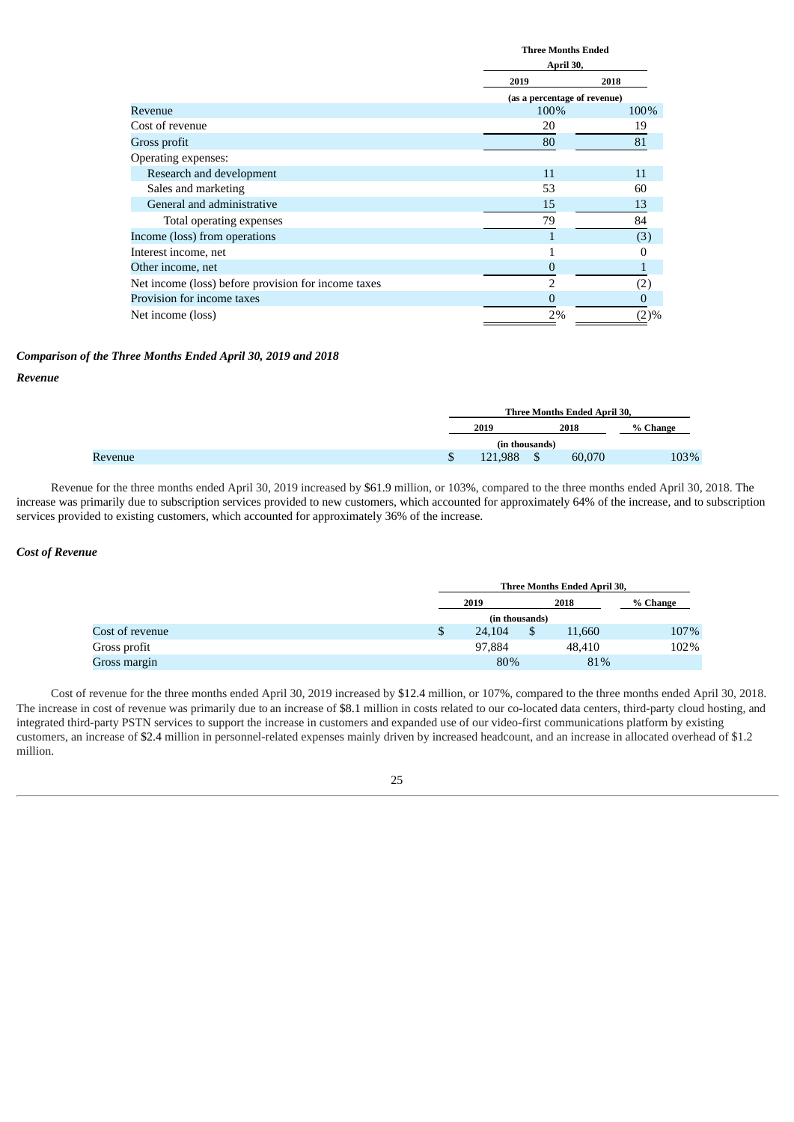|                                                     | Three Months Ended           |      |
|-----------------------------------------------------|------------------------------|------|
|                                                     | April 30,                    |      |
|                                                     | 2019                         | 2018 |
|                                                     | (as a percentage of revenue) |      |
| Revenue                                             | 100%                         | 100% |
| Cost of revenue                                     | 20                           | 19   |
| Gross profit                                        | 80                           | 81   |
| Operating expenses:                                 |                              |      |
| Research and development                            | 11                           | 11   |
| Sales and marketing                                 | 53                           | 60   |
| General and administrative                          | 15                           | 13   |
| Total operating expenses                            | 79                           | 84   |
| Income (loss) from operations                       | $\mathbf{1}$                 | (3)  |
| Interest income, net                                |                              |      |
| Other income, net                                   | $\bf{0}$                     |      |
| Net income (loss) before provision for income taxes | 2                            | (2)  |
| Provision for income taxes                          | $\mathbf{0}$                 | 0    |
| Net income (loss)                                   | 2%                           | (2)% |

**Three Months Ended**

# *Comparison of the Three Months Ended April 30, 2019 and 2018*

### *Revenue*

| Three Months Ended April 30, |                |  |        |          |
|------------------------------|----------------|--|--------|----------|
|                              | 2019<br>2018   |  |        | % Change |
|                              | (in thousands) |  |        |          |
|                              | .988<br>171    |  | 60,070 | 103%     |

Revenue for the three months ended April 30, 2019 increased by \$61.9 million, or 103%, compared to the three months ended April 30, 2018. The increase was primarily due to subscription services provided to new customers, which accounted for approximately 64% of the increase, and to subscription services provided to existing customers, which accounted for approximately 36% of the increase.

# *Cost of Revenue*

|                 | Three Months Ended April 30, |    |        |          |  |  |  |
|-----------------|------------------------------|----|--------|----------|--|--|--|
|                 | 2019                         |    | 2018   | % Change |  |  |  |
|                 | (in thousands)               |    |        |          |  |  |  |
| Cost of revenue | 24,104                       | \$ | 11.660 | 107%     |  |  |  |
| Gross profit    | 97.884                       |    | 48.410 | 102%     |  |  |  |
| Gross margin    | 80%                          |    | 81%    |          |  |  |  |

Cost of revenue for the three months ended April 30, 2019 increased by \$12.4 million, or 107%, compared to the three months ended April 30, 2018. The increase in cost of revenue was primarily due to an increase of \$8.1 million in costs related to our co-located data centers, third-party cloud hosting, and integrated third-party PSTN services to support the increase in customers and expanded use of our video-first communications platform by existing customers, an increase of \$2.4 million in personnel-related expenses mainly driven by increased headcount, and an increase in allocated overhead of \$1.2 million.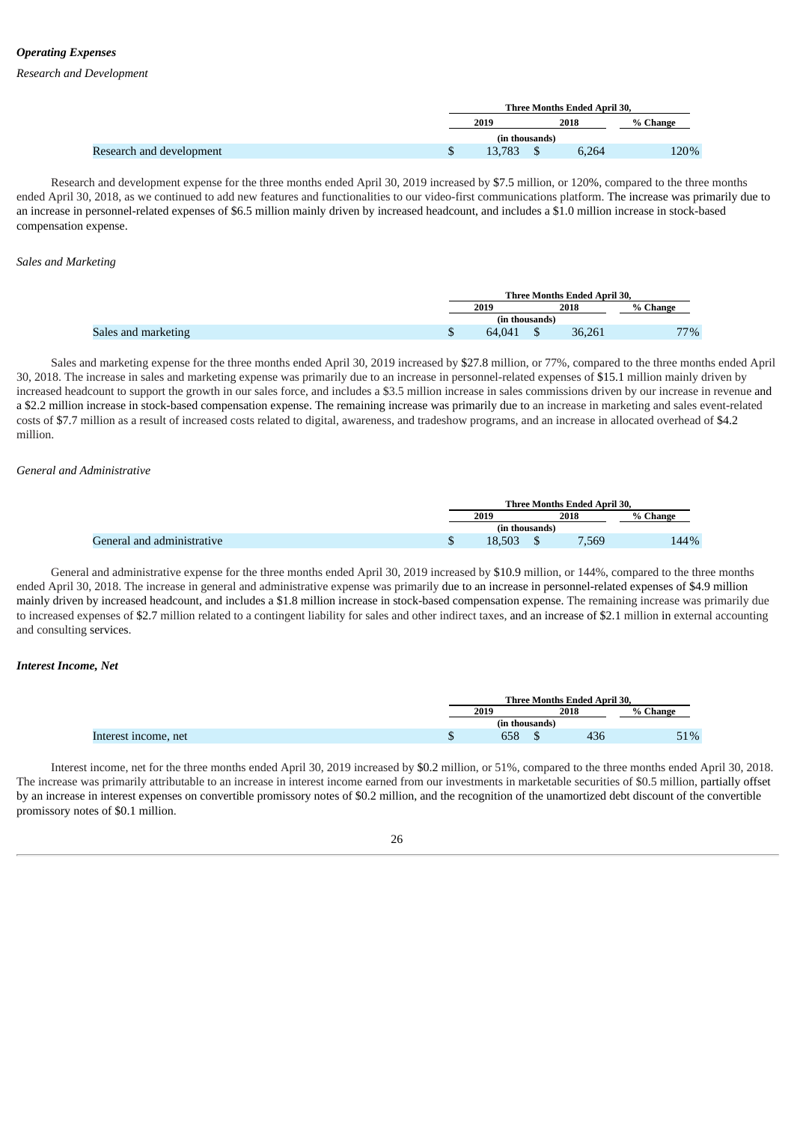# *Operating Expenses*

#### *Research and Development*

|  | Three Months Ended April 30, |  |       |          |  |
|--|------------------------------|--|-------|----------|--|
|  | 2019<br>2018                 |  |       | % Change |  |
|  | (in thousands)               |  |       |          |  |
|  | 13,783                       |  | 6,264 | 120%     |  |

Research and development expense for the three months ended April 30, 2019 increased by \$7.5 million, or 120%, compared to the three months ended April 30, 2018, as we continued to add new features and functionalities to our video-first communications platform. The increase was primarily due to an increase in personnel-related expenses of \$6.5 million mainly driven by increased headcount, and includes a \$1.0 million increase in stock-based compensation expense.

#### *Sales and Marketing*

|  | Three Months Ended April 30, |  |          |     |  |  |
|--|------------------------------|--|----------|-----|--|--|
|  | 2019<br>2018                 |  | % Change |     |  |  |
|  | (in thousands)               |  |          |     |  |  |
|  | 64.041                       |  | 36,261   | 77% |  |  |

Sales and marketing expense for the three months ended April 30, 2019 increased by \$27.8 million, or 77%, compared to the three months ended April 30, 2018. The increase in sales and marketing expense was primarily due to an increase in personnel-related expenses of \$15.1 million mainly driven by increased headcount to support the growth in our sales force, and includes a \$3.5 million increase in sales commissions driven by our increase in revenue and a \$2.2 million increase in stock-based compensation expense. The remaining increase was primarily due to an increase in marketing and sales event-related costs of \$7.7 million as a result of increased costs related to digital, awareness, and tradeshow programs, and an increase in allocated overhead of \$4.2 million.

#### *General and Administrative*

|                            |    | <b>Three Months Ended April 30.</b> |  |       |          |  |  |
|----------------------------|----|-------------------------------------|--|-------|----------|--|--|
|                            |    | 2019                                |  | 2018  | % Change |  |  |
|                            |    | (in thousands)                      |  |       |          |  |  |
| General and administrative | ٠D | 18.503                              |  | 7,569 | 144%     |  |  |

General and administrative expense for the three months ended April 30, 2019 increased by \$10.9 million, or 144%, compared to the three months ended April 30, 2018. The increase in general and administrative expense was primarily due to an increase in personnel-related expenses of \$4.9 million mainly driven by increased headcount, and includes a \$1.8 million increase in stock-based compensation expense. The remaining increase was primarily due to increased expenses of \$2.7 million related to a contingent liability for sales and other indirect taxes, and an increase of \$2.1 million in external accounting and consulting services.

#### *Interest Income, Net*

|  | Three Months Ended April 30. |  |      |          |
|--|------------------------------|--|------|----------|
|  | 2019                         |  | 2018 | % Change |
|  | (in thousands)               |  |      |          |
|  | 658                          |  | 436  | 51%      |

Interest income, net for the three months ended April 30, 2019 increased by \$0.2 million, or 51%, compared to the three months ended April 30, 2018. The increase was primarily attributable to an increase in interest income earned from our investments in marketable securities of \$0.5 million, partially offset by an increase in interest expenses on convertible promissory notes of \$0.2 million, and the recognition of the unamortized debt discount of the convertible promissory notes of \$0.1 million.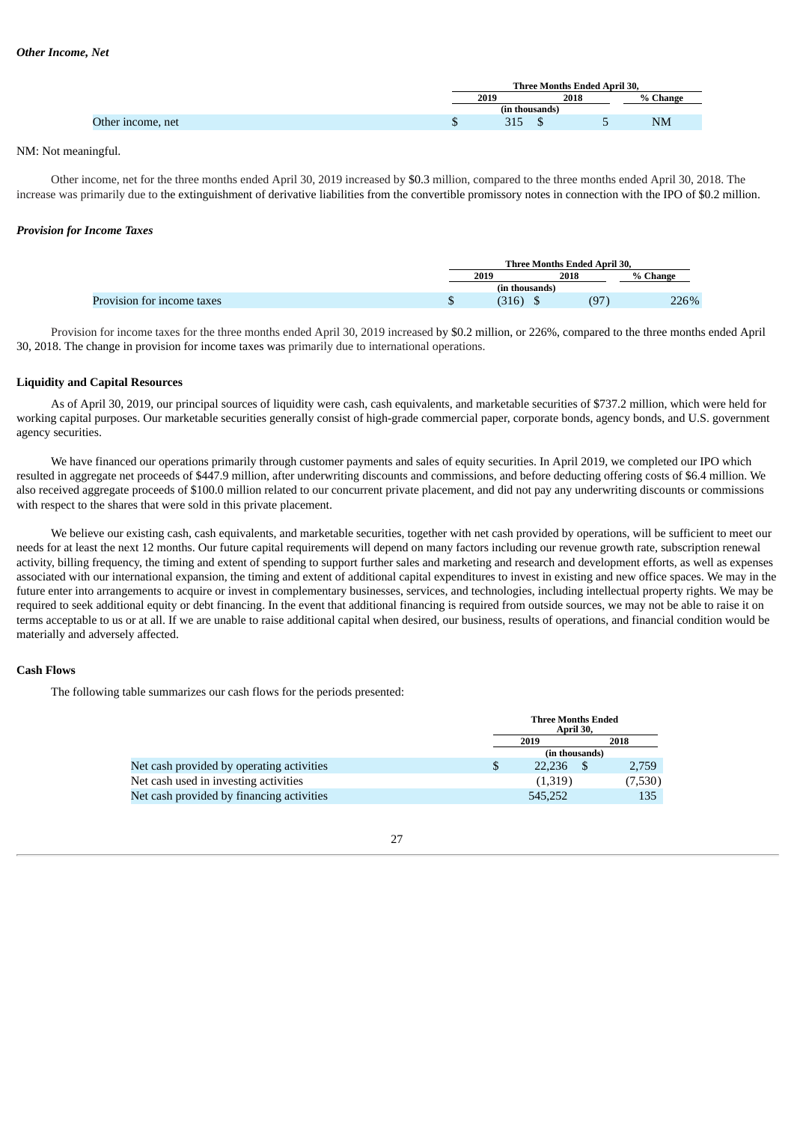|                   | Three Months Ended April 30, |  |        |          |
|-------------------|------------------------------|--|--------|----------|
|                   | 2019                         |  | 2018   | % Change |
|                   | (in thousands)               |  |        |          |
| Other income, net | <b>D1F</b><br>31J            |  | $\sim$ | NM       |

#### NM: Not meaningful.

Other income, net for the three months ended April 30, 2019 increased by \$0.3 million, compared to the three months ended April 30, 2018. The increase was primarily due to the extinguishment of derivative liabilities from the convertible promissory notes in connection with the IPO of \$0.2 million.

#### *Provision for Income Taxes*

|                            | <b>Three Months Ended April 30.</b> |      |          |  |
|----------------------------|-------------------------------------|------|----------|--|
|                            | 2019                                | 2018 | % Change |  |
|                            | (in thousands)                      |      |          |  |
| Provision for income taxes | (316)                               | (97) | 226%     |  |

Provision for income taxes for the three months ended April 30, 2019 increased by \$0.2 million, or 226%, compared to the three months ended April 30, 2018. The change in provision for income taxes was primarily due to international operations.

#### **Liquidity and Capital Resources**

As of April 30, 2019, our principal sources of liquidity were cash, cash equivalents, and marketable securities of \$737.2 million, which were held for working capital purposes. Our marketable securities generally consist of high-grade commercial paper, corporate bonds, agency bonds, and U.S. government agency securities.

We have financed our operations primarily through customer payments and sales of equity securities. In April 2019, we completed our IPO which resulted in aggregate net proceeds of \$447.9 million, after underwriting discounts and commissions, and before deducting offering costs of \$6.4 million. We also received aggregate proceeds of \$100.0 million related to our concurrent private placement, and did not pay any underwriting discounts or commissions with respect to the shares that were sold in this private placement.

We believe our existing cash, cash equivalents, and marketable securities, together with net cash provided by operations, will be sufficient to meet our needs for at least the next 12 months. Our future capital requirements will depend on many factors including our revenue growth rate, subscription renewal activity, billing frequency, the timing and extent of spending to support further sales and marketing and research and development efforts, as well as expenses associated with our international expansion, the timing and extent of additional capital expenditures to invest in existing and new office spaces. We may in the future enter into arrangements to acquire or invest in complementary businesses, services, and technologies, including intellectual property rights. We may be required to seek additional equity or debt financing. In the event that additional financing is required from outside sources, we may not be able to raise it on terms acceptable to us or at all. If we are unable to raise additional capital when desired, our business, results of operations, and financial condition would be materially and adversely affected.

# **Cash Flows**

The following table summarizes our cash flows for the periods presented:

|                                           | <b>Three Months Ended</b><br>April 30, |      |       |  |
|-------------------------------------------|----------------------------------------|------|-------|--|
|                                           | 2019                                   | 2018 |       |  |
|                                           | (in thousands)                         |      |       |  |
| Net cash provided by operating activities | \$<br>22.236                           |      | 2.759 |  |
| Net cash used in investing activities     | (1,319)<br>(7,530)                     |      |       |  |
| Net cash provided by financing activities | 545,252                                |      | 135   |  |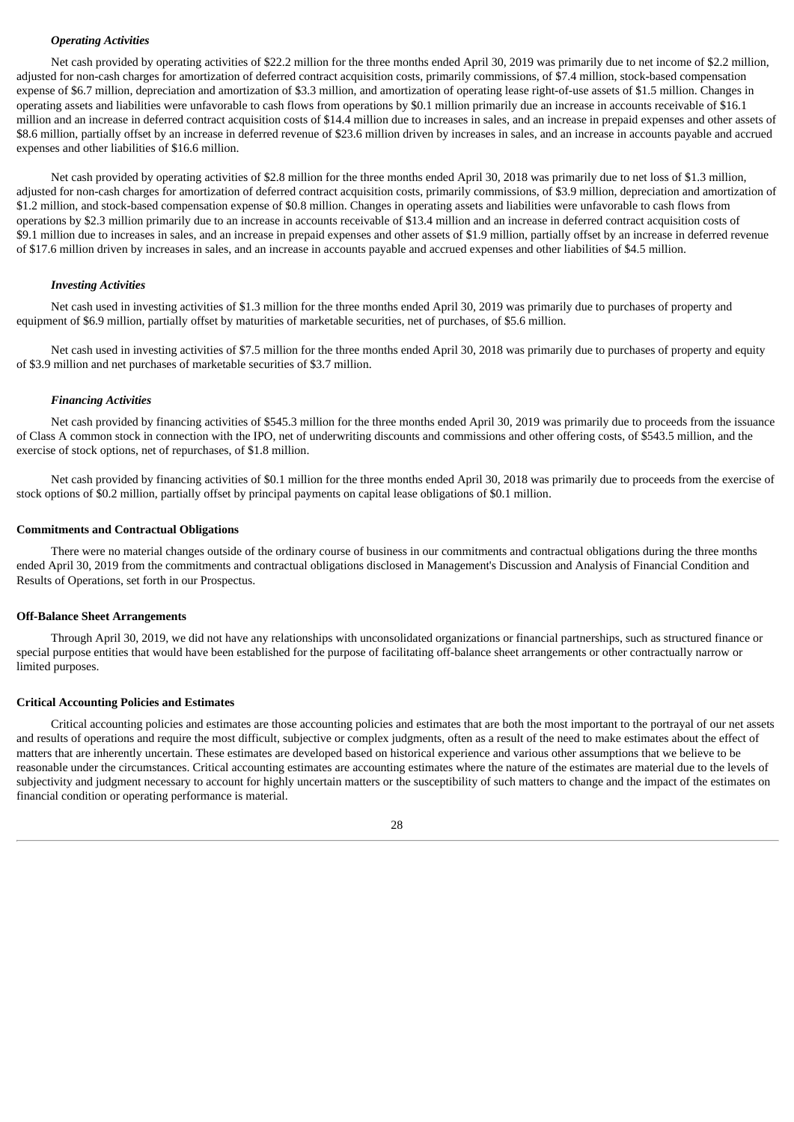# *Operating Activities*

Net cash provided by operating activities of \$22.2 million for the three months ended April 30, 2019 was primarily due to net income of \$2.2 million, adjusted for non-cash charges for amortization of deferred contract acquisition costs, primarily commissions, of \$7.4 million, stock-based compensation expense of \$6.7 million, depreciation and amortization of \$3.3 million, and amortization of operating lease right-of-use assets of \$1.5 million. Changes in operating assets and liabilities were unfavorable to cash flows from operations by \$0.1 million primarily due an increase in accounts receivable of \$16.1 million and an increase in deferred contract acquisition costs of \$14.4 million due to increases in sales, and an increase in prepaid expenses and other assets of \$8.6 million, partially offset by an increase in deferred revenue of \$23.6 million driven by increases in sales, and an increase in accounts payable and accrued expenses and other liabilities of \$16.6 million.

Net cash provided by operating activities of \$2.8 million for the three months ended April 30, 2018 was primarily due to net loss of \$1.3 million, adjusted for non-cash charges for amortization of deferred contract acquisition costs, primarily commissions, of \$3.9 million, depreciation and amortization of \$1.2 million, and stock-based compensation expense of \$0.8 million. Changes in operating assets and liabilities were unfavorable to cash flows from operations by \$2.3 million primarily due to an increase in accounts receivable of \$13.4 million and an increase in deferred contract acquisition costs of \$9.1 million due to increases in sales, and an increase in prepaid expenses and other assets of \$1.9 million, partially offset by an increase in deferred revenue of \$17.6 million driven by increases in sales, and an increase in accounts payable and accrued expenses and other liabilities of \$4.5 million.

# *Investing Activities*

Net cash used in investing activities of \$1.3 million for the three months ended April 30, 2019 was primarily due to purchases of property and equipment of \$6.9 million, partially offset by maturities of marketable securities, net of purchases, of \$5.6 million.

Net cash used in investing activities of \$7.5 million for the three months ended April 30, 2018 was primarily due to purchases of property and equity of \$3.9 million and net purchases of marketable securities of \$3.7 million.

#### *Financing Activities*

Net cash provided by financing activities of \$545.3 million for the three months ended April 30, 2019 was primarily due to proceeds from the issuance of Class A common stock in connection with the IPO, net of underwriting discounts and commissions and other offering costs, of \$543.5 million, and the exercise of stock options, net of repurchases, of \$1.8 million.

Net cash provided by financing activities of \$0.1 million for the three months ended April 30, 2018 was primarily due to proceeds from the exercise of stock options of \$0.2 million, partially offset by principal payments on capital lease obligations of \$0.1 million.

#### **Commitments and Contractual Obligations**

There were no material changes outside of the ordinary course of business in our commitments and contractual obligations during the three months ended April 30, 2019 from the commitments and contractual obligations disclosed in Management's Discussion and Analysis of Financial Condition and Results of Operations, set forth in our Prospectus.

#### **Off-Balance Sheet Arrangements**

Through April 30, 2019, we did not have any relationships with unconsolidated organizations or financial partnerships, such as structured finance or special purpose entities that would have been established for the purpose of facilitating off-balance sheet arrangements or other contractually narrow or limited purposes.

#### **Critical Accounting Policies and Estimates**

Critical accounting policies and estimates are those accounting policies and estimates that are both the most important to the portrayal of our net assets and results of operations and require the most difficult, subjective or complex judgments, often as a result of the need to make estimates about the effect of matters that are inherently uncertain. These estimates are developed based on historical experience and various other assumptions that we believe to be reasonable under the circumstances. Critical accounting estimates are accounting estimates where the nature of the estimates are material due to the levels of subjectivity and judgment necessary to account for highly uncertain matters or the susceptibility of such matters to change and the impact of the estimates on financial condition or operating performance is material.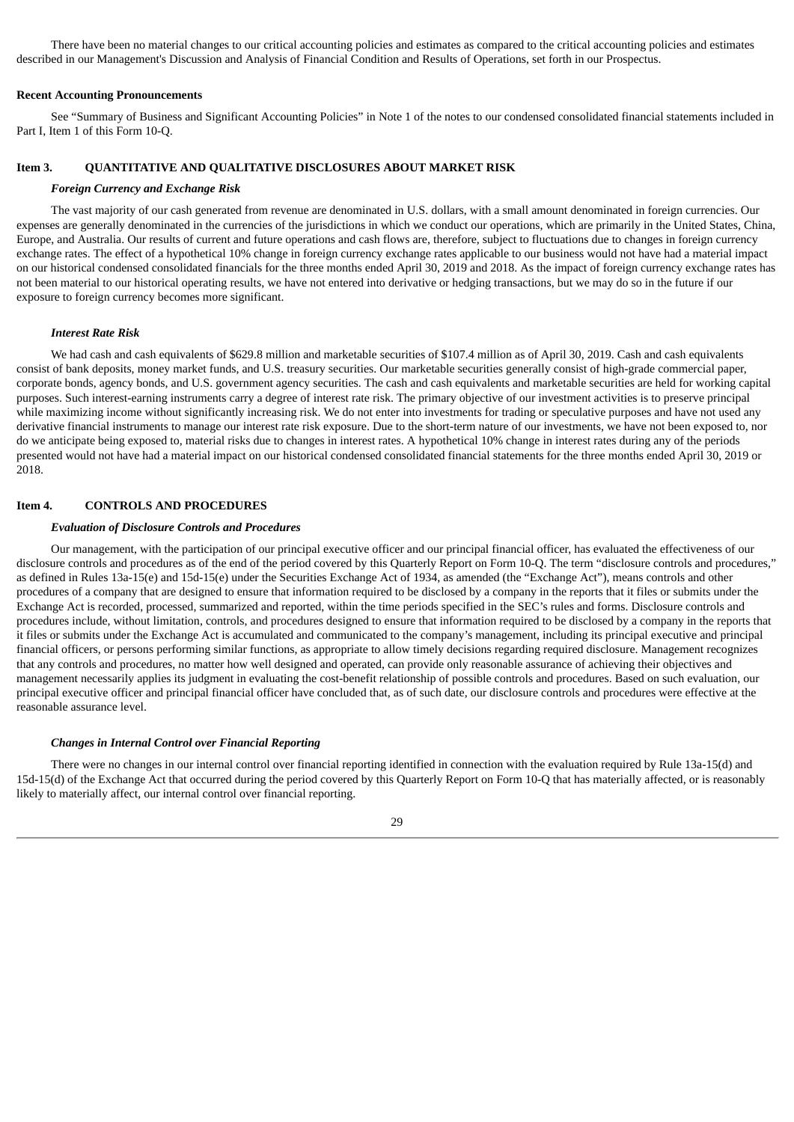There have been no material changes to our critical accounting policies and estimates as compared to the critical accounting policies and estimates described in our Management's Discussion and Analysis of Financial Condition and Results of Operations, set forth in our Prospectus.

#### **Recent Accounting Pronouncements**

See "Summary of Business and Significant Accounting Policies" in Note 1 of the notes to our condensed consolidated financial statements included in Part I, Item 1 of this Form 10-Q.

### **Item 3. QUANTITATIVE AND QUALITATIVE DISCLOSURES ABOUT MARKET RISK**

#### <span id="page-28-0"></span>*Foreign Currency and Exchange Risk*

The vast majority of our cash generated from revenue are denominated in U.S. dollars, with a small amount denominated in foreign currencies. Our expenses are generally denominated in the currencies of the jurisdictions in which we conduct our operations, which are primarily in the United States, China, Europe, and Australia. Our results of current and future operations and cash flows are, therefore, subject to fluctuations due to changes in foreign currency exchange rates. The effect of a hypothetical 10% change in foreign currency exchange rates applicable to our business would not have had a material impact on our historical condensed consolidated financials for the three months ended April 30, 2019 and 2018. As the impact of foreign currency exchange rates has not been material to our historical operating results, we have not entered into derivative or hedging transactions, but we may do so in the future if our exposure to foreign currency becomes more significant.

### *Interest Rate Risk*

We had cash and cash equivalents of \$629.8 million and marketable securities of \$107.4 million as of April 30, 2019. Cash and cash equivalents consist of bank deposits, money market funds, and U.S. treasury securities. Our marketable securities generally consist of high-grade commercial paper, corporate bonds, agency bonds, and U.S. government agency securities. The cash and cash equivalents and marketable securities are held for working capital purposes. Such interest-earning instruments carry a degree of interest rate risk. The primary objective of our investment activities is to preserve principal while maximizing income without significantly increasing risk. We do not enter into investments for trading or speculative purposes and have not used any derivative financial instruments to manage our interest rate risk exposure. Due to the short-term nature of our investments, we have not been exposed to, nor do we anticipate being exposed to, material risks due to changes in interest rates. A hypothetical 10% change in interest rates during any of the periods presented would not have had a material impact on our historical condensed consolidated financial statements for the three months ended April 30, 2019 or 2018.

# **Item 4. CONTROLS AND PROCEDURES**

#### <span id="page-28-1"></span>*Evaluation of Disclosure Controls and Procedures*

Our management, with the participation of our principal executive officer and our principal financial officer, has evaluated the effectiveness of our disclosure controls and procedures as of the end of the period covered by this Quarterly Report on Form 10-Q. The term "disclosure controls and procedures," as defined in Rules 13a-15(e) and 15d-15(e) under the Securities Exchange Act of 1934, as amended (the "Exchange Act"), means controls and other procedures of a company that are designed to ensure that information required to be disclosed by a company in the reports that it files or submits under the Exchange Act is recorded, processed, summarized and reported, within the time periods specified in the SEC's rules and forms. Disclosure controls and procedures include, without limitation, controls, and procedures designed to ensure that information required to be disclosed by a company in the reports that it files or submits under the Exchange Act is accumulated and communicated to the company's management, including its principal executive and principal financial officers, or persons performing similar functions, as appropriate to allow timely decisions regarding required disclosure. Management recognizes that any controls and procedures, no matter how well designed and operated, can provide only reasonable assurance of achieving their objectives and management necessarily applies its judgment in evaluating the cost-benefit relationship of possible controls and procedures. Based on such evaluation, our principal executive officer and principal financial officer have concluded that, as of such date, our disclosure controls and procedures were effective at the reasonable assurance level.

#### *Changes in Internal Control over Financial Reporting*

There were no changes in our internal control over financial reporting identified in connection with the evaluation required by Rule 13a-15(d) and 15d-15(d) of the Exchange Act that occurred during the period covered by this Quarterly Report on Form 10-Q that has materially affected, or is reasonably likely to materially affect, our internal control over financial reporting.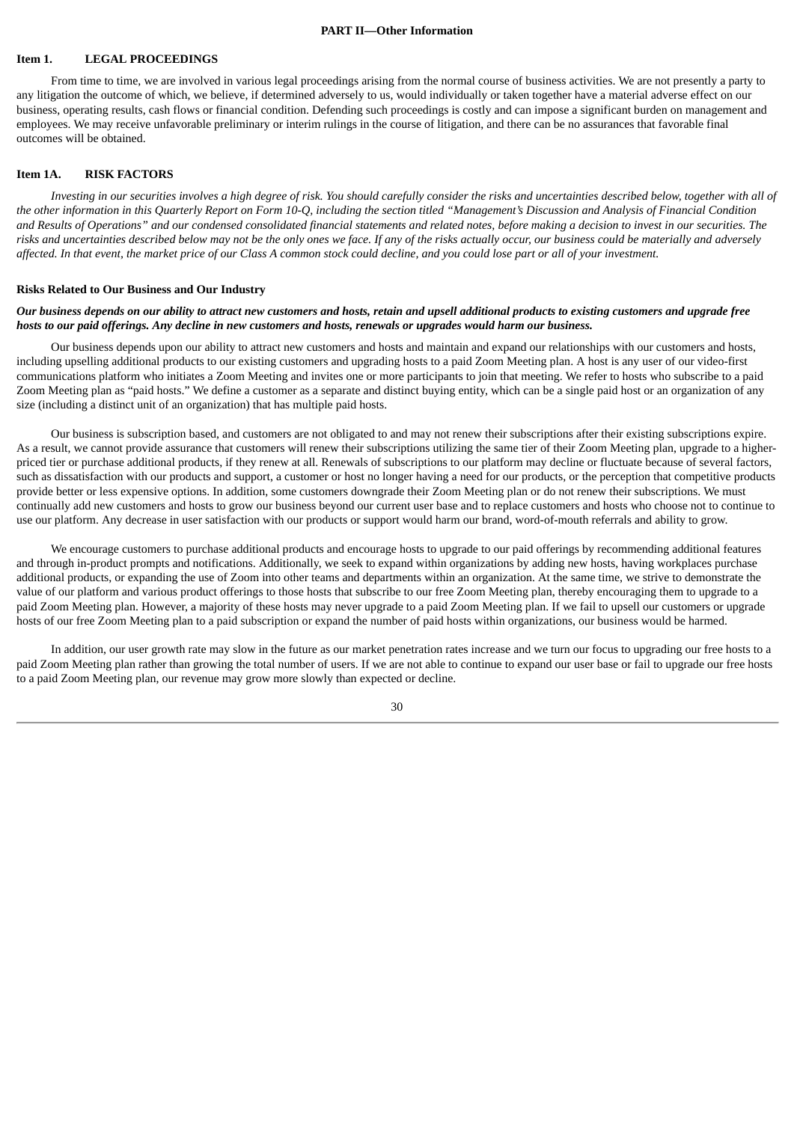#### **PART II—Other Information**

#### <span id="page-29-1"></span><span id="page-29-0"></span>**Item 1. LEGAL PROCEEDINGS**

From time to time, we are involved in various legal proceedings arising from the normal course of business activities. We are not presently a party to any litigation the outcome of which, we believe, if determined adversely to us, would individually or taken together have a material adverse effect on our business, operating results, cash flows or financial condition. Defending such proceedings is costly and can impose a significant burden on management and employees. We may receive unfavorable preliminary or interim rulings in the course of litigation, and there can be no assurances that favorable final outcomes will be obtained.

#### <span id="page-29-2"></span>**Item 1A. RISK FACTORS**

Investing in our securities involves a high degree of risk. You should carefully consider the risks and uncertainties described below, together with all of the other information in this Quarterly Report on Form 10-Q, including the section titled "Management's Discussion and Analysis of Financial Condition and Results of Operations" and our condensed consolidated financial statements and related notes, before making a decision to invest in our securities. The risks and uncertainties described below may not be the only ones we face. If any of the risks actually occur, our business could be materially and adversely affected. In that event, the market price of our Class A common stock could decline, and you could lose part or all of your investment.

#### **Risks Related to Our Business and Our Industry**

# Our business depends on our ability to attract new customers and hosts, retain and upsell additional products to existing customers and upgrade free hosts to our paid offerings. Any decline in new customers and hosts, renewals or upgrades would harm our business.

Our business depends upon our ability to attract new customers and hosts and maintain and expand our relationships with our customers and hosts, including upselling additional products to our existing customers and upgrading hosts to a paid Zoom Meeting plan. A host is any user of our video-first communications platform who initiates a Zoom Meeting and invites one or more participants to join that meeting. We refer to hosts who subscribe to a paid Zoom Meeting plan as "paid hosts." We define a customer as a separate and distinct buying entity, which can be a single paid host or an organization of any size (including a distinct unit of an organization) that has multiple paid hosts.

Our business is subscription based, and customers are not obligated to and may not renew their subscriptions after their existing subscriptions expire. As a result, we cannot provide assurance that customers will renew their subscriptions utilizing the same tier of their Zoom Meeting plan, upgrade to a higherpriced tier or purchase additional products, if they renew at all. Renewals of subscriptions to our platform may decline or fluctuate because of several factors, such as dissatisfaction with our products and support, a customer or host no longer having a need for our products, or the perception that competitive products provide better or less expensive options. In addition, some customers downgrade their Zoom Meeting plan or do not renew their subscriptions. We must continually add new customers and hosts to grow our business beyond our current user base and to replace customers and hosts who choose not to continue to use our platform. Any decrease in user satisfaction with our products or support would harm our brand, word-of-mouth referrals and ability to grow.

We encourage customers to purchase additional products and encourage hosts to upgrade to our paid offerings by recommending additional features and through in-product prompts and notifications. Additionally, we seek to expand within organizations by adding new hosts, having workplaces purchase additional products, or expanding the use of Zoom into other teams and departments within an organization. At the same time, we strive to demonstrate the value of our platform and various product offerings to those hosts that subscribe to our free Zoom Meeting plan, thereby encouraging them to upgrade to a paid Zoom Meeting plan. However, a majority of these hosts may never upgrade to a paid Zoom Meeting plan. If we fail to upsell our customers or upgrade hosts of our free Zoom Meeting plan to a paid subscription or expand the number of paid hosts within organizations, our business would be harmed.

In addition, our user growth rate may slow in the future as our market penetration rates increase and we turn our focus to upgrading our free hosts to a paid Zoom Meeting plan rather than growing the total number of users. If we are not able to continue to expand our user base or fail to upgrade our free hosts to a paid Zoom Meeting plan, our revenue may grow more slowly than expected or decline.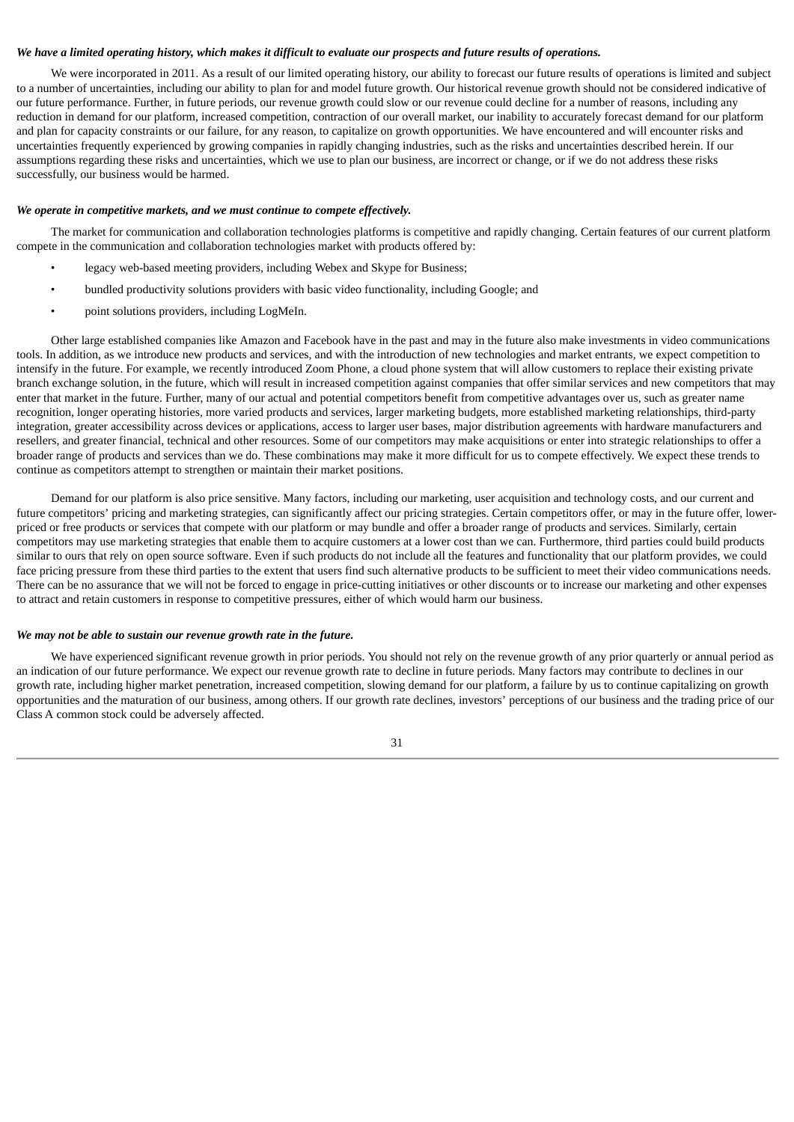# We have a limited operating history, which makes it difficult to evaluate our prospects and future results of operations.

We were incorporated in 2011. As a result of our limited operating history, our ability to forecast our future results of operations is limited and subject to a number of uncertainties, including our ability to plan for and model future growth. Our historical revenue growth should not be considered indicative of our future performance. Further, in future periods, our revenue growth could slow or our revenue could decline for a number of reasons, including any reduction in demand for our platform, increased competition, contraction of our overall market, our inability to accurately forecast demand for our platform and plan for capacity constraints or our failure, for any reason, to capitalize on growth opportunities. We have encountered and will encounter risks and uncertainties frequently experienced by growing companies in rapidly changing industries, such as the risks and uncertainties described herein. If our assumptions regarding these risks and uncertainties, which we use to plan our business, are incorrect or change, or if we do not address these risks successfully, our business would be harmed.

#### *We operate in competitive markets, and we must continue to compete effectively.*

The market for communication and collaboration technologies platforms is competitive and rapidly changing. Certain features of our current platform compete in the communication and collaboration technologies market with products offered by:

- legacy web-based meeting providers, including Webex and Skype for Business;
- bundled productivity solutions providers with basic video functionality, including Google; and
- point solutions providers, including LogMeIn.

Other large established companies like Amazon and Facebook have in the past and may in the future also make investments in video communications tools. In addition, as we introduce new products and services, and with the introduction of new technologies and market entrants, we expect competition to intensify in the future. For example, we recently introduced Zoom Phone, a cloud phone system that will allow customers to replace their existing private branch exchange solution, in the future, which will result in increased competition against companies that offer similar services and new competitors that may enter that market in the future. Further, many of our actual and potential competitors benefit from competitive advantages over us, such as greater name recognition, longer operating histories, more varied products and services, larger marketing budgets, more established marketing relationships, third-party integration, greater accessibility across devices or applications, access to larger user bases, major distribution agreements with hardware manufacturers and resellers, and greater financial, technical and other resources. Some of our competitors may make acquisitions or enter into strategic relationships to offer a broader range of products and services than we do. These combinations may make it more difficult for us to compete effectively. We expect these trends to continue as competitors attempt to strengthen or maintain their market positions.

Demand for our platform is also price sensitive. Many factors, including our marketing, user acquisition and technology costs, and our current and future competitors' pricing and marketing strategies, can significantly affect our pricing strategies. Certain competitors offer, or may in the future offer, lowerpriced or free products or services that compete with our platform or may bundle and offer a broader range of products and services. Similarly, certain competitors may use marketing strategies that enable them to acquire customers at a lower cost than we can. Furthermore, third parties could build products similar to ours that rely on open source software. Even if such products do not include all the features and functionality that our platform provides, we could face pricing pressure from these third parties to the extent that users find such alternative products to be sufficient to meet their video communications needs. There can be no assurance that we will not be forced to engage in price-cutting initiatives or other discounts or to increase our marketing and other expenses to attract and retain customers in response to competitive pressures, either of which would harm our business.

# *We may not be able to sustain our revenue growth rate in the future.*

We have experienced significant revenue growth in prior periods. You should not rely on the revenue growth of any prior quarterly or annual period as an indication of our future performance. We expect our revenue growth rate to decline in future periods. Many factors may contribute to declines in our growth rate, including higher market penetration, increased competition, slowing demand for our platform, a failure by us to continue capitalizing on growth opportunities and the maturation of our business, among others. If our growth rate declines, investors' perceptions of our business and the trading price of our Class A common stock could be adversely affected.

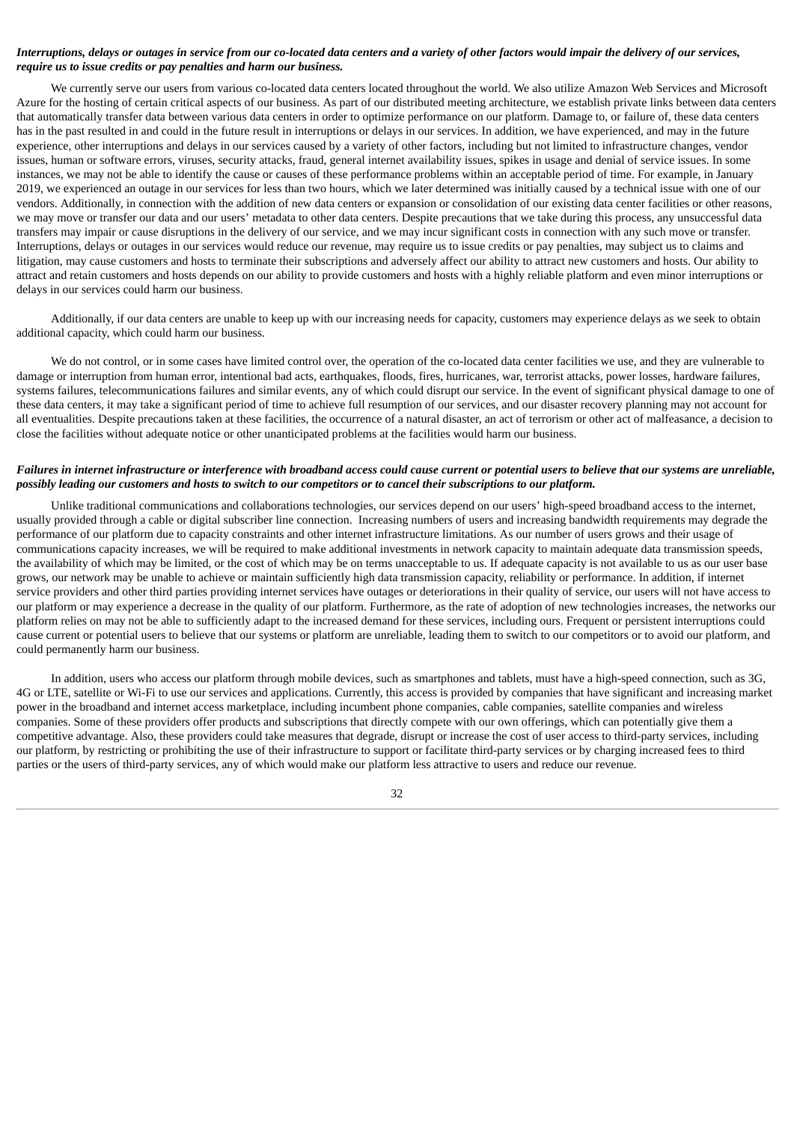# Interruptions, delays or outages in service from our co-located data centers and a variety of other factors would impair the delivery of our services, *require us to issue credits or pay penalties and harm our business.*

We currently serve our users from various co-located data centers located throughout the world. We also utilize Amazon Web Services and Microsoft Azure for the hosting of certain critical aspects of our business. As part of our distributed meeting architecture, we establish private links between data centers that automatically transfer data between various data centers in order to optimize performance on our platform. Damage to, or failure of, these data centers has in the past resulted in and could in the future result in interruptions or delays in our services. In addition, we have experienced, and may in the future experience, other interruptions and delays in our services caused by a variety of other factors, including but not limited to infrastructure changes, vendor issues, human or software errors, viruses, security attacks, fraud, general internet availability issues, spikes in usage and denial of service issues. In some instances, we may not be able to identify the cause or causes of these performance problems within an acceptable period of time. For example, in January 2019, we experienced an outage in our services for less than two hours, which we later determined was initially caused by a technical issue with one of our vendors. Additionally, in connection with the addition of new data centers or expansion or consolidation of our existing data center facilities or other reasons, we may move or transfer our data and our users' metadata to other data centers. Despite precautions that we take during this process, any unsuccessful data transfers may impair or cause disruptions in the delivery of our service, and we may incur significant costs in connection with any such move or transfer. Interruptions, delays or outages in our services would reduce our revenue, may require us to issue credits or pay penalties, may subject us to claims and litigation, may cause customers and hosts to terminate their subscriptions and adversely affect our ability to attract new customers and hosts. Our ability to attract and retain customers and hosts depends on our ability to provide customers and hosts with a highly reliable platform and even minor interruptions or delays in our services could harm our business.

Additionally, if our data centers are unable to keep up with our increasing needs for capacity, customers may experience delays as we seek to obtain additional capacity, which could harm our business.

We do not control, or in some cases have limited control over, the operation of the co-located data center facilities we use, and they are vulnerable to damage or interruption from human error, intentional bad acts, earthquakes, floods, fires, hurricanes, war, terrorist attacks, power losses, hardware failures, systems failures, telecommunications failures and similar events, any of which could disrupt our service. In the event of significant physical damage to one of these data centers, it may take a significant period of time to achieve full resumption of our services, and our disaster recovery planning may not account for all eventualities. Despite precautions taken at these facilities, the occurrence of a natural disaster, an act of terrorism or other act of malfeasance, a decision to close the facilities without adequate notice or other unanticipated problems at the facilities would harm our business.

# Failures in internet infrastructure or interference with broadband access could cause current or potential users to believe that our systems are unreliable, possibly leading our customers and hosts to switch to our competitors or to cancel their subscriptions to our platform.

Unlike traditional communications and collaborations technologies, our services depend on our users' high-speed broadband access to the internet, usually provided through a cable or digital subscriber line connection. Increasing numbers of users and increasing bandwidth requirements may degrade the performance of our platform due to capacity constraints and other internet infrastructure limitations. As our number of users grows and their usage of communications capacity increases, we will be required to make additional investments in network capacity to maintain adequate data transmission speeds, the availability of which may be limited, or the cost of which may be on terms unacceptable to us. If adequate capacity is not available to us as our user base grows, our network may be unable to achieve or maintain sufficiently high data transmission capacity, reliability or performance. In addition, if internet service providers and other third parties providing internet services have outages or deteriorations in their quality of service, our users will not have access to our platform or may experience a decrease in the quality of our platform. Furthermore, as the rate of adoption of new technologies increases, the networks our platform relies on may not be able to sufficiently adapt to the increased demand for these services, including ours. Frequent or persistent interruptions could cause current or potential users to believe that our systems or platform are unreliable, leading them to switch to our competitors or to avoid our platform, and could permanently harm our business.

In addition, users who access our platform through mobile devices, such as smartphones and tablets, must have a high-speed connection, such as 3G, 4G or LTE, satellite or Wi-Fi to use our services and applications. Currently, this access is provided by companies that have significant and increasing market power in the broadband and internet access marketplace, including incumbent phone companies, cable companies, satellite companies and wireless companies. Some of these providers offer products and subscriptions that directly compete with our own offerings, which can potentially give them a competitive advantage. Also, these providers could take measures that degrade, disrupt or increase the cost of user access to third-party services, including our platform, by restricting or prohibiting the use of their infrastructure to support or facilitate third-party services or by charging increased fees to third parties or the users of third-party services, any of which would make our platform less attractive to users and reduce our revenue.

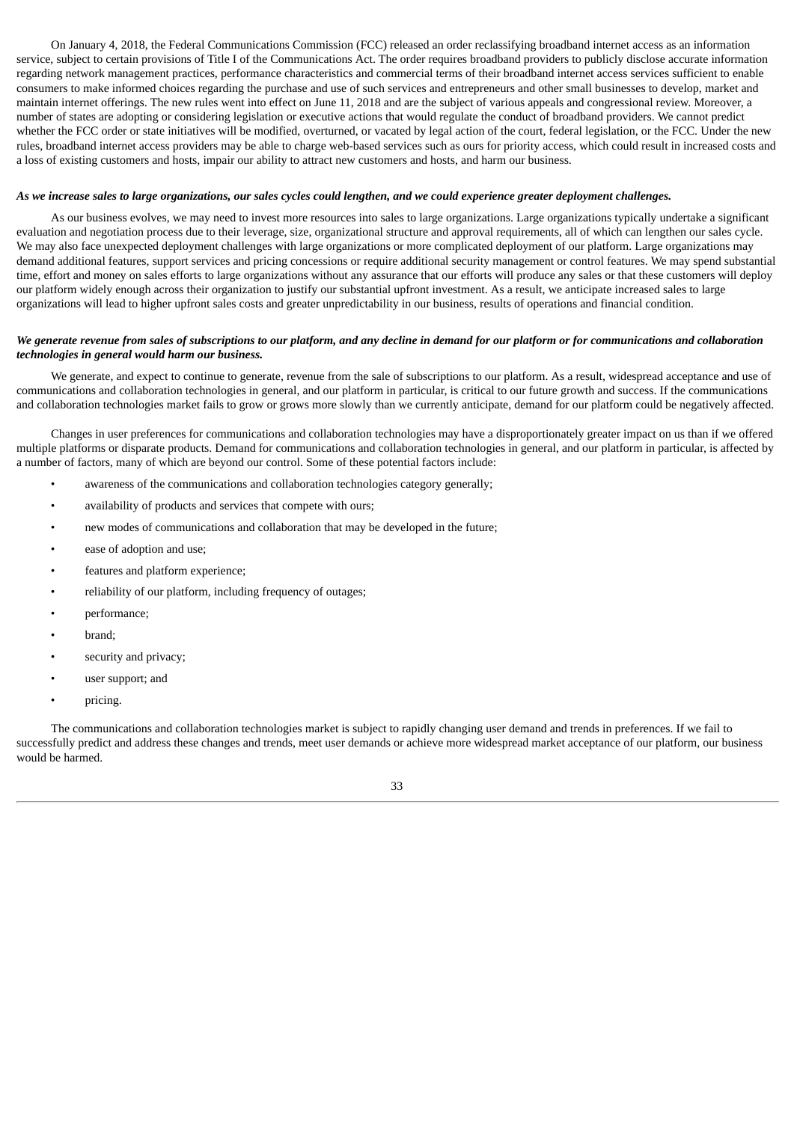On January 4, 2018, the Federal Communications Commission (FCC) released an order reclassifying broadband internet access as an information service, subject to certain provisions of Title I of the Communications Act. The order requires broadband providers to publicly disclose accurate information regarding network management practices, performance characteristics and commercial terms of their broadband internet access services sufficient to enable consumers to make informed choices regarding the purchase and use of such services and entrepreneurs and other small businesses to develop, market and maintain internet offerings. The new rules went into effect on June 11, 2018 and are the subject of various appeals and congressional review. Moreover, a number of states are adopting or considering legislation or executive actions that would regulate the conduct of broadband providers. We cannot predict whether the FCC order or state initiatives will be modified, overturned, or vacated by legal action of the court, federal legislation, or the FCC. Under the new rules, broadband internet access providers may be able to charge web-based services such as ours for priority access, which could result in increased costs and a loss of existing customers and hosts, impair our ability to attract new customers and hosts, and harm our business.

### As we increase sales to large organizations, our sales cycles could lengthen, and we could experience greater deployment challenges.

As our business evolves, we may need to invest more resources into sales to large organizations. Large organizations typically undertake a significant evaluation and negotiation process due to their leverage, size, organizational structure and approval requirements, all of which can lengthen our sales cycle. We may also face unexpected deployment challenges with large organizations or more complicated deployment of our platform. Large organizations may demand additional features, support services and pricing concessions or require additional security management or control features. We may spend substantial time, effort and money on sales efforts to large organizations without any assurance that our efforts will produce any sales or that these customers will deploy our platform widely enough across their organization to justify our substantial upfront investment. As a result, we anticipate increased sales to large organizations will lead to higher upfront sales costs and greater unpredictability in our business, results of operations and financial condition.

# We generate revenue from sales of subscriptions to our platform, and any decline in demand for our platform or for communications and collaboration *technologies in general would harm our business.*

We generate, and expect to continue to generate, revenue from the sale of subscriptions to our platform. As a result, widespread acceptance and use of communications and collaboration technologies in general, and our platform in particular, is critical to our future growth and success. If the communications and collaboration technologies market fails to grow or grows more slowly than we currently anticipate, demand for our platform could be negatively affected.

Changes in user preferences for communications and collaboration technologies may have a disproportionately greater impact on us than if we offered multiple platforms or disparate products. Demand for communications and collaboration technologies in general, and our platform in particular, is affected by a number of factors, many of which are beyond our control. Some of these potential factors include:

- awareness of the communications and collaboration technologies category generally;
- availability of products and services that compete with ours;
- new modes of communications and collaboration that may be developed in the future;
- ease of adoption and use:
- features and platform experience;
- reliability of our platform, including frequency of outages;
- performance;
- brand;
- security and privacy;
- user support; and
- pricing.

The communications and collaboration technologies market is subject to rapidly changing user demand and trends in preferences. If we fail to successfully predict and address these changes and trends, meet user demands or achieve more widespread market acceptance of our platform, our business would be harmed.

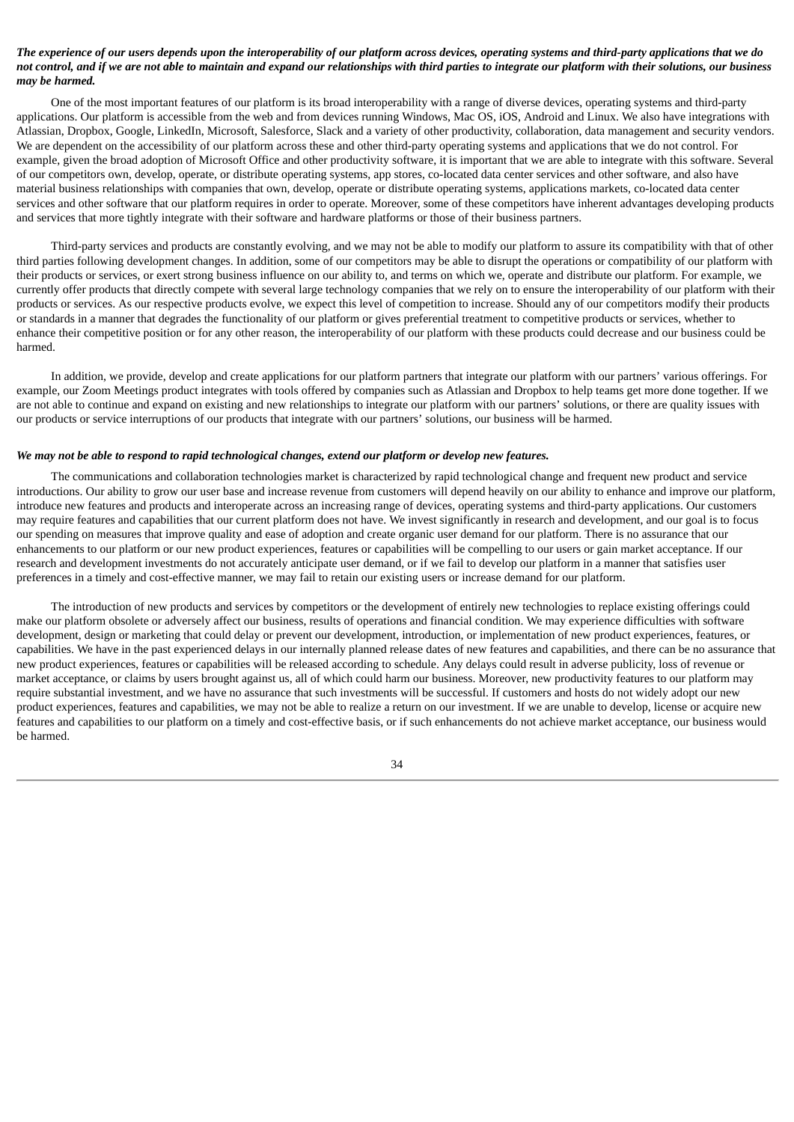# The experience of our users depends upon the interoperability of our platform across devices, operating systems and third-party applications that we do not control, and if we are not able to maintain and expand our relationships with third parties to integrate our platform with their solutions, our business *may be harmed.*

One of the most important features of our platform is its broad interoperability with a range of diverse devices, operating systems and third-party applications. Our platform is accessible from the web and from devices running Windows, Mac OS, iOS, Android and Linux. We also have integrations with Atlassian, Dropbox, Google, LinkedIn, Microsoft, Salesforce, Slack and a variety of other productivity, collaboration, data management and security vendors. We are dependent on the accessibility of our platform across these and other third-party operating systems and applications that we do not control. For example, given the broad adoption of Microsoft Office and other productivity software, it is important that we are able to integrate with this software. Several of our competitors own, develop, operate, or distribute operating systems, app stores, co-located data center services and other software, and also have material business relationships with companies that own, develop, operate or distribute operating systems, applications markets, co-located data center services and other software that our platform requires in order to operate. Moreover, some of these competitors have inherent advantages developing products and services that more tightly integrate with their software and hardware platforms or those of their business partners.

Third-party services and products are constantly evolving, and we may not be able to modify our platform to assure its compatibility with that of other third parties following development changes. In addition, some of our competitors may be able to disrupt the operations or compatibility of our platform with their products or services, or exert strong business influence on our ability to, and terms on which we, operate and distribute our platform. For example, we currently offer products that directly compete with several large technology companies that we rely on to ensure the interoperability of our platform with their products or services. As our respective products evolve, we expect this level of competition to increase. Should any of our competitors modify their products or standards in a manner that degrades the functionality of our platform or gives preferential treatment to competitive products or services, whether to enhance their competitive position or for any other reason, the interoperability of our platform with these products could decrease and our business could be harmed.

In addition, we provide, develop and create applications for our platform partners that integrate our platform with our partners' various offerings. For example, our Zoom Meetings product integrates with tools offered by companies such as Atlassian and Dropbox to help teams get more done together. If we are not able to continue and expand on existing and new relationships to integrate our platform with our partners' solutions, or there are quality issues with our products or service interruptions of our products that integrate with our partners' solutions, our business will be harmed.

#### We may not be able to respond to rapid technological changes, extend our platform or develop new features.

The communications and collaboration technologies market is characterized by rapid technological change and frequent new product and service introductions. Our ability to grow our user base and increase revenue from customers will depend heavily on our ability to enhance and improve our platform, introduce new features and products and interoperate across an increasing range of devices, operating systems and third-party applications. Our customers may require features and capabilities that our current platform does not have. We invest significantly in research and development, and our goal is to focus our spending on measures that improve quality and ease of adoption and create organic user demand for our platform. There is no assurance that our enhancements to our platform or our new product experiences, features or capabilities will be compelling to our users or gain market acceptance. If our research and development investments do not accurately anticipate user demand, or if we fail to develop our platform in a manner that satisfies user preferences in a timely and cost-effective manner, we may fail to retain our existing users or increase demand for our platform.

The introduction of new products and services by competitors or the development of entirely new technologies to replace existing offerings could make our platform obsolete or adversely affect our business, results of operations and financial condition. We may experience difficulties with software development, design or marketing that could delay or prevent our development, introduction, or implementation of new product experiences, features, or capabilities. We have in the past experienced delays in our internally planned release dates of new features and capabilities, and there can be no assurance that new product experiences, features or capabilities will be released according to schedule. Any delays could result in adverse publicity, loss of revenue or market acceptance, or claims by users brought against us, all of which could harm our business. Moreover, new productivity features to our platform may require substantial investment, and we have no assurance that such investments will be successful. If customers and hosts do not widely adopt our new product experiences, features and capabilities, we may not be able to realize a return on our investment. If we are unable to develop, license or acquire new features and capabilities to our platform on a timely and cost-effective basis, or if such enhancements do not achieve market acceptance, our business would be harmed.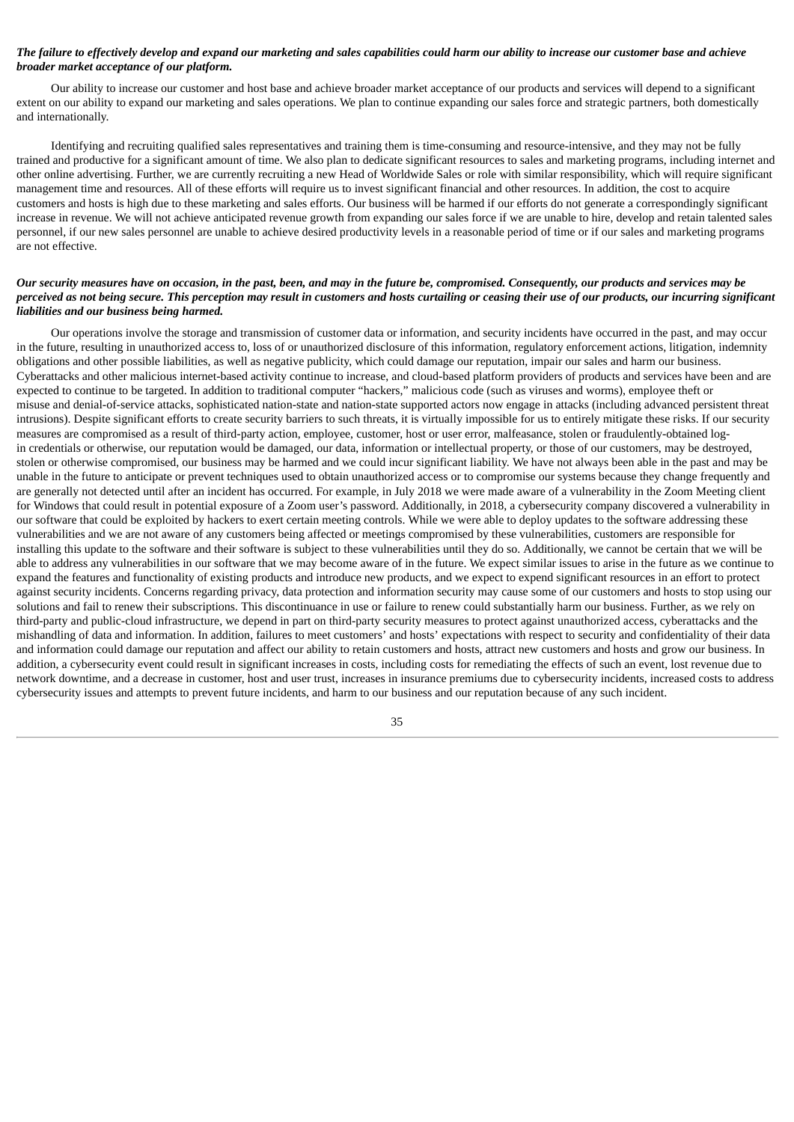# The failure to effectively develop and expand our marketing and sales capabilities could harm our ability to increase our customer base and achieve *broader market acceptance of our platform.*

Our ability to increase our customer and host base and achieve broader market acceptance of our products and services will depend to a significant extent on our ability to expand our marketing and sales operations. We plan to continue expanding our sales force and strategic partners, both domestically and internationally.

Identifying and recruiting qualified sales representatives and training them is time-consuming and resource-intensive, and they may not be fully trained and productive for a significant amount of time. We also plan to dedicate significant resources to sales and marketing programs, including internet and other online advertising. Further, we are currently recruiting a new Head of Worldwide Sales or role with similar responsibility, which will require significant management time and resources. All of these efforts will require us to invest significant financial and other resources. In addition, the cost to acquire customers and hosts is high due to these marketing and sales efforts. Our business will be harmed if our efforts do not generate a correspondingly significant increase in revenue. We will not achieve anticipated revenue growth from expanding our sales force if we are unable to hire, develop and retain talented sales personnel, if our new sales personnel are unable to achieve desired productivity levels in a reasonable period of time or if our sales and marketing programs are not effective.

# Our security measures have on occasion, in the past, been, and may in the future be, compromised. Consequently, our products and services may be perceived as not being secure. This perception may result in customers and hosts curtailing or ceasing their use of our products, our incurring significant *liabilities and our business being harmed.*

Our operations involve the storage and transmission of customer data or information, and security incidents have occurred in the past, and may occur in the future, resulting in unauthorized access to, loss of or unauthorized disclosure of this information, regulatory enforcement actions, litigation, indemnity obligations and other possible liabilities, as well as negative publicity, which could damage our reputation, impair our sales and harm our business. Cyberattacks and other malicious internet-based activity continue to increase, and cloud-based platform providers of products and services have been and are expected to continue to be targeted. In addition to traditional computer "hackers," malicious code (such as viruses and worms), employee theft or misuse and denial-of-service attacks, sophisticated nation-state and nation-state supported actors now engage in attacks (including advanced persistent threat intrusions). Despite significant efforts to create security barriers to such threats, it is virtually impossible for us to entirely mitigate these risks. If our security measures are compromised as a result of third-party action, employee, customer, host or user error, malfeasance, stolen or fraudulently-obtained login credentials or otherwise, our reputation would be damaged, our data, information or intellectual property, or those of our customers, may be destroyed, stolen or otherwise compromised, our business may be harmed and we could incur significant liability. We have not always been able in the past and may be unable in the future to anticipate or prevent techniques used to obtain unauthorized access or to compromise our systems because they change frequently and are generally not detected until after an incident has occurred. For example, in July 2018 we were made aware of a vulnerability in the Zoom Meeting client for Windows that could result in potential exposure of a Zoom user's password. Additionally, in 2018, a cybersecurity company discovered a vulnerability in our software that could be exploited by hackers to exert certain meeting controls. While we were able to deploy updates to the software addressing these vulnerabilities and we are not aware of any customers being affected or meetings compromised by these vulnerabilities, customers are responsible for installing this update to the software and their software is subject to these vulnerabilities until they do so. Additionally, we cannot be certain that we will be able to address any vulnerabilities in our software that we may become aware of in the future. We expect similar issues to arise in the future as we continue to expand the features and functionality of existing products and introduce new products, and we expect to expend significant resources in an effort to protect against security incidents. Concerns regarding privacy, data protection and information security may cause some of our customers and hosts to stop using our solutions and fail to renew their subscriptions. This discontinuance in use or failure to renew could substantially harm our business. Further, as we rely on third-party and public-cloud infrastructure, we depend in part on third-party security measures to protect against unauthorized access, cyberattacks and the mishandling of data and information. In addition, failures to meet customers' and hosts' expectations with respect to security and confidentiality of their data and information could damage our reputation and affect our ability to retain customers and hosts, attract new customers and hosts and grow our business. In addition, a cybersecurity event could result in significant increases in costs, including costs for remediating the effects of such an event, lost revenue due to network downtime, and a decrease in customer, host and user trust, increases in insurance premiums due to cybersecurity incidents, increased costs to address cybersecurity issues and attempts to prevent future incidents, and harm to our business and our reputation because of any such incident.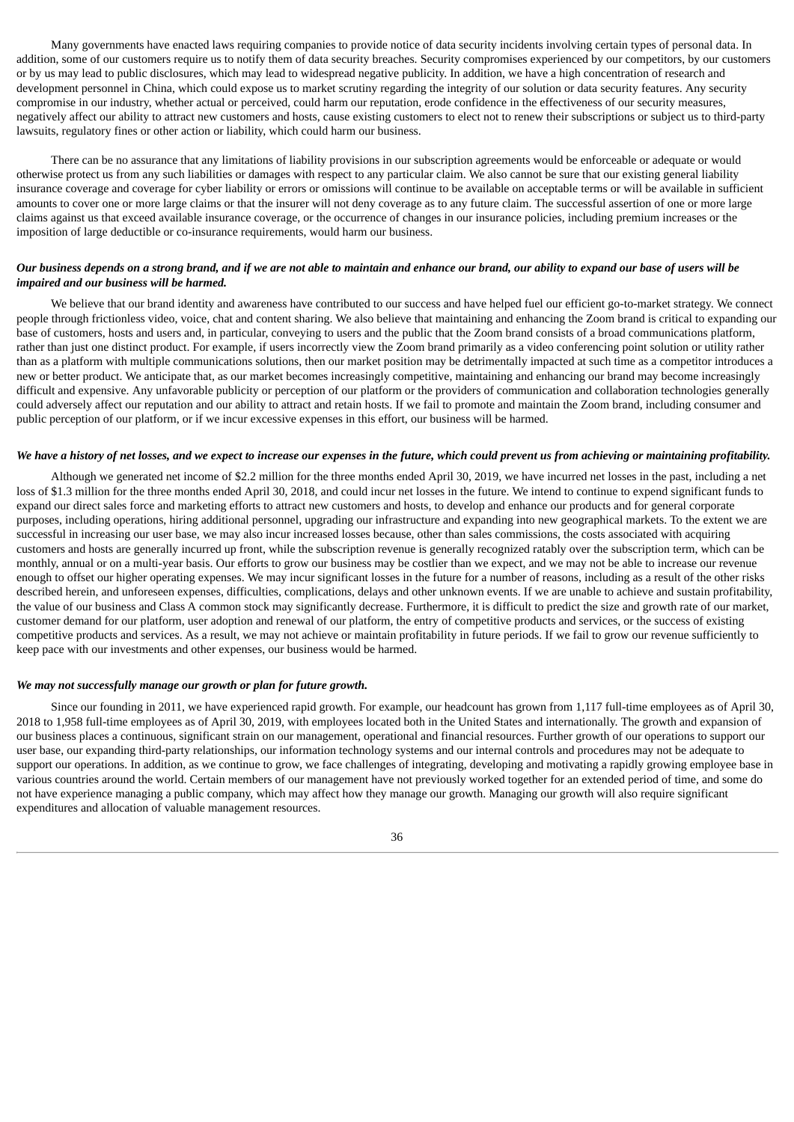Many governments have enacted laws requiring companies to provide notice of data security incidents involving certain types of personal data. In addition, some of our customers require us to notify them of data security breaches. Security compromises experienced by our competitors, by our customers or by us may lead to public disclosures, which may lead to widespread negative publicity. In addition, we have a high concentration of research and development personnel in China, which could expose us to market scrutiny regarding the integrity of our solution or data security features. Any security compromise in our industry, whether actual or perceived, could harm our reputation, erode confidence in the effectiveness of our security measures, negatively affect our ability to attract new customers and hosts, cause existing customers to elect not to renew their subscriptions or subject us to third-party lawsuits, regulatory fines or other action or liability, which could harm our business.

There can be no assurance that any limitations of liability provisions in our subscription agreements would be enforceable or adequate or would otherwise protect us from any such liabilities or damages with respect to any particular claim. We also cannot be sure that our existing general liability insurance coverage and coverage for cyber liability or errors or omissions will continue to be available on acceptable terms or will be available in sufficient amounts to cover one or more large claims or that the insurer will not deny coverage as to any future claim. The successful assertion of one or more large claims against us that exceed available insurance coverage, or the occurrence of changes in our insurance policies, including premium increases or the imposition of large deductible or co-insurance requirements, would harm our business.

# Our business depends on a strong brand, and if we are not able to maintain and enhance our brand, our ability to expand our base of users will be *impaired and our business will be harmed.*

We believe that our brand identity and awareness have contributed to our success and have helped fuel our efficient go-to-market strategy. We connect people through frictionless video, voice, chat and content sharing. We also believe that maintaining and enhancing the Zoom brand is critical to expanding our base of customers, hosts and users and, in particular, conveying to users and the public that the Zoom brand consists of a broad communications platform, rather than just one distinct product. For example, if users incorrectly view the Zoom brand primarily as a video conferencing point solution or utility rather than as a platform with multiple communications solutions, then our market position may be detrimentally impacted at such time as a competitor introduces a new or better product. We anticipate that, as our market becomes increasingly competitive, maintaining and enhancing our brand may become increasingly difficult and expensive. Any unfavorable publicity or perception of our platform or the providers of communication and collaboration technologies generally could adversely affect our reputation and our ability to attract and retain hosts. If we fail to promote and maintain the Zoom brand, including consumer and public perception of our platform, or if we incur excessive expenses in this effort, our business will be harmed.

#### We have a history of net losses, and we expect to increase our expenses in the future, which could prevent us from achieving or maintaining profitability.

Although we generated net income of \$2.2 million for the three months ended April 30, 2019, we have incurred net losses in the past, including a net loss of \$1.3 million for the three months ended April 30, 2018, and could incur net losses in the future. We intend to continue to expend significant funds to expand our direct sales force and marketing efforts to attract new customers and hosts, to develop and enhance our products and for general corporate purposes, including operations, hiring additional personnel, upgrading our infrastructure and expanding into new geographical markets. To the extent we are successful in increasing our user base, we may also incur increased losses because, other than sales commissions, the costs associated with acquiring customers and hosts are generally incurred up front, while the subscription revenue is generally recognized ratably over the subscription term, which can be monthly, annual or on a multi-year basis. Our efforts to grow our business may be costlier than we expect, and we may not be able to increase our revenue enough to offset our higher operating expenses. We may incur significant losses in the future for a number of reasons, including as a result of the other risks described herein, and unforeseen expenses, difficulties, complications, delays and other unknown events. If we are unable to achieve and sustain profitability, the value of our business and Class A common stock may significantly decrease. Furthermore, it is difficult to predict the size and growth rate of our market, customer demand for our platform, user adoption and renewal of our platform, the entry of competitive products and services, or the success of existing competitive products and services. As a result, we may not achieve or maintain profitability in future periods. If we fail to grow our revenue sufficiently to keep pace with our investments and other expenses, our business would be harmed.

# *We may not successfully manage our growth or plan for future growth.*

Since our founding in 2011, we have experienced rapid growth. For example, our headcount has grown from 1,117 full-time employees as of April 30, 2018 to 1,958 full-time employees as of April 30, 2019, with employees located both in the United States and internationally. The growth and expansion of our business places a continuous, significant strain on our management, operational and financial resources. Further growth of our operations to support our user base, our expanding third-party relationships, our information technology systems and our internal controls and procedures may not be adequate to support our operations. In addition, as we continue to grow, we face challenges of integrating, developing and motivating a rapidly growing employee base in various countries around the world. Certain members of our management have not previously worked together for an extended period of time, and some do not have experience managing a public company, which may affect how they manage our growth. Managing our growth will also require significant expenditures and allocation of valuable management resources.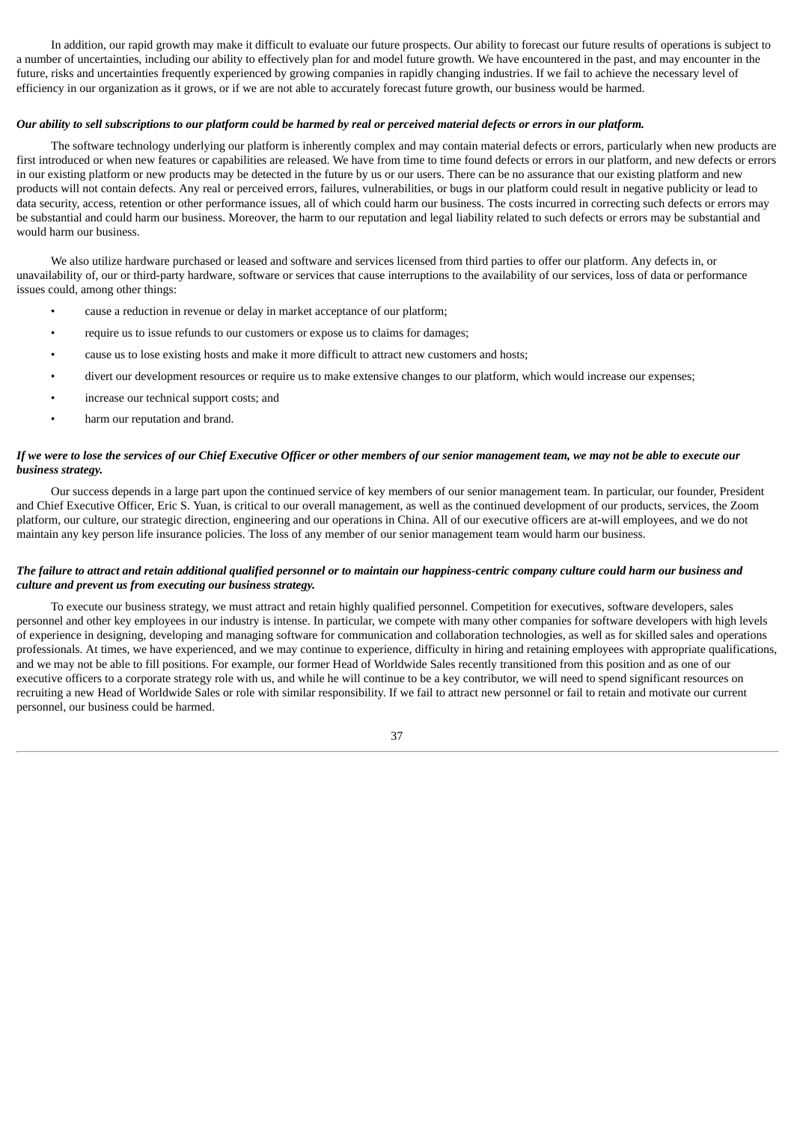In addition, our rapid growth may make it difficult to evaluate our future prospects. Our ability to forecast our future results of operations is subject to a number of uncertainties, including our ability to effectively plan for and model future growth. We have encountered in the past, and may encounter in the future, risks and uncertainties frequently experienced by growing companies in rapidly changing industries. If we fail to achieve the necessary level of efficiency in our organization as it grows, or if we are not able to accurately forecast future growth, our business would be harmed.

# Our ability to sell subscriptions to our platform could be harmed by real or perceived material defects or errors in our platform.

The software technology underlying our platform is inherently complex and may contain material defects or errors, particularly when new products are first introduced or when new features or capabilities are released. We have from time to time found defects or errors in our platform, and new defects or errors in our existing platform or new products may be detected in the future by us or our users. There can be no assurance that our existing platform and new products will not contain defects. Any real or perceived errors, failures, vulnerabilities, or bugs in our platform could result in negative publicity or lead to data security, access, retention or other performance issues, all of which could harm our business. The costs incurred in correcting such defects or errors may be substantial and could harm our business. Moreover, the harm to our reputation and legal liability related to such defects or errors may be substantial and would harm our business.

We also utilize hardware purchased or leased and software and services licensed from third parties to offer our platform. Any defects in, or unavailability of, our or third-party hardware, software or services that cause interruptions to the availability of our services, loss of data or performance issues could, among other things:

- cause a reduction in revenue or delay in market acceptance of our platform;
- require us to issue refunds to our customers or expose us to claims for damages;
- cause us to lose existing hosts and make it more difficult to attract new customers and hosts;
- divert our development resources or require us to make extensive changes to our platform, which would increase our expenses;
- increase our technical support costs; and
- harm our reputation and brand.

# If we were to lose the services of our Chief Executive Officer or other members of our senior management team, we may not be able to execute our *business strategy.*

Our success depends in a large part upon the continued service of key members of our senior management team. In particular, our founder, President and Chief Executive Officer, Eric S. Yuan, is critical to our overall management, as well as the continued development of our products, services, the Zoom platform, our culture, our strategic direction, engineering and our operations in China. All of our executive officers are at**-**will employees, and we do not maintain any key person life insurance policies. The loss of any member of our senior management team would harm our business.

#### The failure to attract and retain additional qualified personnel or to maintain our happiness-centric company culture could harm our business and *culture and prevent us from executing our business strategy.*

To execute our business strategy, we must attract and retain highly qualified personnel. Competition for executives, software developers, sales personnel and other key employees in our industry is intense. In particular, we compete with many other companies for software developers with high levels of experience in designing, developing and managing software for communication and collaboration technologies, as well as for skilled sales and operations professionals. At times, we have experienced, and we may continue to experience, difficulty in hiring and retaining employees with appropriate qualifications, and we may not be able to fill positions. For example, our former Head of Worldwide Sales recently transitioned from this position and as one of our executive officers to a corporate strategy role with us, and while he will continue to be a key contributor, we will need to spend significant resources on recruiting a new Head of Worldwide Sales or role with similar responsibility. If we fail to attract new personnel or fail to retain and motivate our current personnel, our business could be harmed.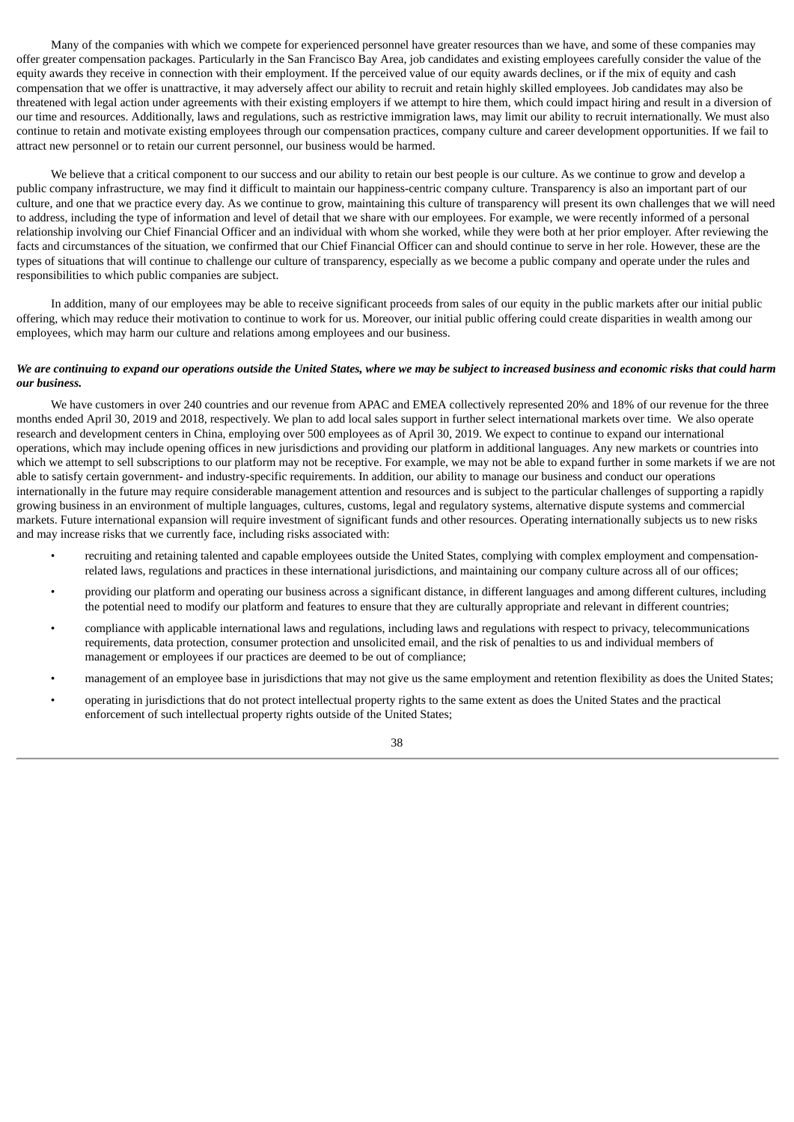Many of the companies with which we compete for experienced personnel have greater resources than we have, and some of these companies may offer greater compensation packages. Particularly in the San Francisco Bay Area, job candidates and existing employees carefully consider the value of the equity awards they receive in connection with their employment. If the perceived value of our equity awards declines, or if the mix of equity and cash compensation that we offer is unattractive, it may adversely affect our ability to recruit and retain highly skilled employees. Job candidates may also be threatened with legal action under agreements with their existing employers if we attempt to hire them, which could impact hiring and result in a diversion of our time and resources. Additionally, laws and regulations, such as restrictive immigration laws, may limit our ability to recruit internationally. We must also continue to retain and motivate existing employees through our compensation practices, company culture and career development opportunities. If we fail to attract new personnel or to retain our current personnel, our business would be harmed.

We believe that a critical component to our success and our ability to retain our best people is our culture. As we continue to grow and develop a public company infrastructure, we may find it difficult to maintain our happiness-centric company culture. Transparency is also an important part of our culture, and one that we practice every day. As we continue to grow, maintaining this culture of transparency will present its own challenges that we will need to address, including the type of information and level of detail that we share with our employees. For example, we were recently informed of a personal relationship involving our Chief Financial Officer and an individual with whom she worked, while they were both at her prior employer. After reviewing the facts and circumstances of the situation, we confirmed that our Chief Financial Officer can and should continue to serve in her role. However, these are the types of situations that will continue to challenge our culture of transparency, especially as we become a public company and operate under the rules and responsibilities to which public companies are subject.

In addition, many of our employees may be able to receive significant proceeds from sales of our equity in the public markets after our initial public offering, which may reduce their motivation to continue to work for us. Moreover, our initial public offering could create disparities in wealth among our employees, which may harm our culture and relations among employees and our business.

### We are continuing to expand our operations outside the United States, where we may be subject to increased business and economic risks that could harm *our business.*

We have customers in over 240 countries and our revenue from APAC and EMEA collectively represented 20% and 18% of our revenue for the three months ended April 30, 2019 and 2018, respectively. We plan to add local sales support in further select international markets over time. We also operate research and development centers in China, employing over 500 employees as of April 30, 2019. We expect to continue to expand our international operations, which may include opening offices in new jurisdictions and providing our platform in additional languages. Any new markets or countries into which we attempt to sell subscriptions to our platform may not be receptive. For example, we may not be able to expand further in some markets if we are not able to satisfy certain government- and industry-specific requirements. In addition, our ability to manage our business and conduct our operations internationally in the future may require considerable management attention and resources and is subject to the particular challenges of supporting a rapidly growing business in an environment of multiple languages, cultures, customs, legal and regulatory systems, alternative dispute systems and commercial markets. Future international expansion will require investment of significant funds and other resources. Operating internationally subjects us to new risks and may increase risks that we currently face, including risks associated with:

- recruiting and retaining talented and capable employees outside the United States, complying with complex employment and compensationrelated laws, regulations and practices in these international jurisdictions, and maintaining our company culture across all of our offices;
- providing our platform and operating our business across a significant distance, in different languages and among different cultures, including the potential need to modify our platform and features to ensure that they are culturally appropriate and relevant in different countries;
- compliance with applicable international laws and regulations, including laws and regulations with respect to privacy, telecommunications requirements, data protection, consumer protection and unsolicited email, and the risk of penalties to us and individual members of management or employees if our practices are deemed to be out of compliance;
- management of an employee base in jurisdictions that may not give us the same employment and retention flexibility as does the United States;
- operating in jurisdictions that do not protect intellectual property rights to the same extent as does the United States and the practical enforcement of such intellectual property rights outside of the United States;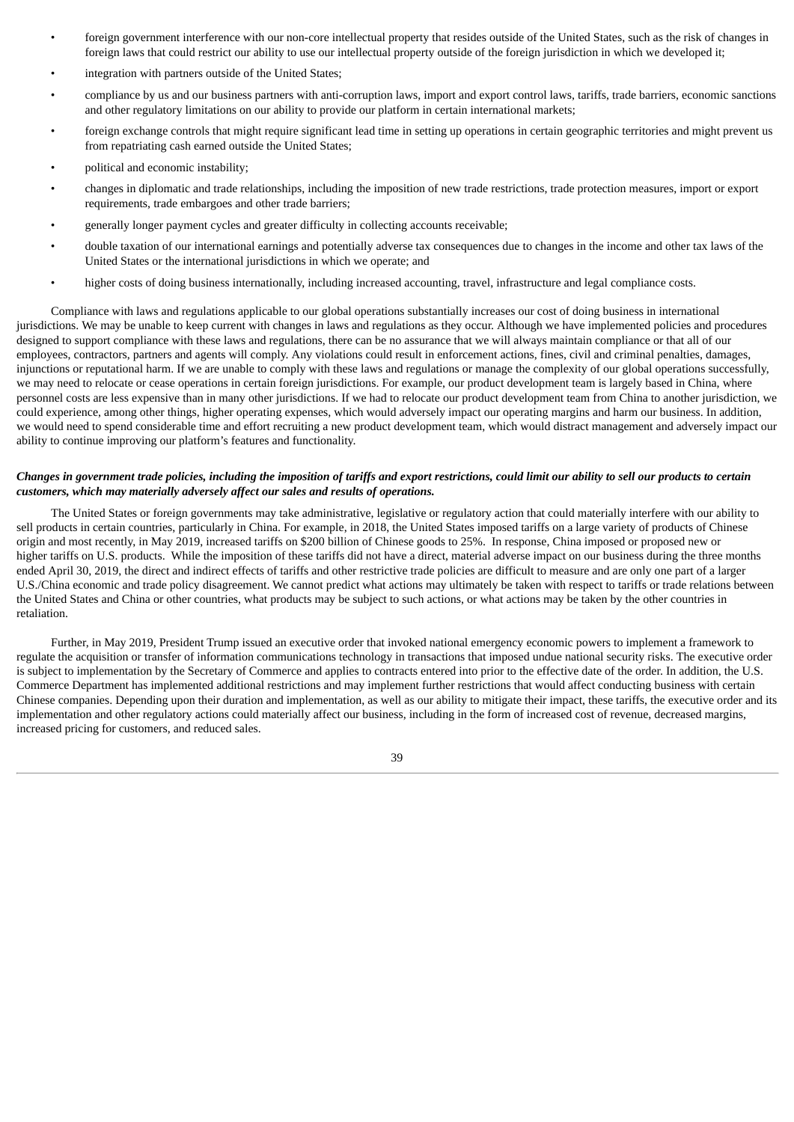- foreign government interference with our non-core intellectual property that resides outside of the United States, such as the risk of changes in foreign laws that could restrict our ability to use our intellectual property outside of the foreign jurisdiction in which we developed it;
- integration with partners outside of the United States;
- compliance by us and our business partners with anti-corruption laws, import and export control laws, tariffs, trade barriers, economic sanctions and other regulatory limitations on our ability to provide our platform in certain international markets;
- foreign exchange controls that might require significant lead time in setting up operations in certain geographic territories and might prevent us from repatriating cash earned outside the United States;
- political and economic instability;
- changes in diplomatic and trade relationships, including the imposition of new trade restrictions, trade protection measures, import or export requirements, trade embargoes and other trade barriers;
- generally longer payment cycles and greater difficulty in collecting accounts receivable;
- double taxation of our international earnings and potentially adverse tax consequences due to changes in the income and other tax laws of the United States or the international jurisdictions in which we operate; and
- higher costs of doing business internationally, including increased accounting, travel, infrastructure and legal compliance costs.

Compliance with laws and regulations applicable to our global operations substantially increases our cost of doing business in international jurisdictions. We may be unable to keep current with changes in laws and regulations as they occur. Although we have implemented policies and procedures designed to support compliance with these laws and regulations, there can be no assurance that we will always maintain compliance or that all of our employees, contractors, partners and agents will comply. Any violations could result in enforcement actions, fines, civil and criminal penalties, damages, injunctions or reputational harm. If we are unable to comply with these laws and regulations or manage the complexity of our global operations successfully, we may need to relocate or cease operations in certain foreign jurisdictions. For example, our product development team is largely based in China, where personnel costs are less expensive than in many other jurisdictions. If we had to relocate our product development team from China to another jurisdiction, we could experience, among other things, higher operating expenses, which would adversely impact our operating margins and harm our business. In addition, we would need to spend considerable time and effort recruiting a new product development team, which would distract management and adversely impact our ability to continue improving our platform's features and functionality.

# Changes in government trade policies, including the imposition of tariffs and export restrictions, could limit our ability to sell our products to certain *customers, which may materially adversely affect our sales and results of operations.*

The United States or foreign governments may take administrative, legislative or regulatory action that could materially interfere with our ability to sell products in certain countries, particularly in China. For example, in 2018, the United States imposed tariffs on a large variety of products of Chinese origin and most recently, in May 2019, increased tariffs on \$200 billion of Chinese goods to 25%. In response, China imposed or proposed new or higher tariffs on U.S. products. While the imposition of these tariffs did not have a direct, material adverse impact on our business during the three months ended April 30, 2019, the direct and indirect effects of tariffs and other restrictive trade policies are difficult to measure and are only one part of a larger U.S./China economic and trade policy disagreement. We cannot predict what actions may ultimately be taken with respect to tariffs or trade relations between the United States and China or other countries, what products may be subject to such actions, or what actions may be taken by the other countries in retaliation.

Further, in May 2019, President Trump issued an executive order that invoked national emergency economic powers to implement a framework to regulate the acquisition or transfer of information communications technology in transactions that imposed undue national security risks. The executive order is subject to implementation by the Secretary of Commerce and applies to contracts entered into prior to the effective date of the order. In addition, the U.S. Commerce Department has implemented additional restrictions and may implement further restrictions that would affect conducting business with certain Chinese companies. Depending upon their duration and implementation, as well as our ability to mitigate their impact, these tariffs, the executive order and its implementation and other regulatory actions could materially affect our business, including in the form of increased cost of revenue, decreased margins, increased pricing for customers, and reduced sales.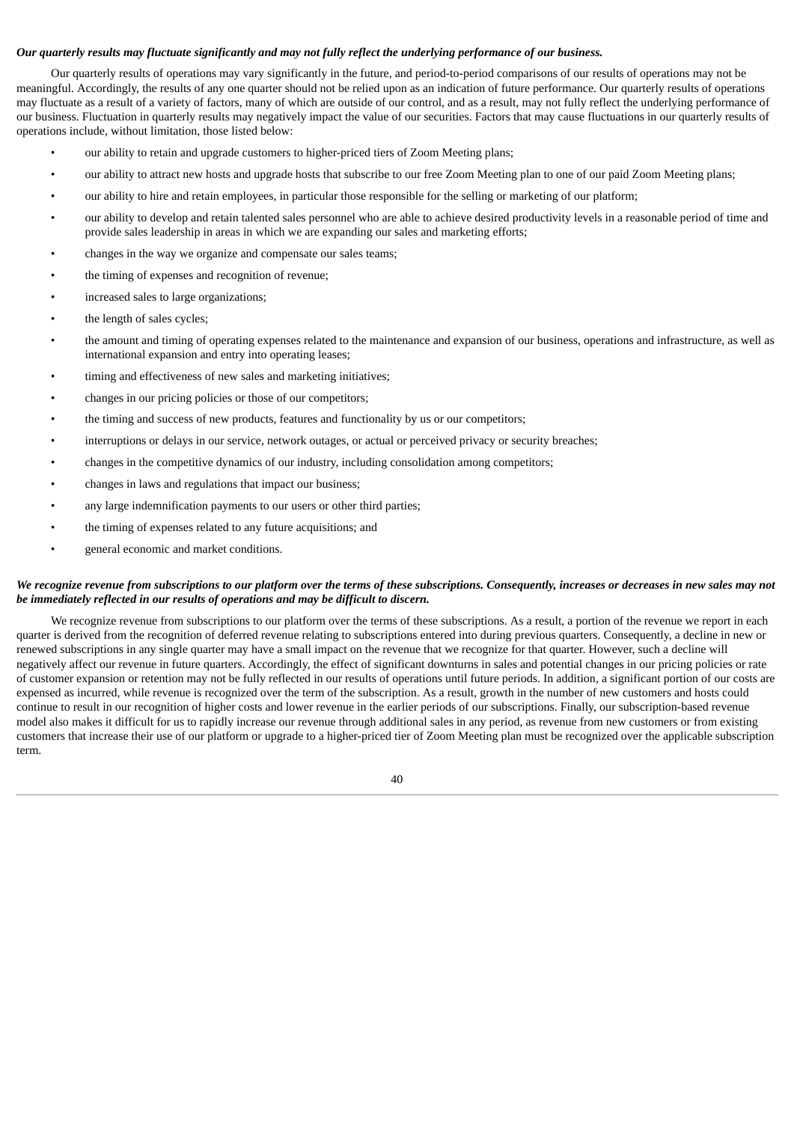# Our quarterly results may fluctuate significantly and may not fully reflect the underlying performance of our business.

Our quarterly results of operations may vary significantly in the future, and period-to-period comparisons of our results of operations may not be meaningful. Accordingly, the results of any one quarter should not be relied upon as an indication of future performance. Our quarterly results of operations may fluctuate as a result of a variety of factors, many of which are outside of our control, and as a result, may not fully reflect the underlying performance of our business. Fluctuation in quarterly results may negatively impact the value of our securities. Factors that may cause fluctuations in our quarterly results of operations include, without limitation, those listed below:

- our ability to retain and upgrade customers to higher-priced tiers of Zoom Meeting plans;
- our ability to attract new hosts and upgrade hosts that subscribe to our free Zoom Meeting plan to one of our paid Zoom Meeting plans;
- our ability to hire and retain employees, in particular those responsible for the selling or marketing of our platform;
- our ability to develop and retain talented sales personnel who are able to achieve desired productivity levels in a reasonable period of time and provide sales leadership in areas in which we are expanding our sales and marketing efforts;
- changes in the way we organize and compensate our sales teams;
- the timing of expenses and recognition of revenue;
- increased sales to large organizations;
- the length of sales cycles;
- the amount and timing of operating expenses related to the maintenance and expansion of our business, operations and infrastructure, as well as international expansion and entry into operating leases;
- timing and effectiveness of new sales and marketing initiatives;
- changes in our pricing policies or those of our competitors;
- the timing and success of new products, features and functionality by us or our competitors;
- interruptions or delays in our service, network outages, or actual or perceived privacy or security breaches;
- changes in the competitive dynamics of our industry, including consolidation among competitors;
- changes in laws and regulations that impact our business;
- any large indemnification payments to our users or other third parties;
- the timing of expenses related to any future acquisitions; and
- general economic and market conditions.

# We recognize revenue from subscriptions to our platform over the terms of these subscriptions. Consequently, increases or decreases in new sales may not *be immediately reflected in our results of operations and may be difficult to discern.*

We recognize revenue from subscriptions to our platform over the terms of these subscriptions. As a result, a portion of the revenue we report in each quarter is derived from the recognition of deferred revenue relating to subscriptions entered into during previous quarters. Consequently, a decline in new or renewed subscriptions in any single quarter may have a small impact on the revenue that we recognize for that quarter. However, such a decline will negatively affect our revenue in future quarters. Accordingly, the effect of significant downturns in sales and potential changes in our pricing policies or rate of customer expansion or retention may not be fully reflected in our results of operations until future periods. In addition, a significant portion of our costs are expensed as incurred, while revenue is recognized over the term of the subscription. As a result, growth in the number of new customers and hosts could continue to result in our recognition of higher costs and lower revenue in the earlier periods of our subscriptions. Finally, our subscription-based revenue model also makes it difficult for us to rapidly increase our revenue through additional sales in any period, as revenue from new customers or from existing customers that increase their use of our platform or upgrade to a higher-priced tier of Zoom Meeting plan must be recognized over the applicable subscription term.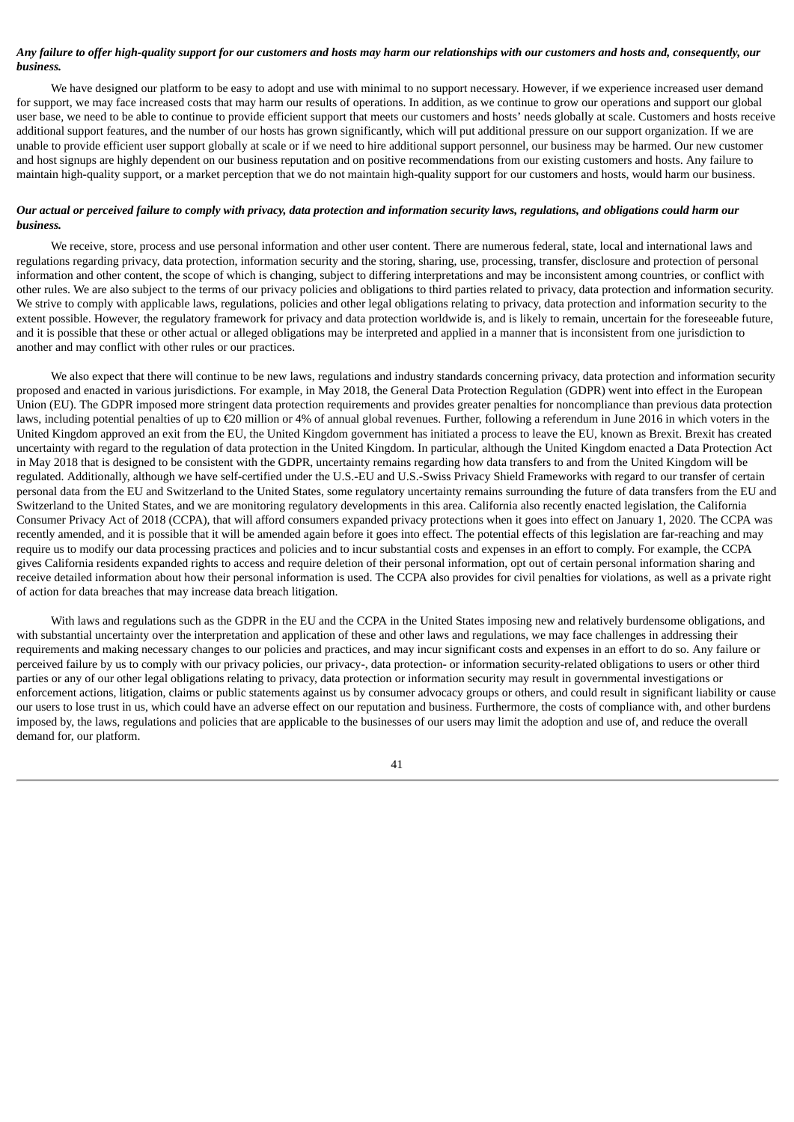# Any failure to offer high-quality support for our customers and hosts may harm our relationships with our customers and hosts and, consequently, our *business.*

We have designed our platform to be easy to adopt and use with minimal to no support necessary. However, if we experience increased user demand for support, we may face increased costs that may harm our results of operations. In addition, as we continue to grow our operations and support our global user base, we need to be able to continue to provide efficient support that meets our customers and hosts' needs globally at scale. Customers and hosts receive additional support features, and the number of our hosts has grown significantly, which will put additional pressure on our support organization. If we are unable to provide efficient user support globally at scale or if we need to hire additional support personnel, our business may be harmed. Our new customer and host signups are highly dependent on our business reputation and on positive recommendations from our existing customers and hosts. Any failure to maintain high-quality support, or a market perception that we do not maintain high-quality support for our customers and hosts, would harm our business.

# Our actual or perceived failure to comply with privacy, data protection and information security laws, regulations, and obligations could harm our *business.*

We receive, store, process and use personal information and other user content. There are numerous federal, state, local and international laws and regulations regarding privacy, data protection, information security and the storing, sharing, use, processing, transfer, disclosure and protection of personal information and other content, the scope of which is changing, subject to differing interpretations and may be inconsistent among countries, or conflict with other rules. We are also subject to the terms of our privacy policies and obligations to third parties related to privacy, data protection and information security. We strive to comply with applicable laws, regulations, policies and other legal obligations relating to privacy, data protection and information security to the extent possible. However, the regulatory framework for privacy and data protection worldwide is, and is likely to remain, uncertain for the foreseeable future, and it is possible that these or other actual or alleged obligations may be interpreted and applied in a manner that is inconsistent from one jurisdiction to another and may conflict with other rules or our practices.

We also expect that there will continue to be new laws, regulations and industry standards concerning privacy, data protection and information security proposed and enacted in various jurisdictions. For example, in May 2018, the General Data Protection Regulation (GDPR) went into effect in the European Union (EU). The GDPR imposed more stringent data protection requirements and provides greater penalties for noncompliance than previous data protection laws, including potential penalties of up to €20 million or 4% of annual global revenues. Further, following a referendum in June 2016 in which voters in the United Kingdom approved an exit from the EU, the United Kingdom government has initiated a process to leave the EU, known as Brexit. Brexit has created uncertainty with regard to the regulation of data protection in the United Kingdom. In particular, although the United Kingdom enacted a Data Protection Act in May 2018 that is designed to be consistent with the GDPR, uncertainty remains regarding how data transfers to and from the United Kingdom will be regulated. Additionally, although we have self-certified under the U.S.-EU and U.S.-Swiss Privacy Shield Frameworks with regard to our transfer of certain personal data from the EU and Switzerland to the United States, some regulatory uncertainty remains surrounding the future of data transfers from the EU and Switzerland to the United States, and we are monitoring regulatory developments in this area. California also recently enacted legislation, the California Consumer Privacy Act of 2018 (CCPA), that will afford consumers expanded privacy protections when it goes into effect on January 1, 2020. The CCPA was recently amended, and it is possible that it will be amended again before it goes into effect. The potential effects of this legislation are far-reaching and may require us to modify our data processing practices and policies and to incur substantial costs and expenses in an effort to comply. For example, the CCPA gives California residents expanded rights to access and require deletion of their personal information, opt out of certain personal information sharing and receive detailed information about how their personal information is used. The CCPA also provides for civil penalties for violations, as well as a private right of action for data breaches that may increase data breach litigation.

With laws and regulations such as the GDPR in the EU and the CCPA in the United States imposing new and relatively burdensome obligations, and with substantial uncertainty over the interpretation and application of these and other laws and regulations, we may face challenges in addressing their requirements and making necessary changes to our policies and practices, and may incur significant costs and expenses in an effort to do so. Any failure or perceived failure by us to comply with our privacy policies, our privacy-, data protection- or information security-related obligations to users or other third parties or any of our other legal obligations relating to privacy, data protection or information security may result in governmental investigations or enforcement actions, litigation, claims or public statements against us by consumer advocacy groups or others, and could result in significant liability or cause our users to lose trust in us, which could have an adverse effect on our reputation and business. Furthermore, the costs of compliance with, and other burdens imposed by, the laws, regulations and policies that are applicable to the businesses of our users may limit the adoption and use of, and reduce the overall demand for, our platform.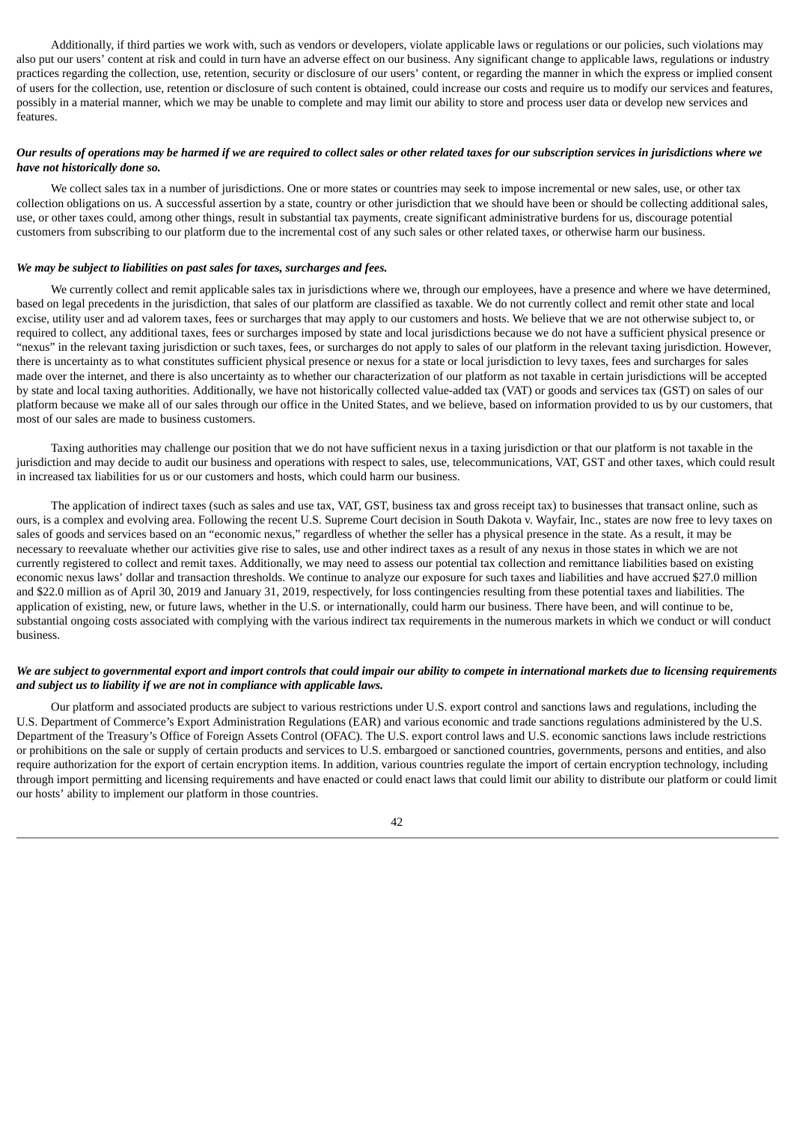Additionally, if third parties we work with, such as vendors or developers, violate applicable laws or regulations or our policies, such violations may also put our users' content at risk and could in turn have an adverse effect on our business. Any significant change to applicable laws, regulations or industry practices regarding the collection, use, retention, security or disclosure of our users' content, or regarding the manner in which the express or implied consent of users for the collection, use, retention or disclosure of such content is obtained, could increase our costs and require us to modify our services and features, possibly in a material manner, which we may be unable to complete and may limit our ability to store and process user data or develop new services and features.

# Our results of operations may be harmed if we are required to collect sales or other related taxes for our subscription services in jurisdictions where we *have not historically done so.*

We collect sales tax in a number of jurisdictions. One or more states or countries may seek to impose incremental or new sales, use, or other tax collection obligations on us. A successful assertion by a state, country or other jurisdiction that we should have been or should be collecting additional sales, use, or other taxes could, among other things, result in substantial tax payments, create significant administrative burdens for us, discourage potential customers from subscribing to our platform due to the incremental cost of any such sales or other related taxes, or otherwise harm our business.

# *We may be subject to liabilities on past sales for taxes, surcharges and fees.*

We currently collect and remit applicable sales tax in jurisdictions where we, through our employees, have a presence and where we have determined, based on legal precedents in the jurisdiction, that sales of our platform are classified as taxable. We do not currently collect and remit other state and local excise, utility user and ad valorem taxes, fees or surcharges that may apply to our customers and hosts. We believe that we are not otherwise subject to, or required to collect, any additional taxes, fees or surcharges imposed by state and local jurisdictions because we do not have a sufficient physical presence or "nexus" in the relevant taxing jurisdiction or such taxes, fees, or surcharges do not apply to sales of our platform in the relevant taxing jurisdiction. However, there is uncertainty as to what constitutes sufficient physical presence or nexus for a state or local jurisdiction to levy taxes, fees and surcharges for sales made over the internet, and there is also uncertainty as to whether our characterization of our platform as not taxable in certain jurisdictions will be accepted by state and local taxing authorities. Additionally, we have not historically collected value-added tax (VAT) or goods and services tax (GST) on sales of our platform because we make all of our sales through our office in the United States, and we believe, based on information provided to us by our customers, that most of our sales are made to business customers.

Taxing authorities may challenge our position that we do not have sufficient nexus in a taxing jurisdiction or that our platform is not taxable in the jurisdiction and may decide to audit our business and operations with respect to sales, use, telecommunications, VAT, GST and other taxes, which could result in increased tax liabilities for us or our customers and hosts, which could harm our business.

The application of indirect taxes (such as sales and use tax, VAT, GST, business tax and gross receipt tax) to businesses that transact online, such as ours, is a complex and evolving area. Following the recent U.S. Supreme Court decision in South Dakota v. Wayfair, Inc., states are now free to levy taxes on sales of goods and services based on an "economic nexus," regardless of whether the seller has a physical presence in the state. As a result, it may be necessary to reevaluate whether our activities give rise to sales, use and other indirect taxes as a result of any nexus in those states in which we are not currently registered to collect and remit taxes. Additionally, we may need to assess our potential tax collection and remittance liabilities based on existing economic nexus laws' dollar and transaction thresholds. We continue to analyze our exposure for such taxes and liabilities and have accrued \$27.0 million and \$22.0 million as of April 30, 2019 and January 31, 2019, respectively, for loss contingencies resulting from these potential taxes and liabilities. The application of existing, new, or future laws, whether in the U.S. or internationally, could harm our business. There have been, and will continue to be, substantial ongoing costs associated with complying with the various indirect tax requirements in the numerous markets in which we conduct or will conduct business.

#### We are subject to governmental export and import controls that could impair our ability to compete in international markets due to licensing requirements *and subject us to liability if we are not in compliance with applicable laws.*

Our platform and associated products are subject to various restrictions under U.S. export control and sanctions laws and regulations, including the U.S. Department of Commerce's Export Administration Regulations (EAR) and various economic and trade sanctions regulations administered by the U.S. Department of the Treasury's Office of Foreign Assets Control (OFAC). The U.S. export control laws and U.S. economic sanctions laws include restrictions or prohibitions on the sale or supply of certain products and services to U.S. embargoed or sanctioned countries, governments, persons and entities, and also require authorization for the export of certain encryption items. In addition, various countries regulate the import of certain encryption technology, including through import permitting and licensing requirements and have enacted or could enact laws that could limit our ability to distribute our platform or could limit our hosts' ability to implement our platform in those countries.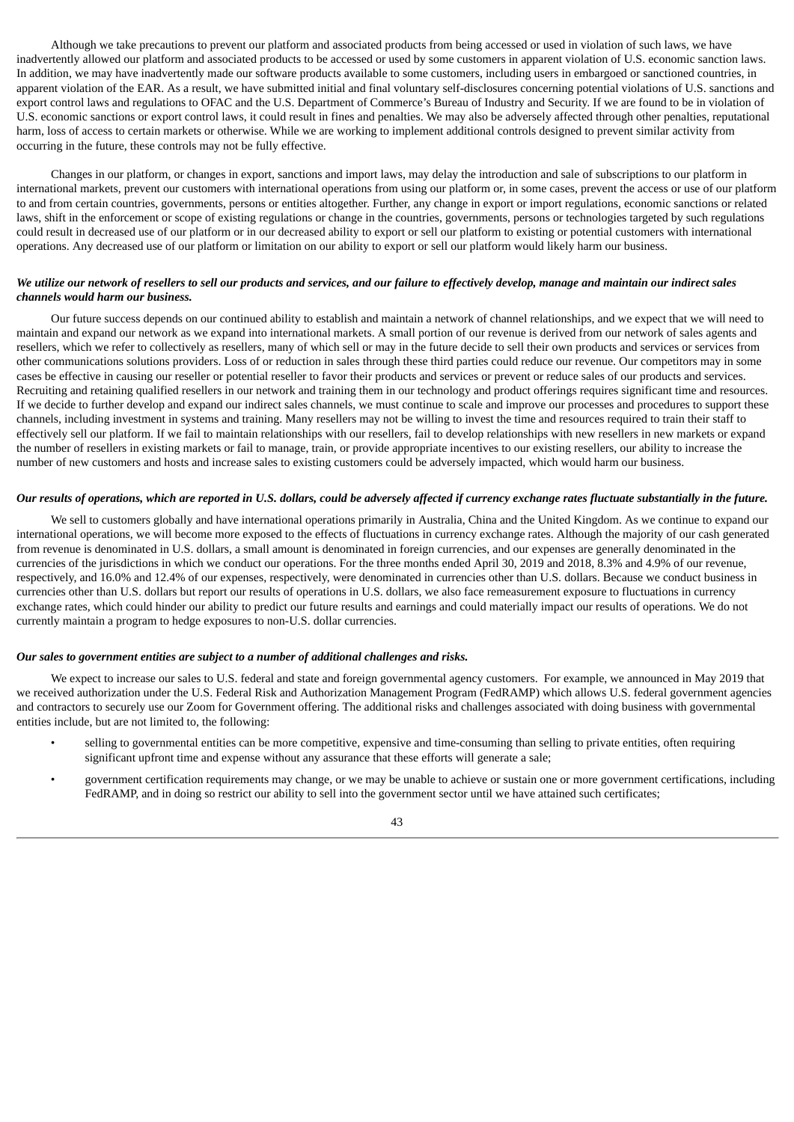Although we take precautions to prevent our platform and associated products from being accessed or used in violation of such laws, we have inadvertently allowed our platform and associated products to be accessed or used by some customers in apparent violation of U.S. economic sanction laws. In addition, we may have inadvertently made our software products available to some customers, including users in embargoed or sanctioned countries, in apparent violation of the EAR. As a result, we have submitted initial and final voluntary self-disclosures concerning potential violations of U.S. sanctions and export control laws and regulations to OFAC and the U.S. Department of Commerce's Bureau of Industry and Security. If we are found to be in violation of U.S. economic sanctions or export control laws, it could result in fines and penalties. We may also be adversely affected through other penalties, reputational harm, loss of access to certain markets or otherwise. While we are working to implement additional controls designed to prevent similar activity from occurring in the future, these controls may not be fully effective.

Changes in our platform, or changes in export, sanctions and import laws, may delay the introduction and sale of subscriptions to our platform in international markets, prevent our customers with international operations from using our platform or, in some cases, prevent the access or use of our platform to and from certain countries, governments, persons or entities altogether. Further, any change in export or import regulations, economic sanctions or related laws, shift in the enforcement or scope of existing regulations or change in the countries, governments, persons or technologies targeted by such regulations could result in decreased use of our platform or in our decreased ability to export or sell our platform to existing or potential customers with international operations. Any decreased use of our platform or limitation on our ability to export or sell our platform would likely harm our business.

# We utilize our network of resellers to sell our products and services, and our failure to effectively develop, manage and maintain our indirect sales *channels would harm our business.*

Our future success depends on our continued ability to establish and maintain a network of channel relationships, and we expect that we will need to maintain and expand our network as we expand into international markets. A small portion of our revenue is derived from our network of sales agents and resellers, which we refer to collectively as resellers, many of which sell or may in the future decide to sell their own products and services or services from other communications solutions providers. Loss of or reduction in sales through these third parties could reduce our revenue. Our competitors may in some cases be effective in causing our reseller or potential reseller to favor their products and services or prevent or reduce sales of our products and services. Recruiting and retaining qualified resellers in our network and training them in our technology and product offerings requires significant time and resources. If we decide to further develop and expand our indirect sales channels, we must continue to scale and improve our processes and procedures to support these channels, including investment in systems and training. Many resellers may not be willing to invest the time and resources required to train their staff to effectively sell our platform. If we fail to maintain relationships with our resellers, fail to develop relationships with new resellers in new markets or expand the number of resellers in existing markets or fail to manage, train, or provide appropriate incentives to our existing resellers, our ability to increase the number of new customers and hosts and increase sales to existing customers could be adversely impacted, which would harm our business.

# Our results of operations, which are reported in U.S. dollars, could be adversely affected if currency exchange rates fluctuate substantially in the future.

We sell to customers globally and have international operations primarily in Australia, China and the United Kingdom. As we continue to expand our international operations, we will become more exposed to the effects of fluctuations in currency exchange rates. Although the majority of our cash generated from revenue is denominated in U.S. dollars, a small amount is denominated in foreign currencies, and our expenses are generally denominated in the currencies of the jurisdictions in which we conduct our operations. For the three months ended April 30, 2019 and 2018, 8.3% and 4.9% of our revenue, respectively, and 16.0% and 12.4% of our expenses, respectively, were denominated in currencies other than U.S. dollars. Because we conduct business in currencies other than U.S. dollars but report our results of operations in U.S. dollars, we also face remeasurement exposure to fluctuations in currency exchange rates, which could hinder our ability to predict our future results and earnings and could materially impact our results of operations. We do not currently maintain a program to hedge exposures to non-U.S. dollar currencies.

#### *Our sales to government entities are subject to a number of additional challenges and risks.*

We expect to increase our sales to U.S. federal and state and foreign governmental agency customers. For example, we announced in May 2019 that we received authorization under the U.S. Federal Risk and Authorization Management Program (FedRAMP) which allows U.S. federal government agencies and contractors to securely use our Zoom for Government offering. The additional risks and challenges associated with doing business with governmental entities include, but are not limited to, the following:

- selling to governmental entities can be more competitive, expensive and time-consuming than selling to private entities, often requiring significant upfront time and expense without any assurance that these efforts will generate a sale;
- government certification requirements may change, or we may be unable to achieve or sustain one or more government certifications, including FedRAMP, and in doing so restrict our ability to sell into the government sector until we have attained such certificates;

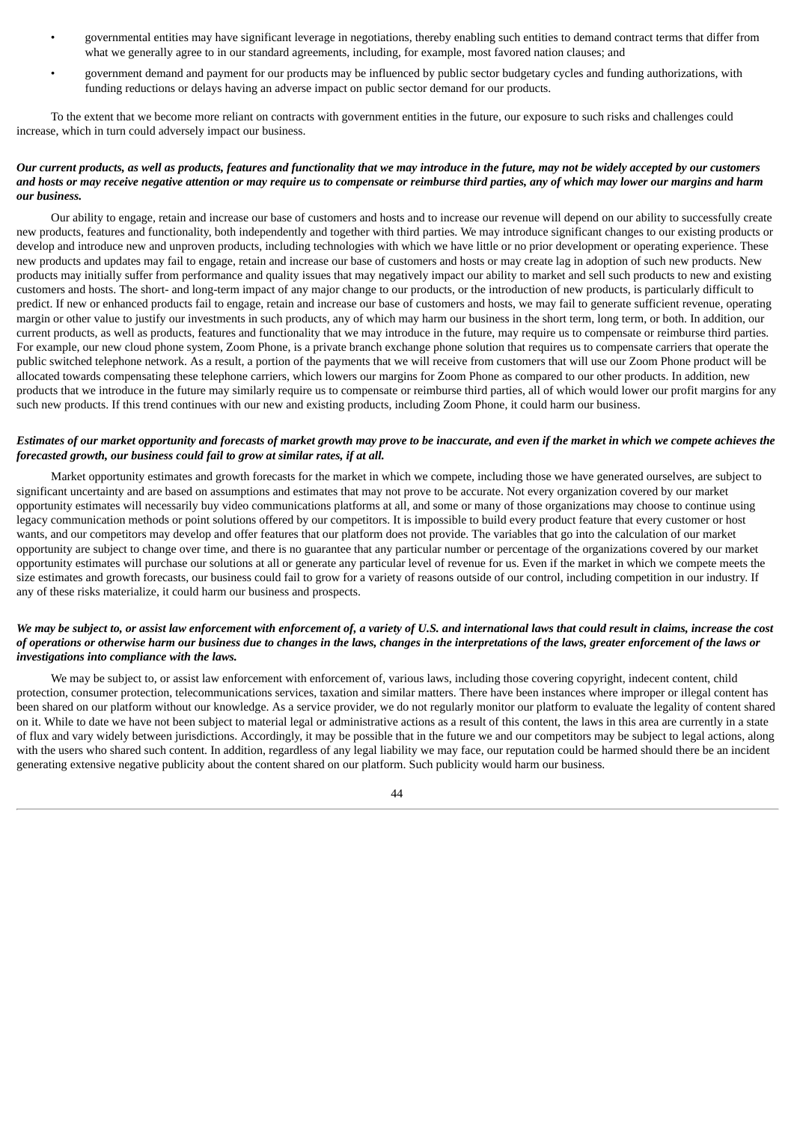- governmental entities may have significant leverage in negotiations, thereby enabling such entities to demand contract terms that differ from what we generally agree to in our standard agreements, including, for example, most favored nation clauses; and
- government demand and payment for our products may be influenced by public sector budgetary cycles and funding authorizations, with funding reductions or delays having an adverse impact on public sector demand for our products.

To the extent that we become more reliant on contracts with government entities in the future, our exposure to such risks and challenges could increase, which in turn could adversely impact our business.

# Our current products, as well as products, features and functionality that we may introduce in the future, may not be widely accepted by our customers and hosts or may receive negative attention or may require us to compensate or reimburse third parties, any of which may lower our margins and harm *our business.*

Our ability to engage, retain and increase our base of customers and hosts and to increase our revenue will depend on our ability to successfully create new products, features and functionality, both independently and together with third parties. We may introduce significant changes to our existing products or develop and introduce new and unproven products, including technologies with which we have little or no prior development or operating experience. These new products and updates may fail to engage, retain and increase our base of customers and hosts or may create lag in adoption of such new products. New products may initially suffer from performance and quality issues that may negatively impact our ability to market and sell such products to new and existing customers and hosts. The short- and long-term impact of any major change to our products, or the introduction of new products, is particularly difficult to predict. If new or enhanced products fail to engage, retain and increase our base of customers and hosts, we may fail to generate sufficient revenue, operating margin or other value to justify our investments in such products, any of which may harm our business in the short term, long term, or both. In addition, our current products, as well as products, features and functionality that we may introduce in the future, may require us to compensate or reimburse third parties. For example, our new cloud phone system, Zoom Phone, is a private branch exchange phone solution that requires us to compensate carriers that operate the public switched telephone network. As a result, a portion of the payments that we will receive from customers that will use our Zoom Phone product will be allocated towards compensating these telephone carriers, which lowers our margins for Zoom Phone as compared to our other products. In addition, new products that we introduce in the future may similarly require us to compensate or reimburse third parties, all of which would lower our profit margins for any such new products. If this trend continues with our new and existing products, including Zoom Phone, it could harm our business.

# Estimates of our market opportunity and forecasts of market growth may prove to be inaccurate, and even if the market in which we compete achieves the *forecasted growth, our business could fail to grow at similar rates, if at all.*

Market opportunity estimates and growth forecasts for the market in which we compete, including those we have generated ourselves, are subject to significant uncertainty and are based on assumptions and estimates that may not prove to be accurate. Not every organization covered by our market opportunity estimates will necessarily buy video communications platforms at all, and some or many of those organizations may choose to continue using legacy communication methods or point solutions offered by our competitors. It is impossible to build every product feature that every customer or host wants, and our competitors may develop and offer features that our platform does not provide. The variables that go into the calculation of our market opportunity are subject to change over time, and there is no guarantee that any particular number or percentage of the organizations covered by our market opportunity estimates will purchase our solutions at all or generate any particular level of revenue for us. Even if the market in which we compete meets the size estimates and growth forecasts, our business could fail to grow for a variety of reasons outside of our control, including competition in our industry. If any of these risks materialize, it could harm our business and prospects.

# We may be subject to, or assist law enforcement with enforcement of, a variety of U.S. and international laws that could result in claims, increase the cost of operations or otherwise harm our business due to changes in the laws, changes in the interpretations of the laws, greater enforcement of the laws or *investigations into compliance with the laws.*

We may be subject to, or assist law enforcement with enforcement of, various laws, including those covering copyright, indecent content, child protection, consumer protection, telecommunications services, taxation and similar matters. There have been instances where improper or illegal content has been shared on our platform without our knowledge. As a service provider, we do not regularly monitor our platform to evaluate the legality of content shared on it. While to date we have not been subject to material legal or administrative actions as a result of this content, the laws in this area are currently in a state of flux and vary widely between jurisdictions. Accordingly, it may be possible that in the future we and our competitors may be subject to legal actions, along with the users who shared such content. In addition, regardless of any legal liability we may face, our reputation could be harmed should there be an incident generating extensive negative publicity about the content shared on our platform. Such publicity would harm our business.

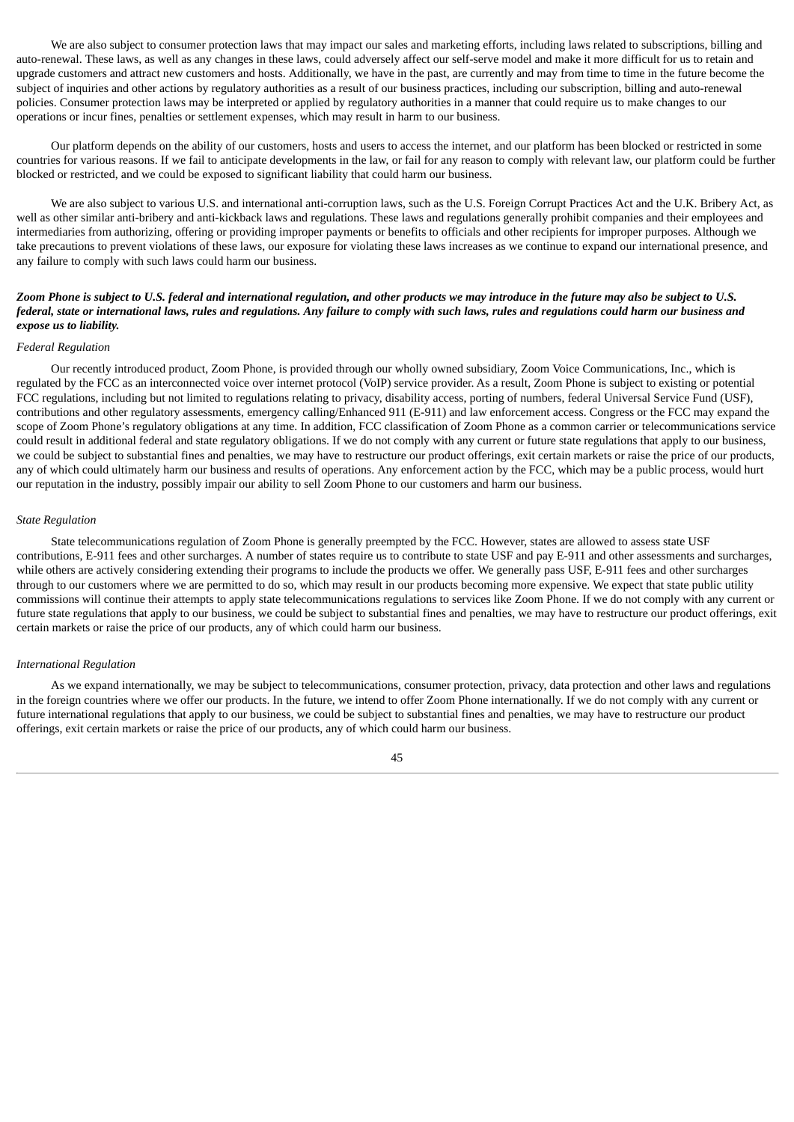We are also subject to consumer protection laws that may impact our sales and marketing efforts, including laws related to subscriptions, billing and auto-renewal. These laws, as well as any changes in these laws, could adversely affect our self-serve model and make it more difficult for us to retain and upgrade customers and attract new customers and hosts. Additionally, we have in the past, are currently and may from time to time in the future become the subject of inquiries and other actions by regulatory authorities as a result of our business practices, including our subscription, billing and auto-renewal policies. Consumer protection laws may be interpreted or applied by regulatory authorities in a manner that could require us to make changes to our operations or incur fines, penalties or settlement expenses, which may result in harm to our business.

Our platform depends on the ability of our customers, hosts and users to access the internet, and our platform has been blocked or restricted in some countries for various reasons. If we fail to anticipate developments in the law, or fail for any reason to comply with relevant law, our platform could be further blocked or restricted, and we could be exposed to significant liability that could harm our business.

We are also subject to various U.S. and international anti-corruption laws, such as the U.S. Foreign Corrupt Practices Act and the U.K. Bribery Act, as well as other similar anti-bribery and anti-kickback laws and regulations. These laws and regulations generally prohibit companies and their employees and intermediaries from authorizing, offering or providing improper payments or benefits to officials and other recipients for improper purposes. Although we take precautions to prevent violations of these laws, our exposure for violating these laws increases as we continue to expand our international presence, and any failure to comply with such laws could harm our business.

# Zoom Phone is subject to U.S. federal and international regulation, and other products we may introduce in the future may also be subject to U.S. federal, state or international laws, rules and regulations. Any failure to comply with such laws, rules and regulations could harm our business and *expose us to liability.*

# *Federal Regulation*

Our recently introduced product, Zoom Phone, is provided through our wholly owned subsidiary, Zoom Voice Communications, Inc., which is regulated by the FCC as an interconnected voice over internet protocol (VoIP) service provider. As a result, Zoom Phone is subject to existing or potential FCC regulations, including but not limited to regulations relating to privacy, disability access, porting of numbers, federal Universal Service Fund (USF), contributions and other regulatory assessments, emergency calling/Enhanced 911 (E-911) and law enforcement access. Congress or the FCC may expand the scope of Zoom Phone's regulatory obligations at any time. In addition, FCC classification of Zoom Phone as a common carrier or telecommunications service could result in additional federal and state regulatory obligations. If we do not comply with any current or future state regulations that apply to our business, we could be subject to substantial fines and penalties, we may have to restructure our product offerings, exit certain markets or raise the price of our products, any of which could ultimately harm our business and results of operations. Any enforcement action by the FCC, which may be a public process, would hurt our reputation in the industry, possibly impair our ability to sell Zoom Phone to our customers and harm our business.

#### *State Regulation*

State telecommunications regulation of Zoom Phone is generally preempted by the FCC. However, states are allowed to assess state USF contributions, E-911 fees and other surcharges. A number of states require us to contribute to state USF and pay E-911 and other assessments and surcharges, while others are actively considering extending their programs to include the products we offer. We generally pass USF, E-911 fees and other surcharges through to our customers where we are permitted to do so, which may result in our products becoming more expensive. We expect that state public utility commissions will continue their attempts to apply state telecommunications regulations to services like Zoom Phone. If we do not comply with any current or future state regulations that apply to our business, we could be subject to substantial fines and penalties, we may have to restructure our product offerings, exit certain markets or raise the price of our products, any of which could harm our business.

#### *International Regulation*

As we expand internationally, we may be subject to telecommunications, consumer protection, privacy, data protection and other laws and regulations in the foreign countries where we offer our products. In the future, we intend to offer Zoom Phone internationally. If we do not comply with any current or future international regulations that apply to our business, we could be subject to substantial fines and penalties, we may have to restructure our product offerings, exit certain markets or raise the price of our products, any of which could harm our business.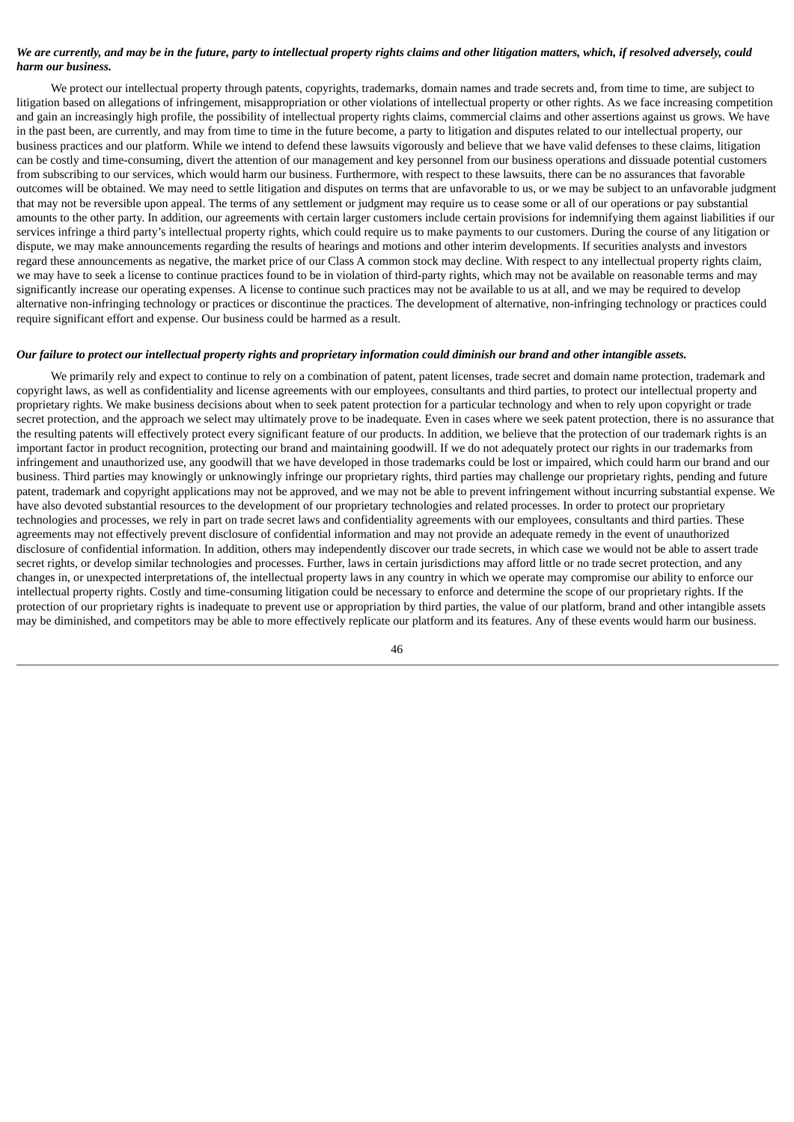# We are currently, and may be in the future, party to intellectual property rights claims and other litigation matters, which, if resolved adversely, could *harm our business.*

We protect our intellectual property through patents, copyrights, trademarks, domain names and trade secrets and, from time to time, are subject to litigation based on allegations of infringement, misappropriation or other violations of intellectual property or other rights. As we face increasing competition and gain an increasingly high profile, the possibility of intellectual property rights claims, commercial claims and other assertions against us grows. We have in the past been, are currently, and may from time to time in the future become, a party to litigation and disputes related to our intellectual property, our business practices and our platform. While we intend to defend these lawsuits vigorously and believe that we have valid defenses to these claims, litigation can be costly and time-consuming, divert the attention of our management and key personnel from our business operations and dissuade potential customers from subscribing to our services, which would harm our business. Furthermore, with respect to these lawsuits, there can be no assurances that favorable outcomes will be obtained. We may need to settle litigation and disputes on terms that are unfavorable to us, or we may be subject to an unfavorable judgment that may not be reversible upon appeal. The terms of any settlement or judgment may require us to cease some or all of our operations or pay substantial amounts to the other party. In addition, our agreements with certain larger customers include certain provisions for indemnifying them against liabilities if our services infringe a third party's intellectual property rights, which could require us to make payments to our customers. During the course of any litigation or dispute, we may make announcements regarding the results of hearings and motions and other interim developments. If securities analysts and investors regard these announcements as negative, the market price of our Class A common stock may decline. With respect to any intellectual property rights claim, we may have to seek a license to continue practices found to be in violation of third-party rights, which may not be available on reasonable terms and may significantly increase our operating expenses. A license to continue such practices may not be available to us at all, and we may be required to develop alternative non-infringing technology or practices or discontinue the practices. The development of alternative, non-infringing technology or practices could require significant effort and expense. Our business could be harmed as a result.

#### Our failure to protect our intellectual property rights and proprietary information could diminish our brand and other intangible assets.

We primarily rely and expect to continue to rely on a combination of patent, patent licenses, trade secret and domain name protection, trademark and copyright laws, as well as confidentiality and license agreements with our employees, consultants and third parties, to protect our intellectual property and proprietary rights. We make business decisions about when to seek patent protection for a particular technology and when to rely upon copyright or trade secret protection, and the approach we select may ultimately prove to be inadequate. Even in cases where we seek patent protection, there is no assurance that the resulting patents will effectively protect every significant feature of our products. In addition, we believe that the protection of our trademark rights is an important factor in product recognition, protecting our brand and maintaining goodwill. If we do not adequately protect our rights in our trademarks from infringement and unauthorized use, any goodwill that we have developed in those trademarks could be lost or impaired, which could harm our brand and our business. Third parties may knowingly or unknowingly infringe our proprietary rights, third parties may challenge our proprietary rights, pending and future patent, trademark and copyright applications may not be approved, and we may not be able to prevent infringement without incurring substantial expense. We have also devoted substantial resources to the development of our proprietary technologies and related processes. In order to protect our proprietary technologies and processes, we rely in part on trade secret laws and confidentiality agreements with our employees, consultants and third parties. These agreements may not effectively prevent disclosure of confidential information and may not provide an adequate remedy in the event of unauthorized disclosure of confidential information. In addition, others may independently discover our trade secrets, in which case we would not be able to assert trade secret rights, or develop similar technologies and processes. Further, laws in certain jurisdictions may afford little or no trade secret protection, and any changes in, or unexpected interpretations of, the intellectual property laws in any country in which we operate may compromise our ability to enforce our intellectual property rights. Costly and time-consuming litigation could be necessary to enforce and determine the scope of our proprietary rights. If the protection of our proprietary rights is inadequate to prevent use or appropriation by third parties, the value of our platform, brand and other intangible assets may be diminished, and competitors may be able to more effectively replicate our platform and its features. Any of these events would harm our business.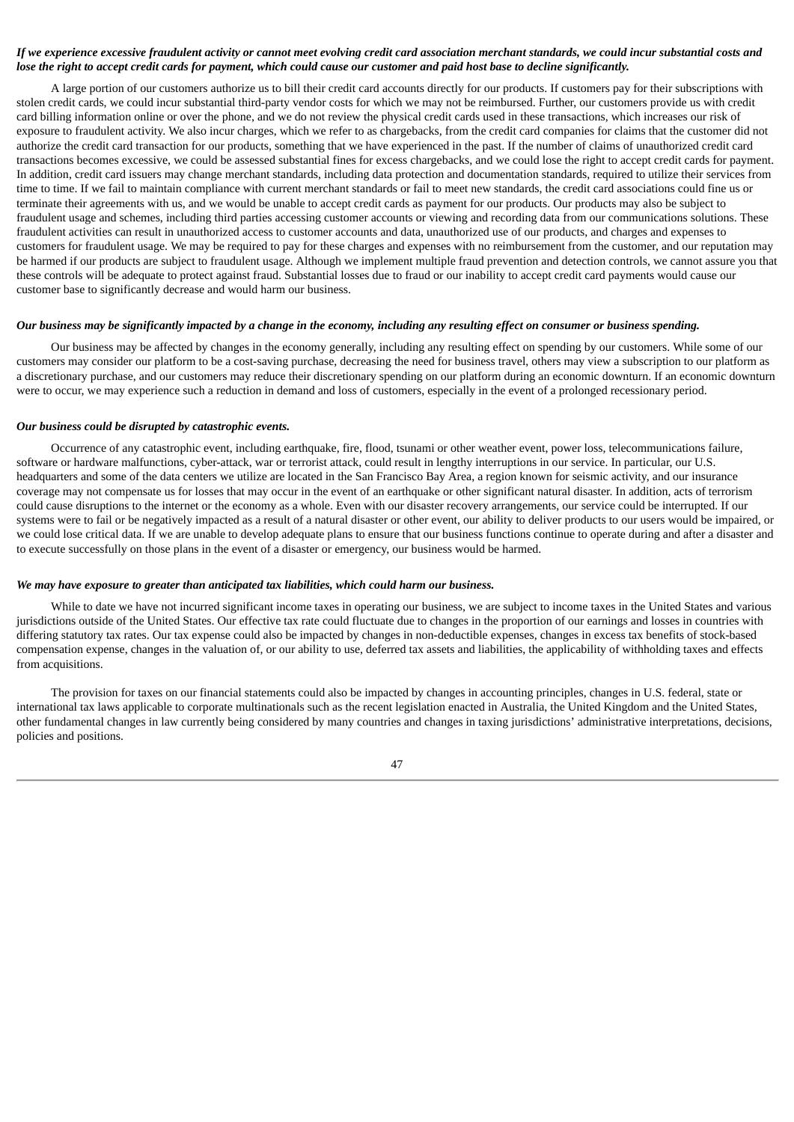# If we experience excessive fraudulent activity or cannot meet evolving credit card association merchant standards, we could incur substantial costs and lose the right to accept credit cards for payment, which could cause our customer and paid host base to decline significantly.

A large portion of our customers authorize us to bill their credit card accounts directly for our products. If customers pay for their subscriptions with stolen credit cards, we could incur substantial third-party vendor costs for which we may not be reimbursed. Further, our customers provide us with credit card billing information online or over the phone, and we do not review the physical credit cards used in these transactions, which increases our risk of exposure to fraudulent activity. We also incur charges, which we refer to as chargebacks, from the credit card companies for claims that the customer did not authorize the credit card transaction for our products, something that we have experienced in the past. If the number of claims of unauthorized credit card transactions becomes excessive, we could be assessed substantial fines for excess chargebacks, and we could lose the right to accept credit cards for payment. In addition, credit card issuers may change merchant standards, including data protection and documentation standards, required to utilize their services from time to time. If we fail to maintain compliance with current merchant standards or fail to meet new standards, the credit card associations could fine us or terminate their agreements with us, and we would be unable to accept credit cards as payment for our products. Our products may also be subject to fraudulent usage and schemes, including third parties accessing customer accounts or viewing and recording data from our communications solutions. These fraudulent activities can result in unauthorized access to customer accounts and data, unauthorized use of our products, and charges and expenses to customers for fraudulent usage. We may be required to pay for these charges and expenses with no reimbursement from the customer, and our reputation may be harmed if our products are subject to fraudulent usage. Although we implement multiple fraud prevention and detection controls, we cannot assure you that these controls will be adequate to protect against fraud. Substantial losses due to fraud or our inability to accept credit card payments would cause our customer base to significantly decrease and would harm our business.

# Our business may be significantly impacted by a change in the economy, including any resulting effect on consumer or business spending.

Our business may be affected by changes in the economy generally, including any resulting effect on spending by our customers. While some of our customers may consider our platform to be a cost-saving purchase, decreasing the need for business travel, others may view a subscription to our platform as a discretionary purchase, and our customers may reduce their discretionary spending on our platform during an economic downturn. If an economic downturn were to occur, we may experience such a reduction in demand and loss of customers, especially in the event of a prolonged recessionary period.

# *Our business could be disrupted by catastrophic events.*

Occurrence of any catastrophic event, including earthquake, fire, flood, tsunami or other weather event, power loss, telecommunications failure, software or hardware malfunctions, cyber-attack, war or terrorist attack, could result in lengthy interruptions in our service. In particular, our U.S. headquarters and some of the data centers we utilize are located in the San Francisco Bay Area, a region known for seismic activity, and our insurance coverage may not compensate us for losses that may occur in the event of an earthquake or other significant natural disaster. In addition, acts of terrorism could cause disruptions to the internet or the economy as a whole. Even with our disaster recovery arrangements, our service could be interrupted. If our systems were to fail or be negatively impacted as a result of a natural disaster or other event, our ability to deliver products to our users would be impaired, or we could lose critical data. If we are unable to develop adequate plans to ensure that our business functions continue to operate during and after a disaster and to execute successfully on those plans in the event of a disaster or emergency, our business would be harmed.

# *We may have exposure to greater than anticipated tax liabilities, which could harm our business.*

While to date we have not incurred significant income taxes in operating our business, we are subject to income taxes in the United States and various jurisdictions outside of the United States. Our effective tax rate could fluctuate due to changes in the proportion of our earnings and losses in countries with differing statutory tax rates. Our tax expense could also be impacted by changes in non-deductible expenses, changes in excess tax benefits of stock-based compensation expense, changes in the valuation of, or our ability to use, deferred tax assets and liabilities, the applicability of withholding taxes and effects from acquisitions.

The provision for taxes on our financial statements could also be impacted by changes in accounting principles, changes in U.S. federal, state or international tax laws applicable to corporate multinationals such as the recent legislation enacted in Australia, the United Kingdom and the United States, other fundamental changes in law currently being considered by many countries and changes in taxing jurisdictions' administrative interpretations, decisions, policies and positions.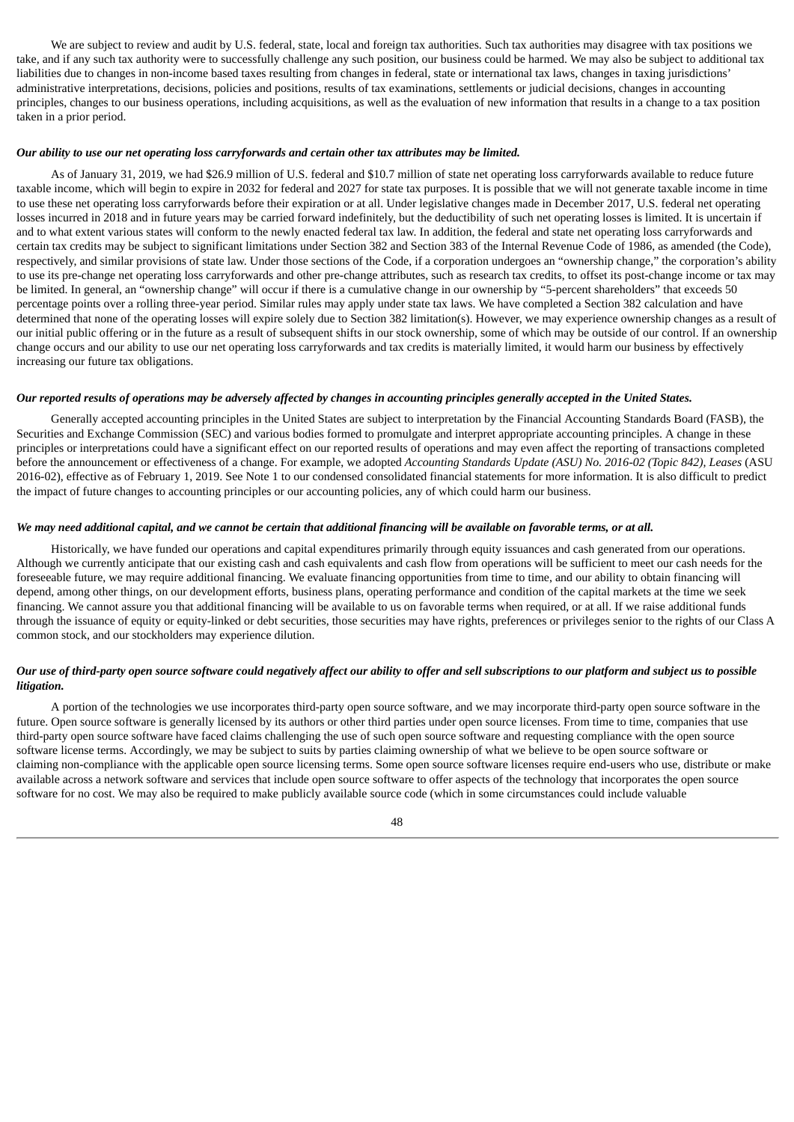We are subject to review and audit by U.S. federal, state, local and foreign tax authorities. Such tax authorities may disagree with tax positions we take, and if any such tax authority were to successfully challenge any such position, our business could be harmed. We may also be subject to additional tax liabilities due to changes in non-income based taxes resulting from changes in federal, state or international tax laws, changes in taxing jurisdictions' administrative interpretations, decisions, policies and positions, results of tax examinations, settlements or judicial decisions, changes in accounting principles, changes to our business operations, including acquisitions, as well as the evaluation of new information that results in a change to a tax position taken in a prior period.

#### *Our ability to use our net operating loss carryforwards and certain other tax attributes may be limited.*

As of January 31, 2019, we had \$26.9 million of U.S. federal and \$10.7 million of state net operating loss carryforwards available to reduce future taxable income, which will begin to expire in 2032 for federal and 2027 for state tax purposes. It is possible that we will not generate taxable income in time to use these net operating loss carryforwards before their expiration or at all. Under legislative changes made in December 2017, U.S. federal net operating losses incurred in 2018 and in future years may be carried forward indefinitely, but the deductibility of such net operating losses is limited. It is uncertain if and to what extent various states will conform to the newly enacted federal tax law. In addition, the federal and state net operating loss carryforwards and certain tax credits may be subject to significant limitations under Section 382 and Section 383 of the Internal Revenue Code of 1986, as amended (the Code), respectively, and similar provisions of state law. Under those sections of the Code, if a corporation undergoes an "ownership change," the corporation's ability to use its pre-change net operating loss carryforwards and other pre-change attributes, such as research tax credits, to offset its post-change income or tax may be limited. In general, an "ownership change" will occur if there is a cumulative change in our ownership by "5-percent shareholders" that exceeds 50 percentage points over a rolling three-year period. Similar rules may apply under state tax laws. We have completed a Section 382 calculation and have determined that none of the operating losses will expire solely due to Section 382 limitation(s). However, we may experience ownership changes as a result of our initial public offering or in the future as a result of subsequent shifts in our stock ownership, some of which may be outside of our control. If an ownership change occurs and our ability to use our net operating loss carryforwards and tax credits is materially limited, it would harm our business by effectively increasing our future tax obligations.

#### Our reported results of operations may be adversely affected by changes in accounting principles generally accepted in the United States.

Generally accepted accounting principles in the United States are subject to interpretation by the Financial Accounting Standards Board (FASB), the Securities and Exchange Commission (SEC) and various bodies formed to promulgate and interpret appropriate accounting principles. A change in these principles or interpretations could have a significant effect on our reported results of operations and may even affect the reporting of transactions completed before the announcement or effectiveness of a change. For example, we adopted *Accounting Standards Update (ASU) No. 2016-02 (Topic 842), Leases* (ASU 2016-02), effective as of February 1, 2019. See Note 1 to our condensed consolidated financial statements for more information. It is also difficult to predict the impact of future changes to accounting principles or our accounting policies, any of which could harm our business.

#### We may need additional capital, and we cannot be certain that additional financing will be available on favorable terms, or at all.

Historically, we have funded our operations and capital expenditures primarily through equity issuances and cash generated from our operations. Although we currently anticipate that our existing cash and cash equivalents and cash flow from operations will be sufficient to meet our cash needs for the foreseeable future, we may require additional financing. We evaluate financing opportunities from time to time, and our ability to obtain financing will depend, among other things, on our development efforts, business plans, operating performance and condition of the capital markets at the time we seek financing. We cannot assure you that additional financing will be available to us on favorable terms when required, or at all. If we raise additional funds through the issuance of equity or equity-linked or debt securities, those securities may have rights, preferences or privileges senior to the rights of our Class A common stock, and our stockholders may experience dilution.

# Our use of third-party open source software could negatively affect our ability to offer and sell subscriptions to our platform and subject us to possible *litigation.*

A portion of the technologies we use incorporates third-party open source software, and we may incorporate third-party open source software in the future. Open source software is generally licensed by its authors or other third parties under open source licenses. From time to time, companies that use third-party open source software have faced claims challenging the use of such open source software and requesting compliance with the open source software license terms. Accordingly, we may be subject to suits by parties claiming ownership of what we believe to be open source software or claiming non-compliance with the applicable open source licensing terms. Some open source software licenses require end-users who use, distribute or make available across a network software and services that include open source software to offer aspects of the technology that incorporates the open source software for no cost. We may also be required to make publicly available source code (which in some circumstances could include valuable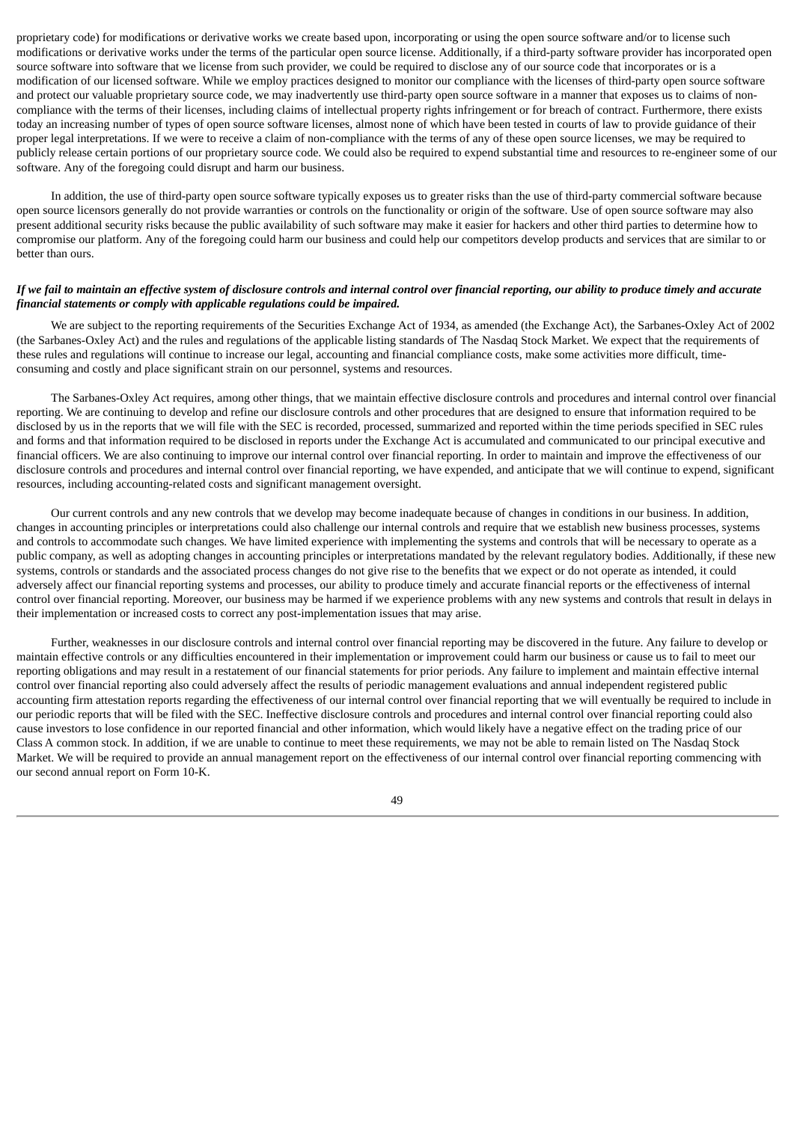proprietary code) for modifications or derivative works we create based upon, incorporating or using the open source software and/or to license such modifications or derivative works under the terms of the particular open source license. Additionally, if a third-party software provider has incorporated open source software into software that we license from such provider, we could be required to disclose any of our source code that incorporates or is a modification of our licensed software. While we employ practices designed to monitor our compliance with the licenses of third-party open source software and protect our valuable proprietary source code, we may inadvertently use third-party open source software in a manner that exposes us to claims of noncompliance with the terms of their licenses, including claims of intellectual property rights infringement or for breach of contract. Furthermore, there exists today an increasing number of types of open source software licenses, almost none of which have been tested in courts of law to provide guidance of their proper legal interpretations. If we were to receive a claim of non-compliance with the terms of any of these open source licenses, we may be required to publicly release certain portions of our proprietary source code. We could also be required to expend substantial time and resources to re-engineer some of our software. Any of the foregoing could disrupt and harm our business.

In addition, the use of third-party open source software typically exposes us to greater risks than the use of third-party commercial software because open source licensors generally do not provide warranties or controls on the functionality or origin of the software. Use of open source software may also present additional security risks because the public availability of such software may make it easier for hackers and other third parties to determine how to compromise our platform. Any of the foregoing could harm our business and could help our competitors develop products and services that are similar to or better than ours.

# If we fail to maintain an effective system of disclosure controls and internal control over financial reporting, our ability to produce timely and accurate *financial statements or comply with applicable regulations could be impaired.*

We are subject to the reporting requirements of the Securities Exchange Act of 1934, as amended (the Exchange Act), the Sarbanes-Oxley Act of 2002 (the Sarbanes-Oxley Act) and the rules and regulations of the applicable listing standards of The Nasdaq Stock Market. We expect that the requirements of these rules and regulations will continue to increase our legal, accounting and financial compliance costs, make some activities more difficult, timeconsuming and costly and place significant strain on our personnel, systems and resources.

The Sarbanes-Oxley Act requires, among other things, that we maintain effective disclosure controls and procedures and internal control over financial reporting. We are continuing to develop and refine our disclosure controls and other procedures that are designed to ensure that information required to be disclosed by us in the reports that we will file with the SEC is recorded, processed, summarized and reported within the time periods specified in SEC rules and forms and that information required to be disclosed in reports under the Exchange Act is accumulated and communicated to our principal executive and financial officers. We are also continuing to improve our internal control over financial reporting. In order to maintain and improve the effectiveness of our disclosure controls and procedures and internal control over financial reporting, we have expended, and anticipate that we will continue to expend, significant resources, including accounting-related costs and significant management oversight.

Our current controls and any new controls that we develop may become inadequate because of changes in conditions in our business. In addition, changes in accounting principles or interpretations could also challenge our internal controls and require that we establish new business processes, systems and controls to accommodate such changes. We have limited experience with implementing the systems and controls that will be necessary to operate as a public company, as well as adopting changes in accounting principles or interpretations mandated by the relevant regulatory bodies. Additionally, if these new systems, controls or standards and the associated process changes do not give rise to the benefits that we expect or do not operate as intended, it could adversely affect our financial reporting systems and processes, our ability to produce timely and accurate financial reports or the effectiveness of internal control over financial reporting. Moreover, our business may be harmed if we experience problems with any new systems and controls that result in delays in their implementation or increased costs to correct any post-implementation issues that may arise.

Further, weaknesses in our disclosure controls and internal control over financial reporting may be discovered in the future. Any failure to develop or maintain effective controls or any difficulties encountered in their implementation or improvement could harm our business or cause us to fail to meet our reporting obligations and may result in a restatement of our financial statements for prior periods. Any failure to implement and maintain effective internal control over financial reporting also could adversely affect the results of periodic management evaluations and annual independent registered public accounting firm attestation reports regarding the effectiveness of our internal control over financial reporting that we will eventually be required to include in our periodic reports that will be filed with the SEC. Ineffective disclosure controls and procedures and internal control over financial reporting could also cause investors to lose confidence in our reported financial and other information, which would likely have a negative effect on the trading price of our Class A common stock. In addition, if we are unable to continue to meet these requirements, we may not be able to remain listed on The Nasdaq Stock Market. We will be required to provide an annual management report on the effectiveness of our internal control over financial reporting commencing with our second annual report on Form 10-K.

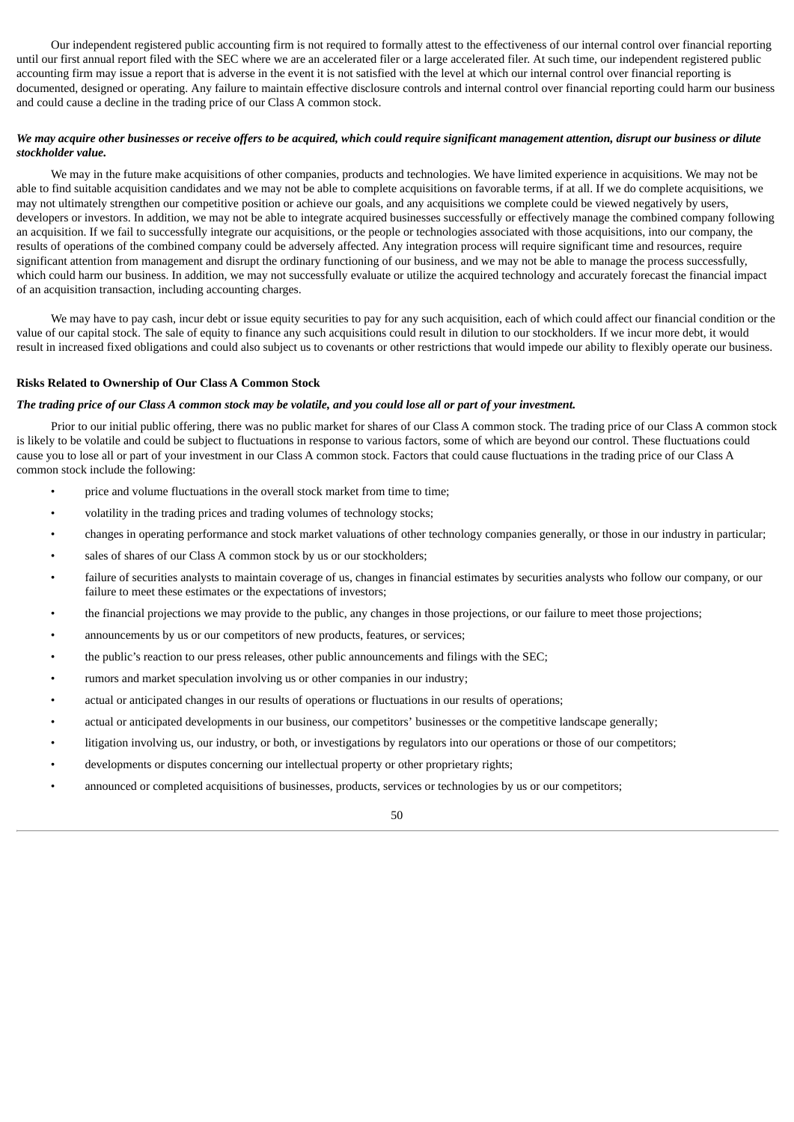Our independent registered public accounting firm is not required to formally attest to the effectiveness of our internal control over financial reporting until our first annual report filed with the SEC where we are an accelerated filer or a large accelerated filer. At such time, our independent registered public accounting firm may issue a report that is adverse in the event it is not satisfied with the level at which our internal control over financial reporting is documented, designed or operating. Any failure to maintain effective disclosure controls and internal control over financial reporting could harm our business and could cause a decline in the trading price of our Class A common stock.

# We may acquire other businesses or receive offers to be acquired, which could require significant management attention, disrupt our business or dilute *stockholder value.*

We may in the future make acquisitions of other companies, products and technologies. We have limited experience in acquisitions. We may not be able to find suitable acquisition candidates and we may not be able to complete acquisitions on favorable terms, if at all. If we do complete acquisitions, we may not ultimately strengthen our competitive position or achieve our goals, and any acquisitions we complete could be viewed negatively by users, developers or investors. In addition, we may not be able to integrate acquired businesses successfully or effectively manage the combined company following an acquisition. If we fail to successfully integrate our acquisitions, or the people or technologies associated with those acquisitions, into our company, the results of operations of the combined company could be adversely affected. Any integration process will require significant time and resources, require significant attention from management and disrupt the ordinary functioning of our business, and we may not be able to manage the process successfully, which could harm our business. In addition, we may not successfully evaluate or utilize the acquired technology and accurately forecast the financial impact of an acquisition transaction, including accounting charges.

We may have to pay cash, incur debt or issue equity securities to pay for any such acquisition, each of which could affect our financial condition or the value of our capital stock. The sale of equity to finance any such acquisitions could result in dilution to our stockholders. If we incur more debt, it would result in increased fixed obligations and could also subject us to covenants or other restrictions that would impede our ability to flexibly operate our business.

# **Risks Related to Ownership of Our Class A Common Stock**

#### The trading price of our Class A common stock may be volatile, and you could lose all or part of your investment.

Prior to our initial public offering, there was no public market for shares of our Class A common stock. The trading price of our Class A common stock is likely to be volatile and could be subject to fluctuations in response to various factors, some of which are beyond our control. These fluctuations could cause you to lose all or part of your investment in our Class A common stock. Factors that could cause fluctuations in the trading price of our Class A common stock include the following:

- price and volume fluctuations in the overall stock market from time to time;
- volatility in the trading prices and trading volumes of technology stocks;
- changes in operating performance and stock market valuations of other technology companies generally, or those in our industry in particular;
- sales of shares of our Class A common stock by us or our stockholders;
- failure of securities analysts to maintain coverage of us, changes in financial estimates by securities analysts who follow our company, or our failure to meet these estimates or the expectations of investors;
- the financial projections we may provide to the public, any changes in those projections, or our failure to meet those projections;
- announcements by us or our competitors of new products, features, or services;
- the public's reaction to our press releases, other public announcements and filings with the SEC;
- rumors and market speculation involving us or other companies in our industry;
- actual or anticipated changes in our results of operations or fluctuations in our results of operations;
- actual or anticipated developments in our business, our competitors' businesses or the competitive landscape generally;
- litigation involving us, our industry, or both, or investigations by regulators into our operations or those of our competitors;
- developments or disputes concerning our intellectual property or other proprietary rights;
- announced or completed acquisitions of businesses, products, services or technologies by us or our competitors;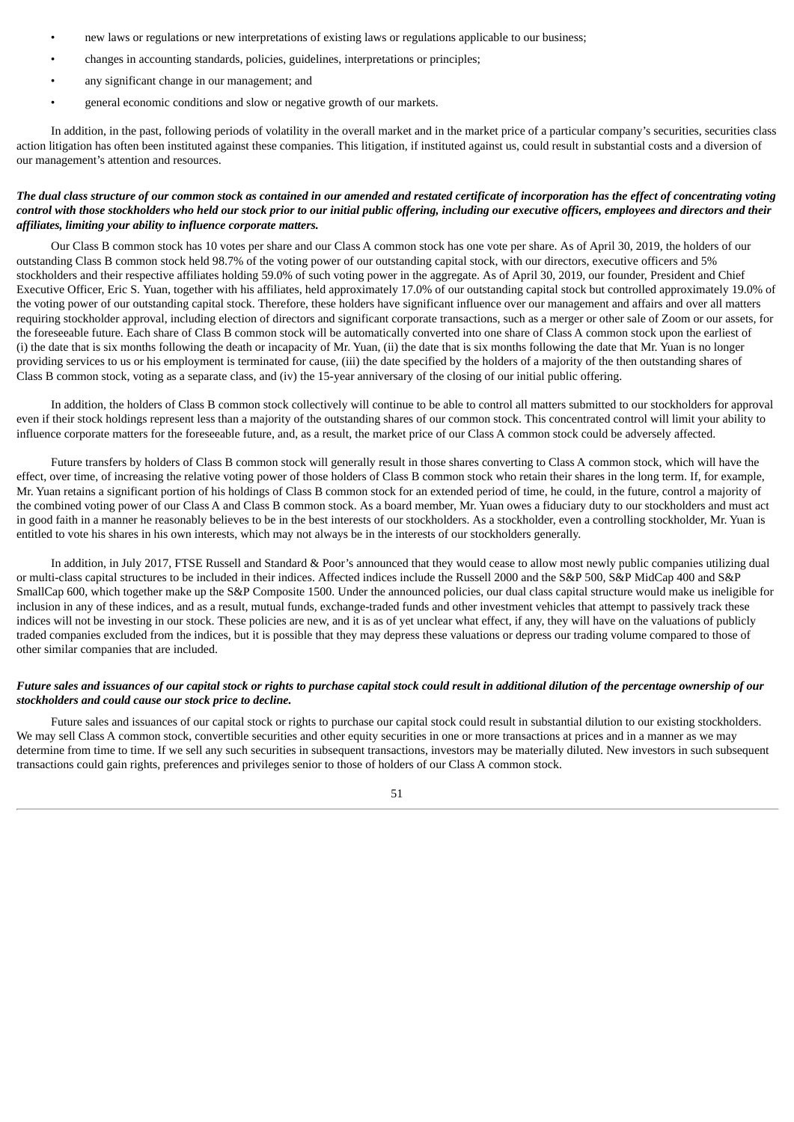- new laws or regulations or new interpretations of existing laws or regulations applicable to our business;
- changes in accounting standards, policies, guidelines, interpretations or principles;
- any significant change in our management; and
- general economic conditions and slow or negative growth of our markets.

In addition, in the past, following periods of volatility in the overall market and in the market price of a particular company's securities, securities class action litigation has often been instituted against these companies. This litigation, if instituted against us, could result in substantial costs and a diversion of our management's attention and resources.

# The dual class structure of our common stock as contained in our amended and restated certificate of incorporation has the effect of concentrating voting control with those stockholders who held our stock prior to our initial public offering, including our executive officers, employees and directors and their *affiliates, limiting your ability to influence corporate matters.*

Our Class B common stock has 10 votes per share and our Class A common stock has one vote per share. As of April 30, 2019, the holders of our outstanding Class B common stock held 98.7% of the voting power of our outstanding capital stock, with our directors, executive officers and 5% stockholders and their respective affiliates holding 59.0% of such voting power in the aggregate. As of April 30, 2019, our founder, President and Chief Executive Officer, Eric S. Yuan, together with his affiliates, held approximately 17.0% of our outstanding capital stock but controlled approximately 19.0% of the voting power of our outstanding capital stock. Therefore, these holders have significant influence over our management and affairs and over all matters requiring stockholder approval, including election of directors and significant corporate transactions, such as a merger or other sale of Zoom or our assets, for the foreseeable future. Each share of Class B common stock will be automatically converted into one share of Class A common stock upon the earliest of (i) the date that is six months following the death or incapacity of Mr. Yuan, (ii) the date that is six months following the date that Mr. Yuan is no longer providing services to us or his employment is terminated for cause, (iii) the date specified by the holders of a majority of the then outstanding shares of Class B common stock, voting as a separate class, and (iv) the 15-year anniversary of the closing of our initial public offering.

In addition, the holders of Class B common stock collectively will continue to be able to control all matters submitted to our stockholders for approval even if their stock holdings represent less than a majority of the outstanding shares of our common stock. This concentrated control will limit your ability to influence corporate matters for the foreseeable future, and, as a result, the market price of our Class A common stock could be adversely affected.

Future transfers by holders of Class B common stock will generally result in those shares converting to Class A common stock, which will have the effect, over time, of increasing the relative voting power of those holders of Class B common stock who retain their shares in the long term. If, for example, Mr. Yuan retains a significant portion of his holdings of Class B common stock for an extended period of time, he could, in the future, control a majority of the combined voting power of our Class A and Class B common stock. As a board member, Mr. Yuan owes a fiduciary duty to our stockholders and must act in good faith in a manner he reasonably believes to be in the best interests of our stockholders. As a stockholder, even a controlling stockholder, Mr. Yuan is entitled to vote his shares in his own interests, which may not always be in the interests of our stockholders generally.

In addition, in July 2017, FTSE Russell and Standard & Poor's announced that they would cease to allow most newly public companies utilizing dual or multi-class capital structures to be included in their indices. Affected indices include the Russell 2000 and the S&P 500, S&P MidCap 400 and S&P SmallCap 600, which together make up the S&P Composite 1500. Under the announced policies, our dual class capital structure would make us ineligible for inclusion in any of these indices, and as a result, mutual funds, exchange-traded funds and other investment vehicles that attempt to passively track these indices will not be investing in our stock. These policies are new, and it is as of yet unclear what effect, if any, they will have on the valuations of publicly traded companies excluded from the indices, but it is possible that they may depress these valuations or depress our trading volume compared to those of other similar companies that are included.

# Future sales and issuances of our capital stock or rights to purchase capital stock could result in additional dilution of the percentage ownership of our *stockholders and could cause our stock price to decline.*

Future sales and issuances of our capital stock or rights to purchase our capital stock could result in substantial dilution to our existing stockholders. We may sell Class A common stock, convertible securities and other equity securities in one or more transactions at prices and in a manner as we may determine from time to time. If we sell any such securities in subsequent transactions, investors may be materially diluted. New investors in such subsequent transactions could gain rights, preferences and privileges senior to those of holders of our Class A common stock.

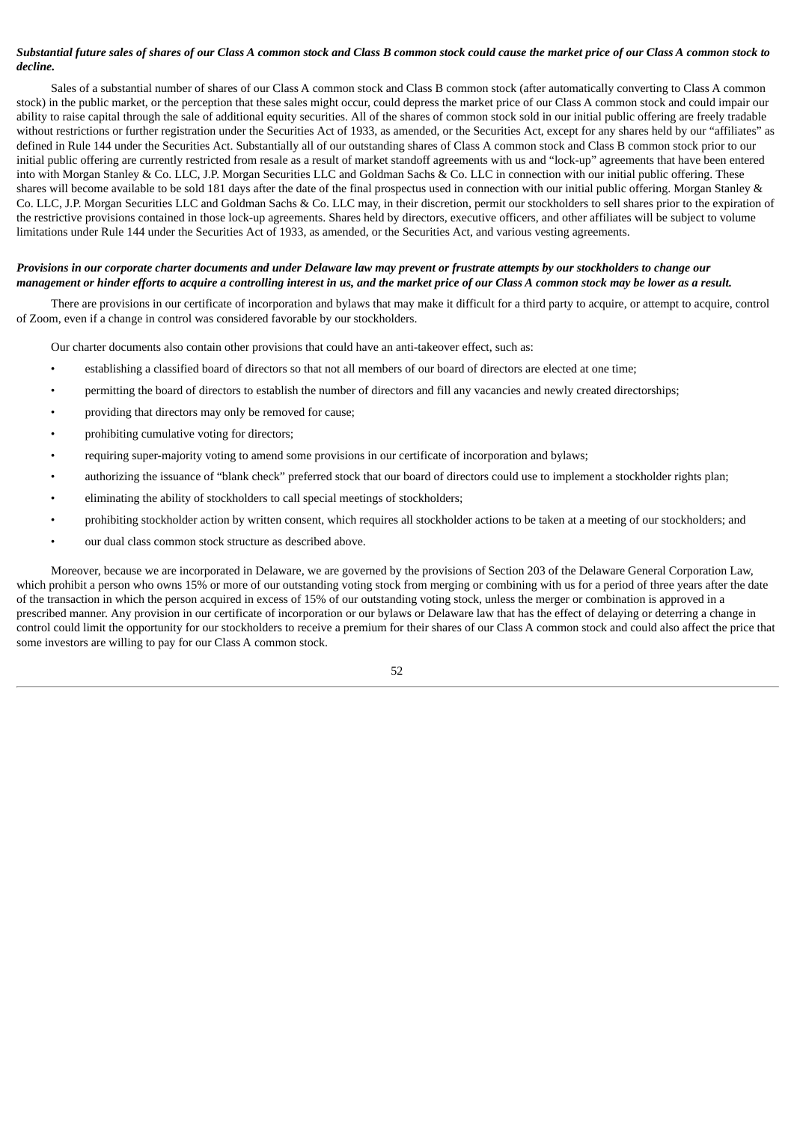# Substantial future sales of shares of our Class A common stock and Class B common stock could cause the market price of our Class A common stock to *decline.*

Sales of a substantial number of shares of our Class A common stock and Class B common stock (after automatically converting to Class A common stock) in the public market, or the perception that these sales might occur, could depress the market price of our Class A common stock and could impair our ability to raise capital through the sale of additional equity securities. All of the shares of common stock sold in our initial public offering are freely tradable without restrictions or further registration under the Securities Act of 1933, as amended, or the Securities Act, except for any shares held by our "affiliates" as defined in Rule 144 under the Securities Act. Substantially all of our outstanding shares of Class A common stock and Class B common stock prior to our initial public offering are currently restricted from resale as a result of market standoff agreements with us and "lock-up" agreements that have been entered into with Morgan Stanley & Co. LLC, J.P. Morgan Securities LLC and Goldman Sachs & Co. LLC in connection with our initial public offering. These shares will become available to be sold 181 days after the date of the final prospectus used in connection with our initial public offering. Morgan Stanley & Co. LLC, J.P. Morgan Securities LLC and Goldman Sachs & Co. LLC may, in their discretion, permit our stockholders to sell shares prior to the expiration of the restrictive provisions contained in those lock-up agreements. Shares held by directors, executive officers, and other affiliates will be subject to volume limitations under Rule 144 under the Securities Act of 1933, as amended, or the Securities Act, and various vesting agreements.

# Provisions in our corporate charter documents and under Delaware law may prevent or frustrate attempts by our stockholders to change our management or hinder efforts to acquire a controlling interest in us, and the market price of our Class A common stock may be lower as a result.

There are provisions in our certificate of incorporation and bylaws that may make it difficult for a third party to acquire, or attempt to acquire, control of Zoom, even if a change in control was considered favorable by our stockholders.

Our charter documents also contain other provisions that could have an anti-takeover effect, such as:

- establishing a classified board of directors so that not all members of our board of directors are elected at one time;
- permitting the board of directors to establish the number of directors and fill any vacancies and newly created directorships;
- providing that directors may only be removed for cause;
- prohibiting cumulative voting for directors;
- requiring super-majority voting to amend some provisions in our certificate of incorporation and bylaws;
- authorizing the issuance of "blank check" preferred stock that our board of directors could use to implement a stockholder rights plan;
- eliminating the ability of stockholders to call special meetings of stockholders;
- prohibiting stockholder action by written consent, which requires all stockholder actions to be taken at a meeting of our stockholders; and
- our dual class common stock structure as described above.

Moreover, because we are incorporated in Delaware, we are governed by the provisions of Section 203 of the Delaware General Corporation Law, which prohibit a person who owns 15% or more of our outstanding voting stock from merging or combining with us for a period of three years after the date of the transaction in which the person acquired in excess of 15% of our outstanding voting stock, unless the merger or combination is approved in a prescribed manner. Any provision in our certificate of incorporation or our bylaws or Delaware law that has the effect of delaying or deterring a change in control could limit the opportunity for our stockholders to receive a premium for their shares of our Class A common stock and could also affect the price that some investors are willing to pay for our Class A common stock.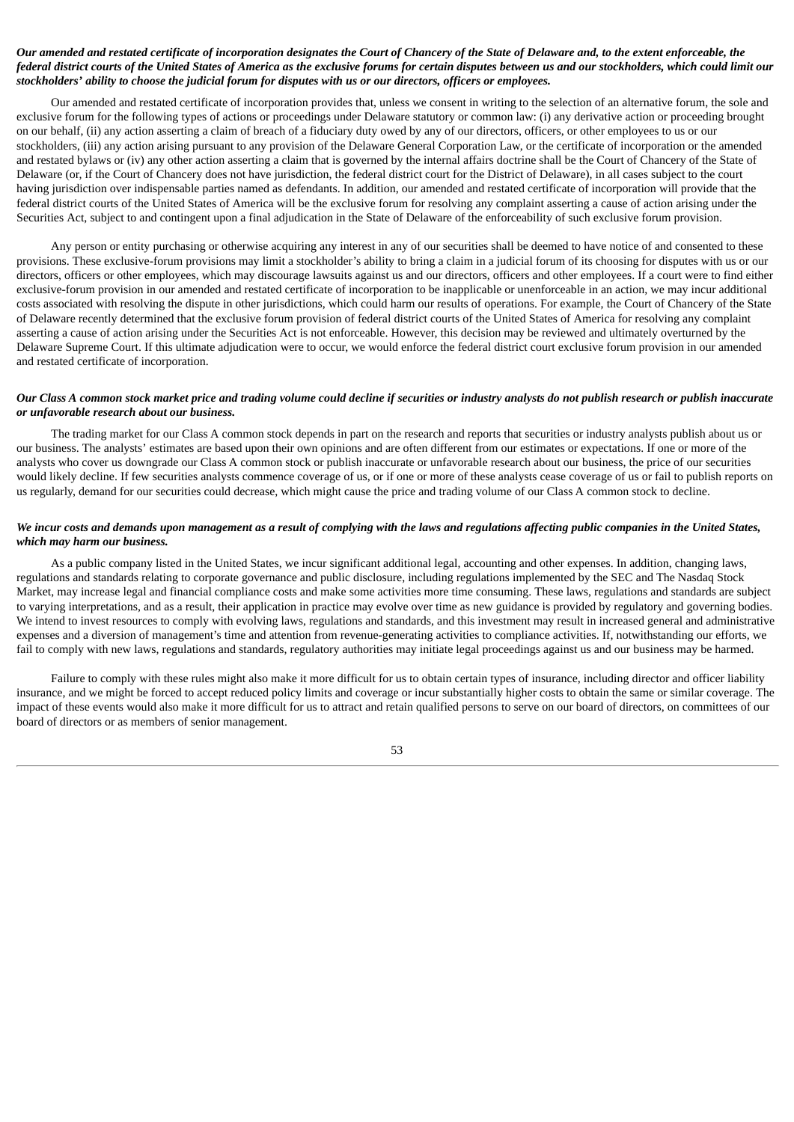# Our amended and restated certificate of incorporation designates the Court of Chancery of the State of Delaware and, to the extent enforceable, the federal district courts of the United States of America as the exclusive forums for certain disputes between us and our stockholders, which could limit our stockholders' ability to choose the judicial forum for disputes with us or our directors, officers or employees.

Our amended and restated certificate of incorporation provides that, unless we consent in writing to the selection of an alternative forum, the sole and exclusive forum for the following types of actions or proceedings under Delaware statutory or common law: (i) any derivative action or proceeding brought on our behalf, (ii) any action asserting a claim of breach of a fiduciary duty owed by any of our directors, officers, or other employees to us or our stockholders, (iii) any action arising pursuant to any provision of the Delaware General Corporation Law, or the certificate of incorporation or the amended and restated bylaws or (iv) any other action asserting a claim that is governed by the internal affairs doctrine shall be the Court of Chancery of the State of Delaware (or, if the Court of Chancery does not have jurisdiction, the federal district court for the District of Delaware), in all cases subject to the court having jurisdiction over indispensable parties named as defendants. In addition, our amended and restated certificate of incorporation will provide that the federal district courts of the United States of America will be the exclusive forum for resolving any complaint asserting a cause of action arising under the Securities Act, subject to and contingent upon a final adjudication in the State of Delaware of the enforceability of such exclusive forum provision.

Any person or entity purchasing or otherwise acquiring any interest in any of our securities shall be deemed to have notice of and consented to these provisions. These exclusive-forum provisions may limit a stockholder's ability to bring a claim in a judicial forum of its choosing for disputes with us or our directors, officers or other employees, which may discourage lawsuits against us and our directors, officers and other employees. If a court were to find either exclusive-forum provision in our amended and restated certificate of incorporation to be inapplicable or unenforceable in an action, we may incur additional costs associated with resolving the dispute in other jurisdictions, which could harm our results of operations. For example, the Court of Chancery of the State of Delaware recently determined that the exclusive forum provision of federal district courts of the United States of America for resolving any complaint asserting a cause of action arising under the Securities Act is not enforceable. However, this decision may be reviewed and ultimately overturned by the Delaware Supreme Court. If this ultimate adjudication were to occur, we would enforce the federal district court exclusive forum provision in our amended and restated certificate of incorporation.

# Our Class A common stock market price and trading volume could decline if securities or industry analysts do not publish research or publish inaccurate *or unfavorable research about our business.*

The trading market for our Class A common stock depends in part on the research and reports that securities or industry analysts publish about us or our business. The analysts' estimates are based upon their own opinions and are often different from our estimates or expectations. If one or more of the analysts who cover us downgrade our Class A common stock or publish inaccurate or unfavorable research about our business, the price of our securities would likely decline. If few securities analysts commence coverage of us, or if one or more of these analysts cease coverage of us or fail to publish reports on us regularly, demand for our securities could decrease, which might cause the price and trading volume of our Class A common stock to decline.

# We incur costs and demands upon management as a result of complying with the laws and regulations affecting public companies in the United States, *which may harm our business.*

As a public company listed in the United States, we incur significant additional legal, accounting and other expenses. In addition, changing laws, regulations and standards relating to corporate governance and public disclosure, including regulations implemented by the SEC and The Nasdaq Stock Market, may increase legal and financial compliance costs and make some activities more time consuming. These laws, regulations and standards are subject to varying interpretations, and as a result, their application in practice may evolve over time as new guidance is provided by regulatory and governing bodies. We intend to invest resources to comply with evolving laws, regulations and standards, and this investment may result in increased general and administrative expenses and a diversion of management's time and attention from revenue-generating activities to compliance activities. If, notwithstanding our efforts, we fail to comply with new laws, regulations and standards, regulatory authorities may initiate legal proceedings against us and our business may be harmed.

Failure to comply with these rules might also make it more difficult for us to obtain certain types of insurance, including director and officer liability insurance, and we might be forced to accept reduced policy limits and coverage or incur substantially higher costs to obtain the same or similar coverage. The impact of these events would also make it more difficult for us to attract and retain qualified persons to serve on our board of directors, on committees of our board of directors or as members of senior management.

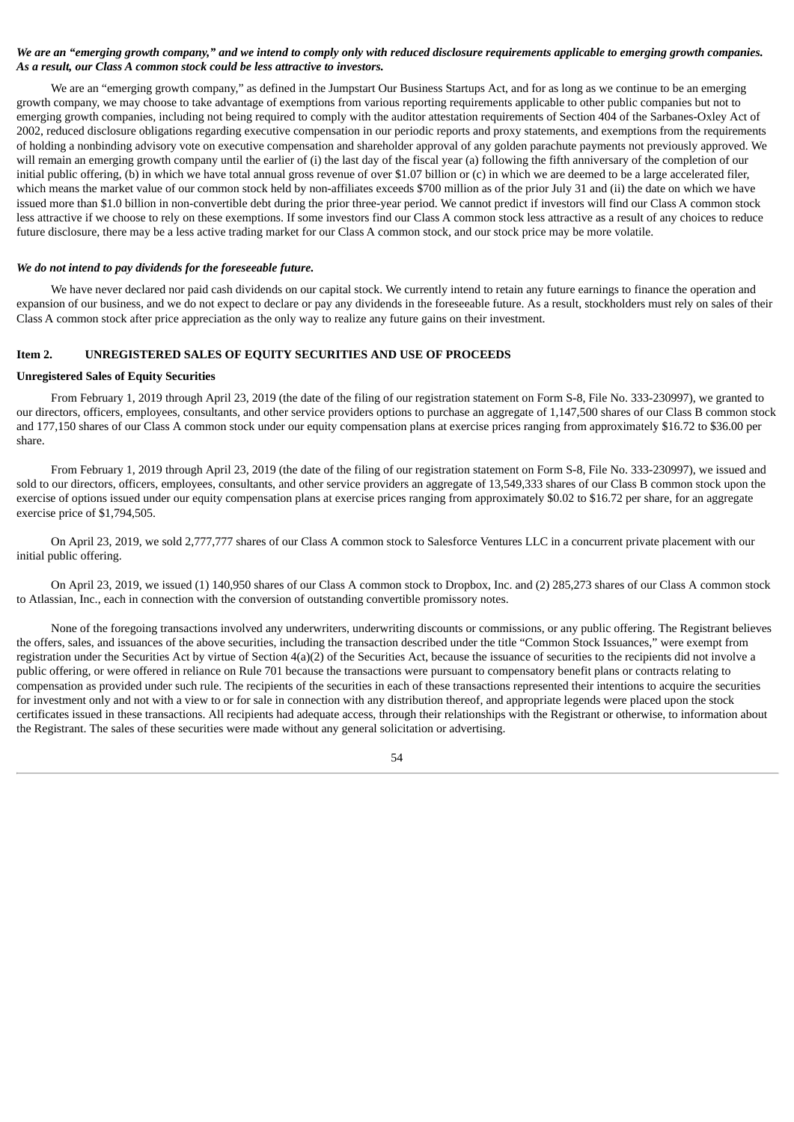# We are an "emerging growth company," and we intend to comply only with reduced disclosure requirements applicable to emerging growth companies. *As a result, our Class A common stock could be less attractive to investors.*

We are an "emerging growth company," as defined in the Jumpstart Our Business Startups Act, and for as long as we continue to be an emerging growth company, we may choose to take advantage of exemptions from various reporting requirements applicable to other public companies but not to emerging growth companies, including not being required to comply with the auditor attestation requirements of Section 404 of the Sarbanes-Oxley Act of 2002, reduced disclosure obligations regarding executive compensation in our periodic reports and proxy statements, and exemptions from the requirements of holding a nonbinding advisory vote on executive compensation and shareholder approval of any golden parachute payments not previously approved. We will remain an emerging growth company until the earlier of (i) the last day of the fiscal year (a) following the fifth anniversary of the completion of our initial public offering, (b) in which we have total annual gross revenue of over \$1.07 billion or (c) in which we are deemed to be a large accelerated filer, which means the market value of our common stock held by non-affiliates exceeds \$700 million as of the prior July 31 and (ii) the date on which we have issued more than \$1.0 billion in non-convertible debt during the prior three-year period. We cannot predict if investors will find our Class A common stock less attractive if we choose to rely on these exemptions. If some investors find our Class A common stock less attractive as a result of any choices to reduce future disclosure, there may be a less active trading market for our Class A common stock, and our stock price may be more volatile.

# *We do not intend to pay dividends for the foreseeable future.*

We have never declared nor paid cash dividends on our capital stock. We currently intend to retain any future earnings to finance the operation and expansion of our business, and we do not expect to declare or pay any dividends in the foreseeable future. As a result, stockholders must rely on sales of their Class A common stock after price appreciation as the only way to realize any future gains on their investment.

# <span id="page-53-0"></span>**Item 2. UNREGISTERED SALES OF EQUITY SECURITIES AND USE OF PROCEEDS**

#### **Unregistered Sales of Equity Securities**

From February 1, 2019 through April 23, 2019 (the date of the filing of our registration statement on Form S-8, File No. 333-230997), we granted to our directors, officers, employees, consultants, and other service providers options to purchase an aggregate of 1,147,500 shares of our Class B common stock and 177,150 shares of our Class A common stock under our equity compensation plans at exercise prices ranging from approximately \$16.72 to \$36.00 per share.

From February 1, 2019 through April 23, 2019 (the date of the filing of our registration statement on Form S-8, File No. 333-230997), we issued and sold to our directors, officers, employees, consultants, and other service providers an aggregate of 13,549,333 shares of our Class B common stock upon the exercise of options issued under our equity compensation plans at exercise prices ranging from approximately \$0.02 to \$16.72 per share, for an aggregate exercise price of \$1,794,505.

On April 23, 2019, we sold 2,777,777 shares of our Class A common stock to Salesforce Ventures LLC in a concurrent private placement with our initial public offering.

On April 23, 2019, we issued (1) 140,950 shares of our Class A common stock to Dropbox, Inc. and (2) 285,273 shares of our Class A common stock to Atlassian, Inc., each in connection with the conversion of outstanding convertible promissory notes.

None of the foregoing transactions involved any underwriters, underwriting discounts or commissions, or any public offering. The Registrant believes the offers, sales, and issuances of the above securities, including the transaction described under the title "Common Stock Issuances," were exempt from registration under the Securities Act by virtue of Section 4(a)(2) of the Securities Act, because the issuance of securities to the recipients did not involve a public offering, or were offered in reliance on Rule 701 because the transactions were pursuant to compensatory benefit plans or contracts relating to compensation as provided under such rule. The recipients of the securities in each of these transactions represented their intentions to acquire the securities for investment only and not with a view to or for sale in connection with any distribution thereof, and appropriate legends were placed upon the stock certificates issued in these transactions. All recipients had adequate access, through their relationships with the Registrant or otherwise, to information about the Registrant. The sales of these securities were made without any general solicitation or advertising.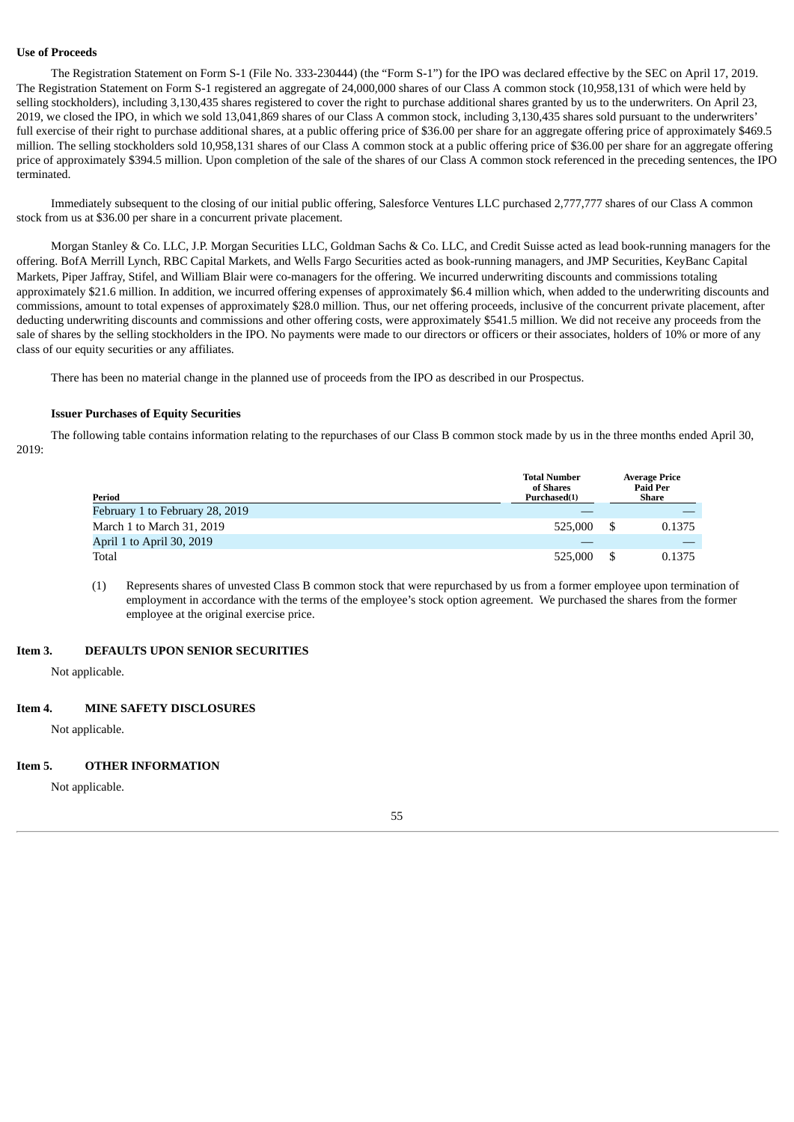# **Use of Proceeds**

The Registration Statement on Form S-1 (File No. 333-230444) (the "Form S-1") for the IPO was declared effective by the SEC on April 17, 2019. The Registration Statement on Form S-1 registered an aggregate of 24,000,000 shares of our Class A common stock (10,958,131 of which were held by selling stockholders), including 3,130,435 shares registered to cover the right to purchase additional shares granted by us to the underwriters. On April 23, 2019, we closed the IPO, in which we sold 13,041,869 shares of our Class A common stock, including 3,130,435 shares sold pursuant to the underwriters' full exercise of their right to purchase additional shares, at a public offering price of \$36.00 per share for an aggregate offering price of approximately \$469.5 million. The selling stockholders sold 10,958,131 shares of our Class A common stock at a public offering price of \$36.00 per share for an aggregate offering price of approximately \$394.5 million. Upon completion of the sale of the shares of our Class A common stock referenced in the preceding sentences, the IPO terminated.

Immediately subsequent to the closing of our initial public offering, Salesforce Ventures LLC purchased 2,777,777 shares of our Class A common stock from us at \$36.00 per share in a concurrent private placement.

Morgan Stanley & Co. LLC, J.P. Morgan Securities LLC, Goldman Sachs & Co. LLC, and Credit Suisse acted as lead book-running managers for the offering. BofA Merrill Lynch, RBC Capital Markets, and Wells Fargo Securities acted as book-running managers, and JMP Securities, KeyBanc Capital Markets, Piper Jaffray, Stifel, and William Blair were co-managers for the offering. We incurred underwriting discounts and commissions totaling approximately \$21.6 million. In addition, we incurred offering expenses of approximately \$6.4 million which, when added to the underwriting discounts and commissions, amount to total expenses of approximately \$28.0 million. Thus, our net offering proceeds, inclusive of the concurrent private placement, after deducting underwriting discounts and commissions and other offering costs, were approximately \$541.5 million. We did not receive any proceeds from the sale of shares by the selling stockholders in the IPO. No payments were made to our directors or officers or their associates, holders of 10% or more of any class of our equity securities or any affiliates.

There has been no material change in the planned use of proceeds from the IPO as described in our Prospectus.

#### **Issuer Purchases of Equity Securities**

The following table contains information relating to the repurchases of our Class B common stock made by us in the three months ended April 30, 2019:

| Period                          | <b>Total Number</b><br>of Shares<br>Purchased(1) |  | <b>Average Price</b><br><b>Paid Per</b><br>Share |  |
|---------------------------------|--------------------------------------------------|--|--------------------------------------------------|--|
| February 1 to February 28, 2019 |                                                  |  |                                                  |  |
| March 1 to March 31, 2019       | 525,000                                          |  | 0.1375                                           |  |
| April 1 to April 30, 2019       |                                                  |  |                                                  |  |
| Total                           | 525,000                                          |  | 0.1375                                           |  |

(1) Represents shares of unvested Class B common stock that were repurchased by us from a former employee upon termination of employment in accordance with the terms of the employee's stock option agreement. We purchased the shares from the former employee at the original exercise price.

### **Item 3. DEFAULTS UPON SENIOR SECURITIES**

<span id="page-54-0"></span>Not applicable.

# **Item 4. MINE SAFETY DISCLOSURES**

<span id="page-54-1"></span>Not applicable.

# **Item 5. OTHER INFORMATION**

<span id="page-54-2"></span>Not applicable.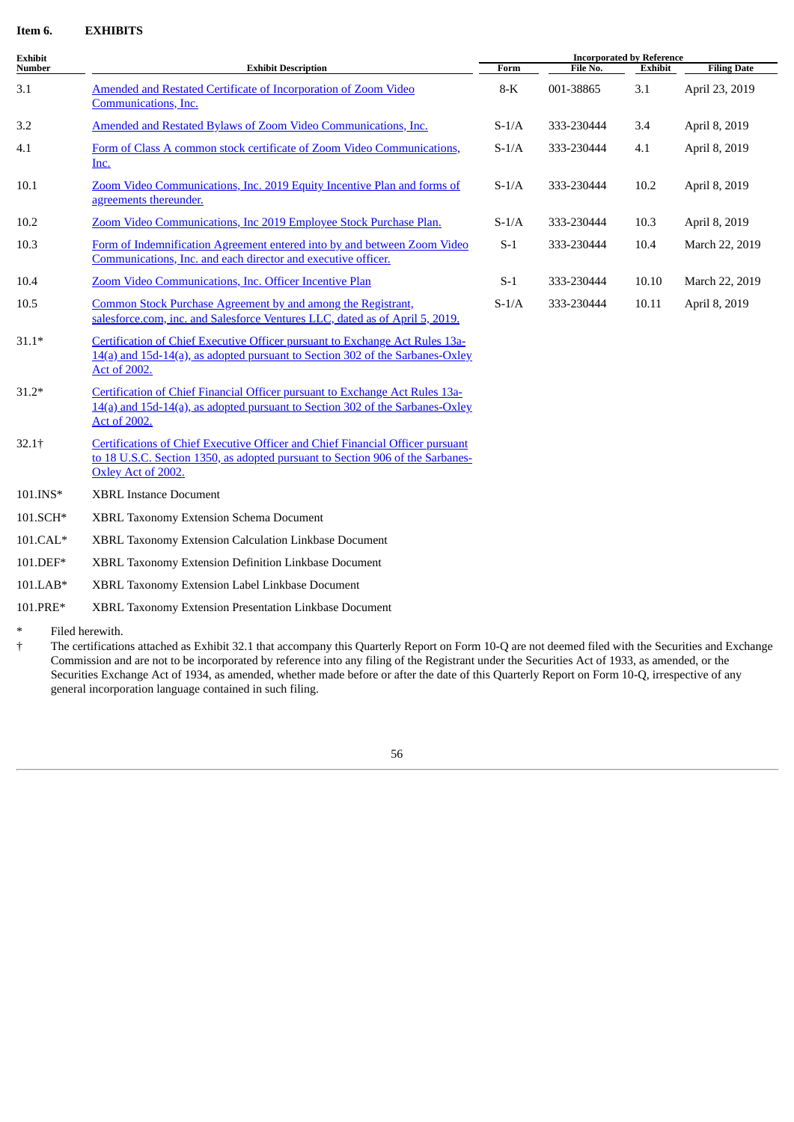# <span id="page-55-0"></span>**Item 6. EXHIBITS**

| Exhibit  | <b>Exhibit Description</b>                                                                                                                                                             | <b>Incorporated by Reference</b> |            |         |                    |  |  |
|----------|----------------------------------------------------------------------------------------------------------------------------------------------------------------------------------------|----------------------------------|------------|---------|--------------------|--|--|
| Number   |                                                                                                                                                                                        | Form                             | File No.   | Exhibit | <b>Filing Date</b> |  |  |
| 3.1      | <b>Amended and Restated Certificate of Incorporation of Zoom Video</b><br>Communications, Inc.                                                                                         | $8-K$                            | 001-38865  | 3.1     | April 23, 2019     |  |  |
| 3.2      | Amended and Restated Bylaws of Zoom Video Communications, Inc.                                                                                                                         | $S-1/A$                          | 333-230444 | 3.4     | April 8, 2019      |  |  |
| 4.1      | Form of Class A common stock certificate of Zoom Video Communications,<br>Inc.                                                                                                         | $S-1/A$                          | 333-230444 | 4.1     | April 8, 2019      |  |  |
| 10.1     | Zoom Video Communications, Inc. 2019 Equity Incentive Plan and forms of<br>agreements thereunder.                                                                                      | $S-1/A$                          | 333-230444 | 10.2    | April 8, 2019      |  |  |
| 10.2     | Zoom Video Communications, Inc 2019 Employee Stock Purchase Plan.                                                                                                                      | $S-1/A$                          | 333-230444 | 10.3    | April 8, 2019      |  |  |
| 10.3     | Form of Indemnification Agreement entered into by and between Zoom Video<br>Communications, Inc. and each director and executive officer.                                              | $S-1$                            | 333-230444 | 10.4    | March 22, 2019     |  |  |
| 10.4     | Zoom Video Communications, Inc. Officer Incentive Plan                                                                                                                                 | $S-1$                            | 333-230444 | 10.10   | March 22, 2019     |  |  |
| 10.5     | Common Stock Purchase Agreement by and among the Registrant,<br>salesforce.com, inc. and Salesforce Ventures LLC, dated as of April 5, 2019.                                           | $S-1/A$                          | 333-230444 | 10.11   | April 8, 2019      |  |  |
| $31.1*$  | Certification of Chief Executive Officer pursuant to Exchange Act Rules 13a-<br>14(a) and 15d-14(a), as adopted pursuant to Section 302 of the Sarbanes-Oxley<br>Act of 2002.          |                                  |            |         |                    |  |  |
| $31.2*$  | Certification of Chief Financial Officer pursuant to Exchange Act Rules 13a-<br>14(a) and 15d-14(a), as adopted pursuant to Section 302 of the Sarbanes-Oxley<br><b>Act of 2002.</b>   |                                  |            |         |                    |  |  |
| $32.1+$  | Certifications of Chief Executive Officer and Chief Financial Officer pursuant<br>to 18 U.S.C. Section 1350, as adopted pursuant to Section 906 of the Sarbanes-<br>Oxley Act of 2002. |                                  |            |         |                    |  |  |
| 101.INS* | <b>XBRL Instance Document</b>                                                                                                                                                          |                                  |            |         |                    |  |  |
| 101.SCH* | <b>XBRL Taxonomy Extension Schema Document</b>                                                                                                                                         |                                  |            |         |                    |  |  |
| 101.CAL* | XBRL Taxonomy Extension Calculation Linkbase Document                                                                                                                                  |                                  |            |         |                    |  |  |
| 101.DEF* | XBRL Taxonomy Extension Definition Linkbase Document                                                                                                                                   |                                  |            |         |                    |  |  |
| 101.LAB* | XBRL Taxonomy Extension Label Linkbase Document                                                                                                                                        |                                  |            |         |                    |  |  |
| 101.PRE* | XBRL Taxonomy Extension Presentation Linkbase Document                                                                                                                                 |                                  |            |         |                    |  |  |

\* Filed herewith.

† The certifications attached as Exhibit 32.1 that accompany this Quarterly Report on Form 10-Q are not deemed filed with the Securities and Exchange Commission and are not to be incorporated by reference into any filing of the Registrant under the Securities Act of 1933, as amended, or the Securities Exchange Act of 1934, as amended, whether made before or after the date of this Quarterly Report on Form 10-Q, irrespective of any general incorporation language contained in such filing.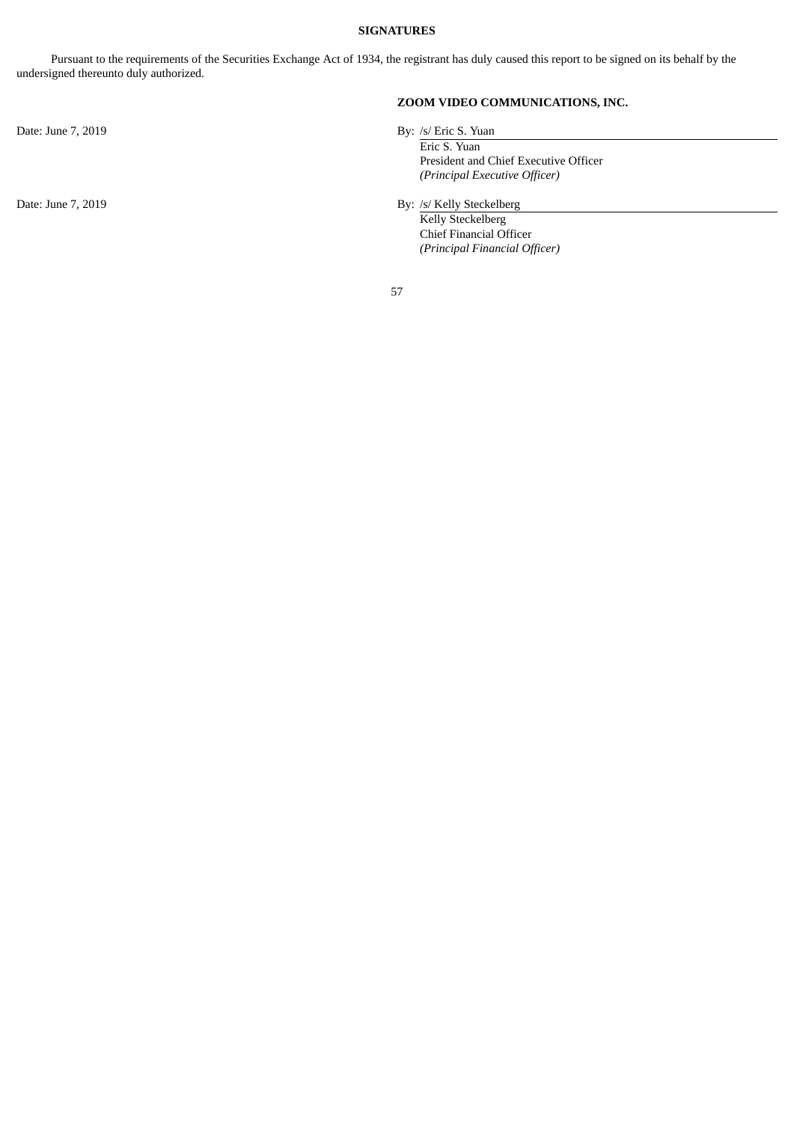# **SIGNATURES**

<span id="page-56-0"></span>Pursuant to the requirements of the Securities Exchange Act of 1934, the registrant has duly caused this report to be signed on its behalf by the undersigned thereunto duly authorized.

Date: June 7, 2019 By: /s/ Eric S. Yuan

# **ZOOM VIDEO COMMUNICATIONS, INC.**

Eric S. Yuan President and Chief Executive Officer *(Principal Executive Officer)*

Date: June 7, 2019 By: /s/ Kelly Steckelberg

Kelly Steckelberg Chief Financial Officer *(Principal Financial Officer)*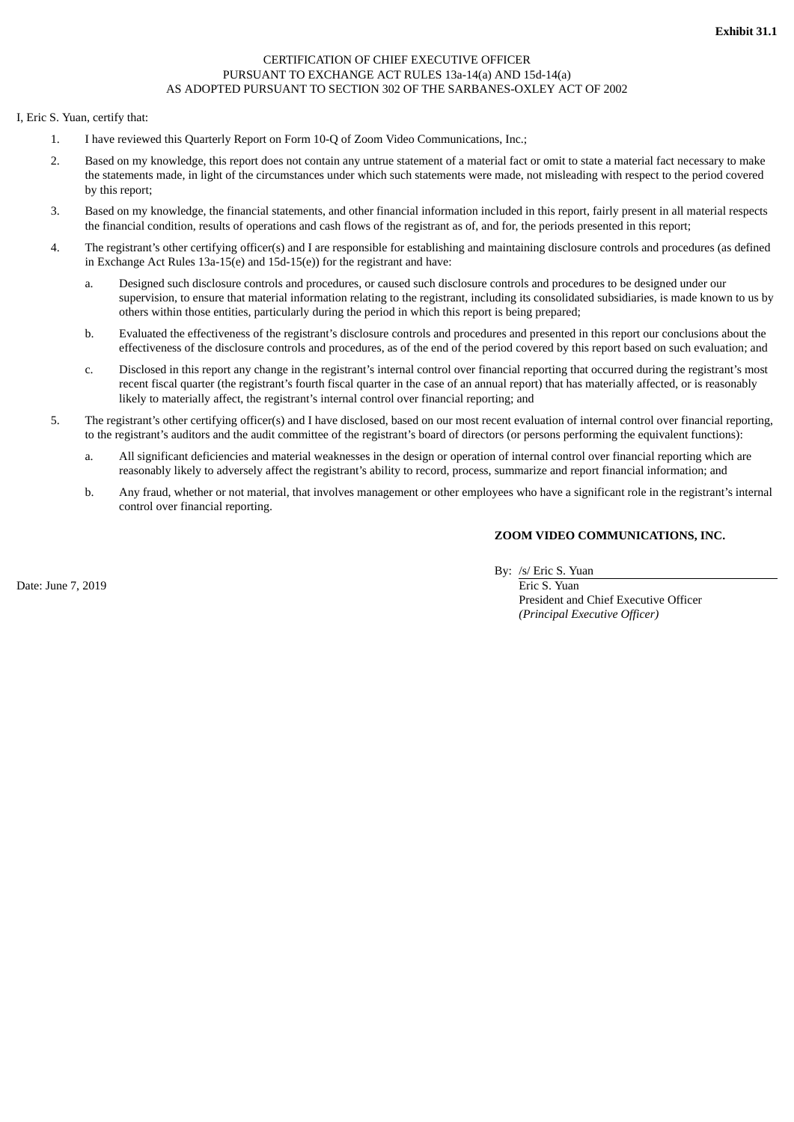# CERTIFICATION OF CHIEF EXECUTIVE OFFICER PURSUANT TO EXCHANGE ACT RULES 13a-14(a) AND 15d-14(a) AS ADOPTED PURSUANT TO SECTION 302 OF THE SARBANES-OXLEY ACT OF 2002

<span id="page-57-0"></span>I, Eric S. Yuan, certify that:

- 1. I have reviewed this Quarterly Report on Form 10-Q of Zoom Video Communications, Inc.;
- 2. Based on my knowledge, this report does not contain any untrue statement of a material fact or omit to state a material fact necessary to make the statements made, in light of the circumstances under which such statements were made, not misleading with respect to the period covered by this report;
- 3. Based on my knowledge, the financial statements, and other financial information included in this report, fairly present in all material respects the financial condition, results of operations and cash flows of the registrant as of, and for, the periods presented in this report;
- 4. The registrant's other certifying officer(s) and I are responsible for establishing and maintaining disclosure controls and procedures (as defined in Exchange Act Rules 13a-15(e) and 15d-15(e)) for the registrant and have:
	- a. Designed such disclosure controls and procedures, or caused such disclosure controls and procedures to be designed under our supervision, to ensure that material information relating to the registrant, including its consolidated subsidiaries, is made known to us by others within those entities, particularly during the period in which this report is being prepared;
	- b. Evaluated the effectiveness of the registrant's disclosure controls and procedures and presented in this report our conclusions about the effectiveness of the disclosure controls and procedures, as of the end of the period covered by this report based on such evaluation; and
	- c. Disclosed in this report any change in the registrant's internal control over financial reporting that occurred during the registrant's most recent fiscal quarter (the registrant's fourth fiscal quarter in the case of an annual report) that has materially affected, or is reasonably likely to materially affect, the registrant's internal control over financial reporting; and
- 5. The registrant's other certifying officer(s) and I have disclosed, based on our most recent evaluation of internal control over financial reporting, to the registrant's auditors and the audit committee of the registrant's board of directors (or persons performing the equivalent functions):
	- a. All significant deficiencies and material weaknesses in the design or operation of internal control over financial reporting which are reasonably likely to adversely affect the registrant's ability to record, process, summarize and report financial information; and
	- b. Any fraud, whether or not material, that involves management or other employees who have a significant role in the registrant's internal control over financial reporting.

# **ZOOM VIDEO COMMUNICATIONS, INC.**

By: /s/ Eric S. Yuan

Date: June 7, 2019 Eric S. Yuan

President and Chief Executive Officer *(Principal Executive Officer)*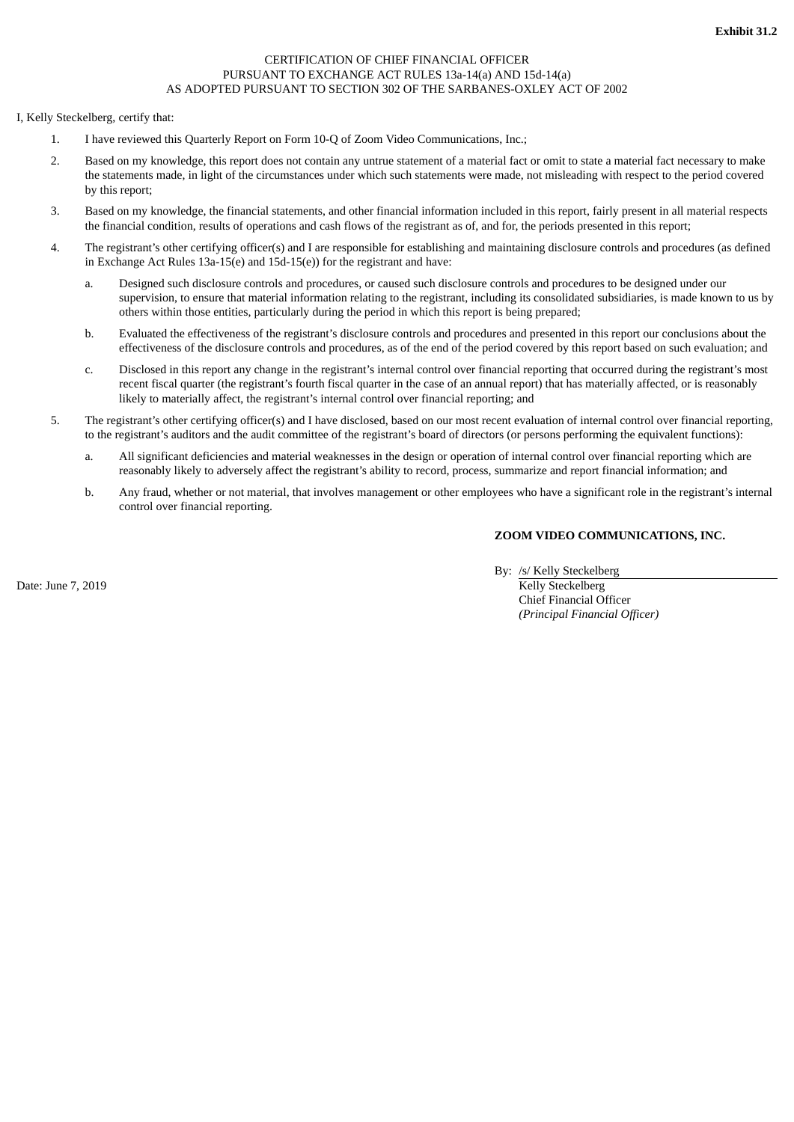# CERTIFICATION OF CHIEF FINANCIAL OFFICER PURSUANT TO EXCHANGE ACT RULES 13a-14(a) AND 15d-14(a) AS ADOPTED PURSUANT TO SECTION 302 OF THE SARBANES-OXLEY ACT OF 2002

<span id="page-58-0"></span>I, Kelly Steckelberg, certify that:

- 1. I have reviewed this Quarterly Report on Form 10-Q of Zoom Video Communications, Inc.;
- 2. Based on my knowledge, this report does not contain any untrue statement of a material fact or omit to state a material fact necessary to make the statements made, in light of the circumstances under which such statements were made, not misleading with respect to the period covered by this report;
- 3. Based on my knowledge, the financial statements, and other financial information included in this report, fairly present in all material respects the financial condition, results of operations and cash flows of the registrant as of, and for, the periods presented in this report;
- 4. The registrant's other certifying officer(s) and I are responsible for establishing and maintaining disclosure controls and procedures (as defined in Exchange Act Rules 13a-15(e) and 15d-15(e)) for the registrant and have:
	- a. Designed such disclosure controls and procedures, or caused such disclosure controls and procedures to be designed under our supervision, to ensure that material information relating to the registrant, including its consolidated subsidiaries, is made known to us by others within those entities, particularly during the period in which this report is being prepared;
	- b. Evaluated the effectiveness of the registrant's disclosure controls and procedures and presented in this report our conclusions about the effectiveness of the disclosure controls and procedures, as of the end of the period covered by this report based on such evaluation; and
	- c. Disclosed in this report any change in the registrant's internal control over financial reporting that occurred during the registrant's most recent fiscal quarter (the registrant's fourth fiscal quarter in the case of an annual report) that has materially affected, or is reasonably likely to materially affect, the registrant's internal control over financial reporting; and
- 5. The registrant's other certifying officer(s) and I have disclosed, based on our most recent evaluation of internal control over financial reporting, to the registrant's auditors and the audit committee of the registrant's board of directors (or persons performing the equivalent functions):
	- a. All significant deficiencies and material weaknesses in the design or operation of internal control over financial reporting which are reasonably likely to adversely affect the registrant's ability to record, process, summarize and report financial information; and
	- b. Any fraud, whether or not material, that involves management or other employees who have a significant role in the registrant's internal control over financial reporting.

# **ZOOM VIDEO COMMUNICATIONS, INC.**

By: /s/ Kelly Steckelberg

Date: June 7, 2019 **Kelly Steckelberg Kelly Steckelberg Kelly Steckelberg** 

Chief Financial Officer *(Principal Financial Officer)*